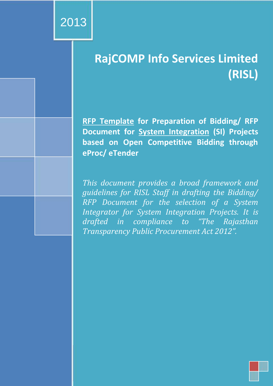Final

*Version Name Location*

*Final MD RajComp Info Services*

*Limited*

**cument History** 

**Title**

**Document Status Communication** 

*Distribution*

# **Process Services Limited RajCOMP Info Services Limited** RajCOMP Info Services Limited- Manual on Policies and Procedures for **(RISL)** Procurement

**Abstract** This document provides a broad framework and guidelines for RajCOMP **RFP Template for Preparation of Bidding/ RFP** *Document Publication History* **eProc/ eTender Document for System Integration (SI) Projects based on Open Competitive Bidding through**

*Date Author Version Remark 17 Buidelines for RISL Staff in drafting the Bidding/ This document provides a broad framework and RFP Document for the selection of a System Integrator for System Integration Projects. It is drafted in compliance to "The Rajasthan Transparency Public Procurement Act 2012".*

*Secretary (IT) RajComp Info Services Limited office, Jaipur*

**Document History {to be deleted by the POIC while drafting the bidding document}**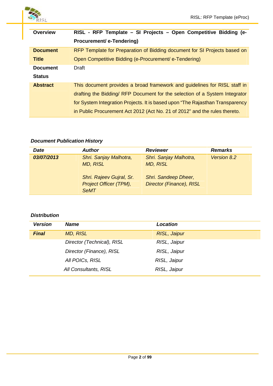

| <b>Overview</b> | RISL - RFP Template - SI Projects - Open Competitive Bidding (e-              |
|-----------------|-------------------------------------------------------------------------------|
|                 | <b>Procurement/ e-Tendering)</b>                                              |
| <b>Document</b> | RFP Template for Preparation of Bidding document for SI Projects based on     |
| <b>Title</b>    | Open Competitive Bidding (e-Procurement/ e-Tendering)                         |
| <b>Document</b> | Draft                                                                         |
| <b>Status</b>   |                                                                               |
| <b>Abstract</b> | This document provides a broad framework and guidelines for RISL staff in     |
|                 | drafting the Bidding/ RFP Document for the selection of a System Integrator   |
|                 | for System Integration Projects. It is based upon "The Rajasthan Transparency |
|                 | in Public Procurement Act 2012 (Act No. 21 of 2012" and the rules thereto.    |

## *Document Publication History*

| <b>Date</b> | <b>Author</b>                                                     | <b>Reviewer</b>                                  | <b>Remarks</b> |
|-------------|-------------------------------------------------------------------|--------------------------------------------------|----------------|
| 03/07/2013  | Shri. Sanjay Malhotra,<br><b>MD, RISL</b>                         | Shri. Sanjay Malhotra,<br><b>MD, RISL</b>        | Version 8.2    |
|             | Shri. Rajeev Gujral, Sr.<br>Project Officer (TPM),<br><b>SeMT</b> | Shri. Sandeep Dheer,<br>Director (Finance), RISL |                |

#### *Distribution*

| <b>Version</b>                  | <b>Name</b>                | <b>Location</b> |
|---------------------------------|----------------------------|-----------------|
| <b>Final</b><br><b>MD, RISL</b> |                            | RISL, Jaipur    |
|                                 | Director (Technical), RISL | RISL, Jaipur    |
|                                 | Director (Finance), RISL   | RISL, Jaipur    |
|                                 | All POICs, RISL            | RISL, Jaipur    |
|                                 | All Consultants, RISL      | RISL, Jaipur    |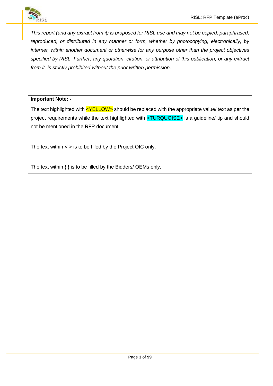

*This report (and any extract from it) is proposed for RISL use and may not be copied, paraphrased, reproduced, or distributed in any manner or form, whether by photocopying, electronically, by internet, within another document or otherwise for any purpose other than the project objectives specified by RISL. Further, any quotation, citation, or attribution of this publication, or any extract from it, is strictly prohibited without the prior written permission.*

**Important Note: -**

The text highlighted with  $\leq$ YELLOW $>$  should be replaced with the appropriate value/ text as per the project requirements while the text highlighted with <TURQUOISE> is a guideline/ tip and should not be mentioned in the RFP document.

The text within  $\lt$  > is to be filled by the Project OIC only.

The text within { } is to be filled by the Bidders/ OEMs only.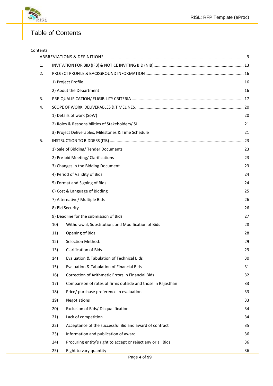

## Table of Contents

| Contents |                                        |                                                              |    |
|----------|----------------------------------------|--------------------------------------------------------------|----|
| 1.       |                                        |                                                              |    |
| 2.       |                                        |                                                              |    |
|          |                                        | 1) Project Profile                                           | 16 |
|          |                                        | 2) About the Department                                      | 16 |
| 3.       |                                        |                                                              |    |
| 4.       |                                        |                                                              |    |
|          |                                        | 1) Details of work (SoW)                                     | 20 |
|          |                                        | 2) Roles & Responsibilities of Stakeholders/ SI              | 21 |
|          |                                        | 3) Project Deliverables, Milestones & Time Schedule          | 21 |
| 5.       |                                        |                                                              |    |
|          |                                        | 1) Sale of Bidding/ Tender Documents                         | 23 |
|          |                                        | 2) Pre-bid Meeting/ Clarifications                           | 23 |
|          |                                        | 3) Changes in the Bidding Document                           | 23 |
|          |                                        | 4) Period of Validity of Bids                                | 24 |
|          |                                        | 5) Format and Signing of Bids                                | 24 |
|          |                                        | 6) Cost & Language of Bidding                                |    |
|          |                                        | 7) Alternative/ Multiple Bids                                |    |
|          | 8) Bid Security                        |                                                              | 26 |
|          | 9) Deadline for the submission of Bids |                                                              | 27 |
|          | 10)                                    | Withdrawal, Substitution, and Modification of Bids           | 28 |
|          | 11)                                    | Opening of Bids                                              | 28 |
|          | 12)                                    | Selection Method:                                            | 29 |
|          | 13)                                    | Clarification of Bids                                        | 29 |
|          | 14)                                    | Evaluation & Tabulation of Technical Bids                    | 30 |
|          | 15)                                    | Evaluation & Tabulation of Financial Bids                    | 31 |
|          | 16)                                    | Correction of Arithmetic Errors in Financial Bids            | 32 |
|          | 17)                                    | Comparison of rates of firms outside and those in Rajasthan  | 33 |
|          | 18)                                    | Price/ purchase preference in evaluation                     | 33 |
|          | 19)                                    | Negotiations                                                 | 33 |
|          | 20)                                    | Exclusion of Bids/ Disqualification                          | 34 |
|          | 21)                                    | Lack of competition                                          | 34 |
|          | 22)                                    | Acceptance of the successful Bid and award of contract       | 35 |
|          | 23)                                    | Information and publication of award                         | 36 |
|          | 24)                                    | Procuring entity's right to accept or reject any or all Bids | 36 |
|          | 25)                                    | Right to vary quantity                                       | 36 |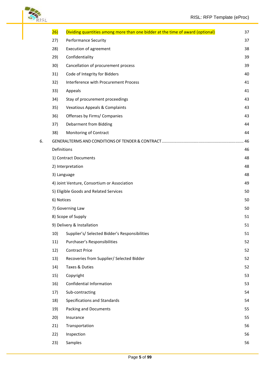

|    | 26)         | Dividing quantities among more than one bidder at the time of award (optional) | 37 |
|----|-------------|--------------------------------------------------------------------------------|----|
|    | 27)         | <b>Performance Security</b>                                                    | 37 |
|    | 28)         | Execution of agreement                                                         | 38 |
|    | 29)         | Confidentiality                                                                | 39 |
|    | 30)         | Cancellation of procurement process                                            | 39 |
|    | 31)         | Code of Integrity for Bidders                                                  | 40 |
|    | 32)         | Interference with Procurement Process                                          | 41 |
|    | 33)         | Appeals                                                                        | 41 |
|    | 34)         | Stay of procurement proceedings                                                | 43 |
|    | 35)         | <b>Vexatious Appeals &amp; Complaints</b>                                      | 43 |
|    | 36)         | Offenses by Firms/ Companies                                                   | 43 |
|    | 37)         | Debarment from Bidding                                                         | 44 |
|    | 38)         | Monitoring of Contract                                                         | 44 |
| 6. |             |                                                                                |    |
|    | Definitions |                                                                                | 46 |
|    |             | 1) Contract Documents                                                          | 48 |
|    |             | 2) Interpretation                                                              | 48 |
|    | 3) Language |                                                                                | 48 |
|    |             | 4) Joint Venture, Consortium or Association                                    | 49 |
|    |             | 5) Eligible Goods and Related Services                                         | 50 |
|    | 6) Notices  |                                                                                | 50 |
|    |             | 7) Governing Law                                                               | 50 |
|    |             | 8) Scope of Supply                                                             | 51 |
|    |             | 9) Delivery & Installation                                                     | 51 |
|    | 10)         | Supplier's/ Selected Bidder's Responsibilities                                 | 51 |
|    | 11)         | Purchaser's Responsibilities                                                   | 52 |
|    | 12)         | <b>Contract Price</b>                                                          | 52 |
|    | 13)         | Recoveries from Supplier/ Selected Bidder                                      | 52 |
|    | 14)         | Taxes & Duties                                                                 | 52 |
|    | 15)         | Copyright                                                                      | 53 |
|    | 16)         | Confidential Information                                                       | 53 |
|    | 17)         | Sub-contracting                                                                | 54 |
|    | 18)         | Specifications and Standards                                                   | 54 |
|    | 19)         | Packing and Documents                                                          | 55 |
|    | 20)         | Insurance                                                                      | 55 |
|    | 21)         | Transportation                                                                 | 56 |
|    | 22)         | Inspection                                                                     | 56 |
|    | 23)         | Samples                                                                        | 56 |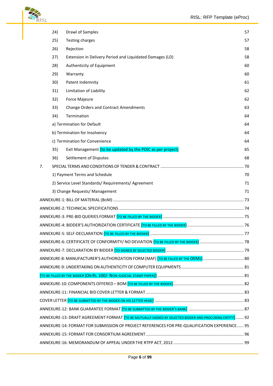

|    | 24) | Drawl of Samples                                                                                                             | 57 |
|----|-----|------------------------------------------------------------------------------------------------------------------------------|----|
|    | 25) | <b>Testing charges</b>                                                                                                       | 57 |
|    | 26) | Rejection                                                                                                                    | 58 |
|    | 27) | Extension in Delivery Period and Liquidated Damages (LD)                                                                     | 58 |
|    | 28) | Authenticity of Equipment                                                                                                    | 60 |
|    | 29) | Warranty                                                                                                                     | 60 |
|    | 30) | Patent Indemnity                                                                                                             | 61 |
|    | 31) | Limitation of Liability                                                                                                      | 62 |
|    | 32) | <b>Force Majeure</b>                                                                                                         | 62 |
|    | 33) | <b>Change Orders and Contract Amendments</b>                                                                                 | 63 |
|    | 34) | Termination                                                                                                                  | 64 |
|    |     | a) Termination for Default                                                                                                   | 64 |
|    |     | b) Termination for Insolvency                                                                                                | 64 |
|    |     | c) Termination for Convenience                                                                                               | 64 |
|    | 35) | Exit Management {to be updated by the POIC as per project}                                                                   | 65 |
|    | 36) | Settlement of Disputes                                                                                                       | 68 |
| 7. |     |                                                                                                                              |    |
|    |     | 1) Payment Terms and Schedule                                                                                                | 70 |
|    |     | 2) Service Level Standards/ Requirements/ Agreement                                                                          | 71 |
|    |     | 3) Change Requests/ Management                                                                                               | 71 |
|    |     |                                                                                                                              |    |
|    |     |                                                                                                                              |    |
|    |     | ANNEXURE-3: PRE-BID QUERIES FORMAT <mark>{to be filled by the bidder}</mark> ………………………………………………………………… 75                    |    |
|    |     | ANNEXURE-4: BIDDER'S AUTHORIZATION CERTIFICATE <mark>{to be filled by the bidder}</mark> …………………………………………………………………………………………… |    |
|    |     |                                                                                                                              |    |
|    |     | ANNEXURE-6: CERTIFICATE OF CONFORMITY/ NO DEVIATION <mark>{to be filled by the bidder}</mark> …………………………………… 78              |    |
|    |     | ANNEXURE-7: DECLARATION BY BIDDER <mark>{to signed by selected bidder}</mark> ………………………………………………………………………………………              |    |
|    |     | ANNEXURE-8: MANUFACTURER'S AUTHORIZATION FORM (MAF) <mark>{to be filled by the OEMs}</mark> ………………………………… 80                 |    |
|    |     |                                                                                                                              |    |
|    |     |                                                                                                                              |    |
|    |     | ANNEXURE-10: COMPONENTS OFFERED – BOM <mark>{to be filled by the bidder}</mark> ………………………………………………………… 82                    |    |
|    |     |                                                                                                                              |    |
|    |     | COVER LETTER <mark>{to be submitted by the bidder on his Letter head}</mark> ……………………………………………………………………… 83                  |    |
|    |     | ANNEXURE-12: BANK GUARANTEE FORMAT <mark>{to be submitted by the bidder's bank}</mark> ……………………………………………… 87                 |    |
|    |     | ANNEXURE-13: DRAFT AGREEMENT FORMAT {TO BE MUTUALLY SIGNED BY SELECTED BIDDER AND PROCURING ENTITY}  92                      |    |
|    |     | ANNEXURE-14: FORMAT FOR SUBMISSION OF PROJECT REFERENCES FOR PRE-QUALIFICATION EXPERIENCE 95                                 |    |
|    |     |                                                                                                                              |    |
|    |     |                                                                                                                              |    |
|    |     |                                                                                                                              |    |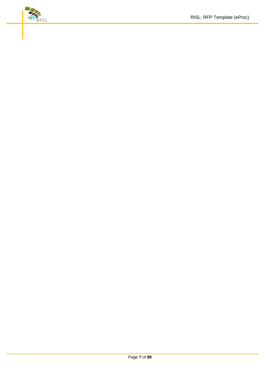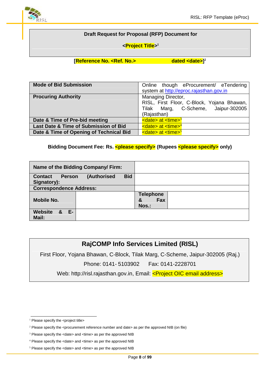

#### **Draft Request for Proposal (RFP) Document for**

## **<Project Title> 1**

## **[Reference No. <Ref. No.>**

dated  $\leq$ date>]<sup>2</sup>

| <b>Mode of Bid Submission</b>           | Online though eProcurement/ eTendering     |
|-----------------------------------------|--------------------------------------------|
|                                         | system at http://eproc.rajasthan.gov.in    |
| <b>Procuring Authority</b>              | Managing Director,                         |
|                                         | RISL, First Floor, C-Block, Yojana Bhawan, |
|                                         | Tilak Marg, C-Scheme, Jaipur-302005        |
|                                         | (Rajasthan)                                |
| Date & Time of Pre-bid meeting          | $\leq$ date> at $\leq$ time> $^3$          |
| Last Date & Time of Submission of Bid   | $\leq$ date> at $\leq$ time> <sup>4</sup>  |
| Date & Time of Opening of Technical Bid | $\leq$ date> at $\leq$ time> <sup>5</sup>  |

#### **Bidding Document Fee: Rs. < please specify> (Rupees < please specify > only)**

| Name of the Bidding Company/Firm:                                           |                                       |
|-----------------------------------------------------------------------------|---------------------------------------|
| <b>Bid</b><br>(Authorised<br><b>Contact</b><br><b>Person</b><br>Signatory): |                                       |
| <b>Correspondence Address:</b>                                              |                                       |
| <b>Mobile No.</b>                                                           | <b>Telephone</b><br>Fax<br>&<br>Nos.: |
| $E-$<br><b>Website</b><br><u>&amp;</u><br>Mail:                             |                                       |

## **RajCOMP Info Services Limited (RISL)**

First Floor, Yojana Bhawan, C-Block, Tilak Marg, C-Scheme, Jaipur-302005 (Raj.)

Phone: 0141- 5103902 Fax: 0141-2228701

Web: http://risl.rajasthan.gov.in, Email: <**Project OIC email address>** 

<sup>&</sup>lt;sup>1</sup> Please specify the <project title>

 $2$  Please specify the <procurement reference number and date> as per the approved NIB (on file)

<sup>&</sup>lt;sup>3</sup> Please specify the <date> and <time> as per the approved NIB

<sup>4</sup> Please specify the <date> and <time> as per the approved NIB

 $<sup>5</sup>$  Please specify the <date> and <time> as per the approved NIB</sup>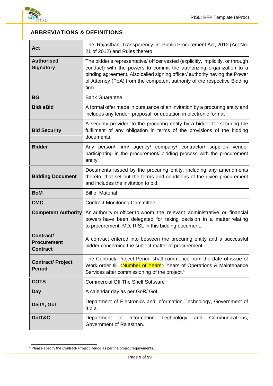

## **ABBREVIATIONS & DEFINITIONS**

| <b>Act</b>                                         | The Rajasthan Transparency in Public Procurement Act, 2012 (Act No.<br>21 of 2012) and Rules thereto                                                                                                                                                                                                                       |
|----------------------------------------------------|----------------------------------------------------------------------------------------------------------------------------------------------------------------------------------------------------------------------------------------------------------------------------------------------------------------------------|
| <b>Authorised</b><br><b>Signatory</b>              | The bidder's representative/ officer vested (explicitly, implicitly, or through<br>conduct) with the powers to commit the authorizing organization to a<br>binding agreement. Also called signing officer/ authority having the Power<br>of Attorney (PoA) from the competent authority of the respective Bidding<br>firm. |
| <b>BG</b>                                          | <b>Bank Guarantee</b>                                                                                                                                                                                                                                                                                                      |
| <b>Bid/eBid</b>                                    | A formal offer made in pursuance of an invitation by a procuring entity and<br>includes any tender, proposal or quotation in electronic format                                                                                                                                                                             |
| <b>Bid Security</b>                                | A security provided to the procuring entity by a bidder for securing the<br>fulfilment of any obligation in terms of the provisions of the bidding<br>documents.                                                                                                                                                           |
| <b>Bidder</b>                                      | Any person/ firm/ agency/ company/ contractor/ supplier/ vendor<br>participating in the procurement/ bidding process with the procurement<br>entity                                                                                                                                                                        |
| <b>Bidding Document</b>                            | Documents issued by the procuring entity, including any amendments<br>thereto, that set out the terms and conditions of the given procurement<br>and includes the invitation to bid                                                                                                                                        |
| <b>BoM</b>                                         | <b>Bill of Material</b>                                                                                                                                                                                                                                                                                                    |
| <b>CMC</b>                                         | <b>Contract Monitoring Committee</b>                                                                                                                                                                                                                                                                                       |
| <b>Competent Authority</b>                         | An authority or officer to whom the relevant administrative or financial<br>powers have been delegated for taking decision in a matter relating<br>to procurement. MD, RISL in this bidding document.                                                                                                                      |
| Contract/<br><b>Procurement</b><br><b>Contract</b> | A contract entered into between the procuring entity and a successful<br>bidder concerning the subject matter of procurement                                                                                                                                                                                               |
| <b>Contract/ Project</b><br><b>Period</b>          | The Contract/ Project Period shall commence from the date of issue of<br>Work order till <number of="" years=""> Years of Operations &amp; Maintenance<br/>Services after commissioning of the project.<sup>6</sup></number>                                                                                               |
| <b>COTS</b>                                        | <b>Commercial Off The Shelf Software</b>                                                                                                                                                                                                                                                                                   |
| Day                                                | A calendar day as per GoR/ Gol.                                                                                                                                                                                                                                                                                            |
| DeitY, Gol                                         | Department of Electronics and Information Technology, Government of<br>India                                                                                                                                                                                                                                               |
| DoIT&C                                             | Technology<br>Communications,<br>Department<br>Information<br>of<br>and<br>Government of Rajasthan.                                                                                                                                                                                                                        |

<sup>&</sup>lt;sup>6</sup> Please specify the Contract/ Project Period as per the project requirements.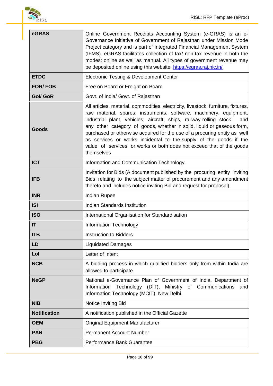

| eGRAS                  | Online Government Receipts Accounting System (e-GRAS) is an e-<br>Governance Initiative of Government of Rajasthan under Mission Mode<br>Project category and is part of Integrated Financial Management System<br>(IFMS). eGRAS facilitates collection of tax/ non-tax revenue in both the<br>modes: online as well as manual. All types of government revenue may<br>be deposited online using this website: https://egras.raj.nic.in/                                                                                                               |
|------------------------|--------------------------------------------------------------------------------------------------------------------------------------------------------------------------------------------------------------------------------------------------------------------------------------------------------------------------------------------------------------------------------------------------------------------------------------------------------------------------------------------------------------------------------------------------------|
| <b>ETDC</b>            | Electronic Testing & Development Center                                                                                                                                                                                                                                                                                                                                                                                                                                                                                                                |
| <b>FOR/FOB</b>         | Free on Board or Freight on Board                                                                                                                                                                                                                                                                                                                                                                                                                                                                                                                      |
| <b>Gol/ GoR</b>        | Govt. of India/ Govt. of Rajasthan                                                                                                                                                                                                                                                                                                                                                                                                                                                                                                                     |
| Goods                  | All articles, material, commodities, electricity, livestock, furniture, fixtures,<br>raw material, spares, instruments, software, machinery, equipment,<br>industrial plant, vehicles, aircraft, ships, railway rolling stock<br>and<br>any other category of goods, whether in solid, liquid or gaseous form,<br>purchased or otherwise acquired for the use of a procuring entity as well<br>as services or works incidental to the supply of the goods if the<br>value of services or works or both does not exceed that of the goods<br>themselves |
| <b>ICT</b>             | Information and Communication Technology.                                                                                                                                                                                                                                                                                                                                                                                                                                                                                                              |
| <b>IFB</b>             | Invitation for Bids (A document published by the procuring entity inviting<br>Bids relating to the subject matter of procurement and any amendment<br>thereto and includes notice inviting Bid and request for proposal)                                                                                                                                                                                                                                                                                                                               |
| <b>INR</b>             | <b>Indian Rupee</b>                                                                                                                                                                                                                                                                                                                                                                                                                                                                                                                                    |
| <b>ISI</b>             | Indian Standards Institution                                                                                                                                                                                                                                                                                                                                                                                                                                                                                                                           |
| <b>ISO</b>             | International Organisation for Standardisation                                                                                                                                                                                                                                                                                                                                                                                                                                                                                                         |
| $\mathsf{I}\mathsf{T}$ | <b>Information Technology</b>                                                                                                                                                                                                                                                                                                                                                                                                                                                                                                                          |
| <b>ITB</b>             | <b>Instruction to Bidders</b>                                                                                                                                                                                                                                                                                                                                                                                                                                                                                                                          |
| <b>LD</b>              | <b>Liquidated Damages</b>                                                                                                                                                                                                                                                                                                                                                                                                                                                                                                                              |
| Lol                    | Letter of Intent                                                                                                                                                                                                                                                                                                                                                                                                                                                                                                                                       |
| <b>NCB</b>             | A bidding process in which qualified bidders only from within India are<br>allowed to participate                                                                                                                                                                                                                                                                                                                                                                                                                                                      |
| <b>NeGP</b>            | National e-Governance Plan of Government of India, Department of<br>Information Technology (DIT), Ministry of Communications and<br>Information Technology (MCIT), New Delhi.                                                                                                                                                                                                                                                                                                                                                                          |
| <b>NIB</b>             | Notice Inviting Bid                                                                                                                                                                                                                                                                                                                                                                                                                                                                                                                                    |
| <b>Notification</b>    | A notification published in the Official Gazette                                                                                                                                                                                                                                                                                                                                                                                                                                                                                                       |
| <b>OEM</b>             | <b>Original Equipment Manufacturer</b>                                                                                                                                                                                                                                                                                                                                                                                                                                                                                                                 |
| <b>PAN</b>             | <b>Permanent Account Number</b>                                                                                                                                                                                                                                                                                                                                                                                                                                                                                                                        |
| <b>PBG</b>             | Performance Bank Guarantee                                                                                                                                                                                                                                                                                                                                                                                                                                                                                                                             |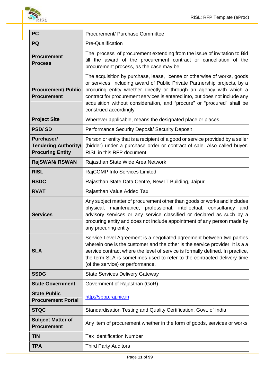

| <b>PC</b>                                                            | Procurement/ Purchase Committee                                                                                                                                                                                                                                                                                                                                                                                 |
|----------------------------------------------------------------------|-----------------------------------------------------------------------------------------------------------------------------------------------------------------------------------------------------------------------------------------------------------------------------------------------------------------------------------------------------------------------------------------------------------------|
| PQ                                                                   | Pre-Qualification                                                                                                                                                                                                                                                                                                                                                                                               |
| <b>Procurement</b><br><b>Process</b>                                 | The process of procurement extending from the issue of invitation to Bid<br>till the award of the procurement contract or cancellation of the<br>procurement process, as the case may be                                                                                                                                                                                                                        |
| <b>Procurement/ Public</b><br><b>Procurement</b>                     | The acquisition by purchase, lease, license or otherwise of works, goods<br>or services, including award of Public Private Partnership projects, by a<br>procuring entity whether directly or through an agency with which a<br>contract for procurement services is entered into, but does not include any<br>acquisition without consideration, and "procure" or "procured" shall be<br>construed accordingly |
| <b>Project Site</b>                                                  | Wherever applicable, means the designated place or places.                                                                                                                                                                                                                                                                                                                                                      |
| <b>PSD/SD</b>                                                        | Performance Security Deposit/ Security Deposit                                                                                                                                                                                                                                                                                                                                                                  |
| Purchaser/<br><b>Tendering Authority/</b><br><b>Procuring Entity</b> | Person or entity that is a recipient of a good or service provided by a seller<br>(bidder) under a purchase order or contract of sale. Also called buyer.<br>RISL in this RFP document.                                                                                                                                                                                                                         |
| <b>RajSWAN/ RSWAN</b>                                                | Rajasthan State Wide Area Network                                                                                                                                                                                                                                                                                                                                                                               |
| <b>RISL</b>                                                          | RajCOMP Info Services Limited                                                                                                                                                                                                                                                                                                                                                                                   |
| <b>RSDC</b>                                                          | Rajasthan State Data Centre, New IT Building, Jaipur                                                                                                                                                                                                                                                                                                                                                            |
| <b>RVAT</b>                                                          | Rajasthan Value Added Tax                                                                                                                                                                                                                                                                                                                                                                                       |
| <b>Services</b>                                                      | Any subject matter of procurement other than goods or works and includes<br>physical, maintenance, professional, intellectual, consultancy and<br>advisory services or any service classified or declared as such by a<br>procuring entity and does not include appointment of any person made by<br>any procuring entity                                                                                       |
| <b>SLA</b>                                                           | Service Level Agreement is a negotiated agreement between two parties<br>wherein one is the customer and the other is the service provider. It is a a<br>service contract where the level of service is formally defined. In practice,<br>the term SLA is sometimes used to refer to the contracted delivery time<br>(of the service) or performance.                                                           |
| <b>SSDG</b>                                                          | <b>State Services Delivery Gateway</b>                                                                                                                                                                                                                                                                                                                                                                          |
| <b>State Government</b>                                              | Government of Rajasthan (GoR)                                                                                                                                                                                                                                                                                                                                                                                   |
| <b>State Public</b><br><b>Procurement Portal</b>                     | http://sppp.raj.nic.in                                                                                                                                                                                                                                                                                                                                                                                          |
| <b>STQC</b>                                                          | Standardisation Testing and Quality Certification, Govt. of India                                                                                                                                                                                                                                                                                                                                               |
|                                                                      |                                                                                                                                                                                                                                                                                                                                                                                                                 |
| <b>Subject Matter of</b><br><b>Procurement</b>                       | Any item of procurement whether in the form of goods, services or works                                                                                                                                                                                                                                                                                                                                         |
| <b>TIN</b>                                                           | <b>Tax Identification Number</b>                                                                                                                                                                                                                                                                                                                                                                                |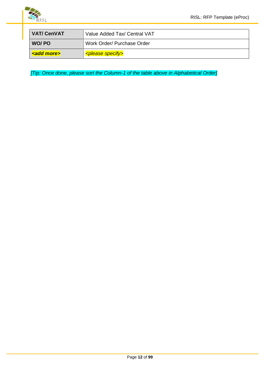

| <b>VAT/ CenVAT</b> | Value Added Tax/ Central VAT |
|--------------------|------------------------------|
| WO/PO              | Work Order/ Purchase Order   |
| <b>kadd mores</b>  | <please specify=""></please> |

*[Tip: Once done, please sort the Column-1 of the table above in Alphabetical Order]*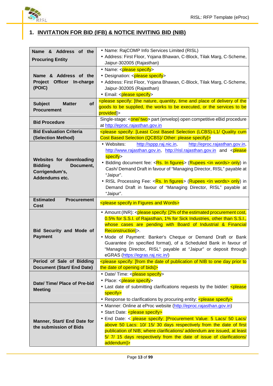

## **1. INVITATION FOR BID (IFB) & NOTICE INVITING BID (NIB)**

| Name & Address of the                        | • Name: RajCOMP Info Services Limited (RISL)                                                                                                            |  |  |
|----------------------------------------------|---------------------------------------------------------------------------------------------------------------------------------------------------------|--|--|
| <b>Procuring Entity</b>                      | • Address: First Floor, Yojana Bhawan, C-Block, Tilak Marg, C-Scheme,                                                                                   |  |  |
|                                              | Jaipur-302005 (Rajasthan)                                                                                                                               |  |  |
|                                              | • Name: <please specify=""></please>                                                                                                                    |  |  |
| Name & Address of the                        | • Designation: < <b>please specify</b> >                                                                                                                |  |  |
| Project Officer In-charge                    | • Address: First Floor, Yojana Bhawan, C-Block, Tilak Marg, C-Scheme,                                                                                   |  |  |
| (POIC)                                       | Jaipur-302005 (Rajasthan)                                                                                                                               |  |  |
|                                              | • Email: < please specify>                                                                                                                              |  |  |
|                                              | <please [the="" and="" delivery="" nature,="" of="" place="" quantity,="" specify:="" th="" the<="" time=""></please>                                   |  |  |
| <b>of</b><br><b>Subject</b><br><b>Matter</b> | goods to be supplied, the works to be executed, or the services to be                                                                                   |  |  |
| <b>Procurement</b>                           | provided]>                                                                                                                                              |  |  |
|                                              | Single-stage: <one two=""> part (envelop) open competitive eBid procedure</one>                                                                         |  |  |
| <b>Bid Procedure</b>                         | at http://eproc.rajasthan.gov.in                                                                                                                        |  |  |
| <b>Bid Evaluation Criteria</b>               | <please (lcbs)-l1="" [least="" based="" cost="" cum<="" quality="" selection="" specify:="" th=""></please>                                             |  |  |
| (Selection Method)                           | Cost Based Selection (QCBS)/ Other: please specify]>                                                                                                    |  |  |
|                                              | http://sppp.raj.nic.in,<br>http://eproc.rajasthan.gov.in,<br>• Websites:                                                                                |  |  |
|                                              | http://www.rajasthan.gov.in, http://risl.rajasthan.gov.in and <please< th=""></please<>                                                                 |  |  |
|                                              | specify>                                                                                                                                                |  |  |
| Websites for downloading                     | • Bidding document fee: <rs. figures="" in=""> (Rupees <in words=""> only) in</in></rs.>                                                                |  |  |
| <b>Bidding</b><br>Document,                  | Cash/Demand Draft in favour of "Managing Director, RISL" payable at                                                                                     |  |  |
| Corrigendum's,                               | "Jaipur".                                                                                                                                               |  |  |
| Addendums etc.                               | • RISL Processing Fee: <rs. figures="" in=""> (Rupees <in words=""> only) in</in></rs.>                                                                 |  |  |
|                                              |                                                                                                                                                         |  |  |
|                                              | Demand Draft in favour of "Managing Director, RISL" payable at                                                                                          |  |  |
|                                              |                                                                                                                                                         |  |  |
|                                              | "Jaipur".                                                                                                                                               |  |  |
| <b>Estimated</b><br><b>Procurement</b>       | <please and="" figures="" in="" specify="" words=""></please>                                                                                           |  |  |
| <b>Cost</b>                                  |                                                                                                                                                         |  |  |
|                                              | • Amount (INR): <please [2%="" cost,<="" estimated="" of="" procurement="" specify:="" th="" the=""></please>                                           |  |  |
|                                              | 0.5% for S.S.I. of Rajasthan, 1% for Sick Industries, other than S.S.I.,                                                                                |  |  |
|                                              | whose cases are pending with Board of Industrial & Financial                                                                                            |  |  |
| <b>Bid Security and Mode of</b>              | Reconstruction]>.                                                                                                                                       |  |  |
| <b>Payment</b>                               | • Mode of Payment: Banker's Cheque or Demand Draft or Bank                                                                                              |  |  |
|                                              | Guarantee (in specified format), of a Scheduled Bank in favour of                                                                                       |  |  |
|                                              | "Managing Director, RISL" payable at "Jaipur" or deposit through                                                                                        |  |  |
| Period of Sale of Bidding                    | eGRAS (https://egras.raj.nic.in/)                                                                                                                       |  |  |
| <b>Document (Start/ End Date)</b>            | <please [from="" date="" day="" nib="" of="" one="" prior="" publication="" specify:="" the="" to="" to<br="">the date of opening of bids]&gt;</please> |  |  |
|                                              |                                                                                                                                                         |  |  |
|                                              | • Date/ Time: <please specify=""></please>                                                                                                              |  |  |
| Date/ Time/ Place of Pre-bid                 | • Place: <please specify=""></please>                                                                                                                   |  |  |
| <b>Meeting</b>                               | • Last date of submitting clarifications requests by the bidder: < please                                                                               |  |  |
|                                              | specify>                                                                                                                                                |  |  |
|                                              | • Response to clarifications by procuring entity: < please specify>                                                                                     |  |  |
|                                              | • Manner: Online at eProc website (http://eproc.rajasthan.gov.in)                                                                                       |  |  |
|                                              | • Start Date: < please specify>                                                                                                                         |  |  |
| Manner, Start/ End Date for                  | • End Date: < please specify: [Procurement Value: 5 Lacs/ 50 Lacs/                                                                                      |  |  |
| the submission of Bids                       | above 50 Lacs: 10/ 15/ 30 days respectively from the date of first                                                                                      |  |  |
|                                              | publication of NIB; where clarifications/ addendum are issued, at least                                                                                 |  |  |
|                                              | 5/ 7/ 15 days respectively from the date of issue of clarifications/<br>addendum]>                                                                      |  |  |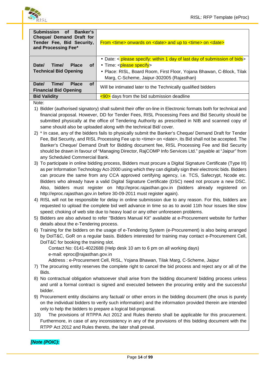

| Submission of Banker's<br><b>Cheque/ Demand Draft for</b><br>Tender Fee, Bid Security,<br>and Processing Fee* | From <time> onwards on <date> and up to <time> on <date></date></time></date></time>                                                                                                                                                      |  |
|---------------------------------------------------------------------------------------------------------------|-------------------------------------------------------------------------------------------------------------------------------------------------------------------------------------------------------------------------------------------|--|
| <b>Place</b><br>Date/<br>Time/<br>of .<br><b>Technical Bid Opening</b>                                        | • Date: < please specify: within 1 day of last day of submission of bids><br>• Time: <please specify=""><br/>• Place: RISL, Board Room, First Floor, Yojana Bhawan, C-Block, Tilak<br/>Marg, C-Scheme, Jaipur-302005 (Rajasthan)</please> |  |
| <b>Place</b><br><b>of</b><br>Date/<br>Time/<br><b>Financial Bid Opening</b>                                   | Will be intimated later to the Technically qualified bidders                                                                                                                                                                              |  |
| <b>Bid Validity</b><br>Note:                                                                                  | $\leq$ 90> days from the bid submission deadline                                                                                                                                                                                          |  |
|                                                                                                               |                                                                                                                                                                                                                                           |  |

1) Bidder (authorised signatory) shall submit their offer on-line in Electronic formats both for technical and financial proposal. However, DD for Tender Fees, RISL Processing Fees and Bid Security should be submitted physically at the office of Tendering Authority as prescribed in NIB and scanned copy of same should also be uploaded along with the technical Bid/ cover.

- 2) \* In case, any of the bidders fails to physically submit the Banker's Cheque/ Demand Draft for Tender Fee, Bid Security, and RISL Processing Fee up to <time> on <date>, its Bid shall not be accepted. The Banker's Cheque/ Demand Draft for Bidding document fee, RISL Processing Fee and Bid Security should be drawn in favour of "Managing Director, RajCOMP Info Services Ltd." payable at "Jaipur" from any Scheduled Commercial Bank.
- 3) To participate in online bidding process, Bidders must procure a Digital Signature Certificate (Type III) as per Information Technology Act-2000 using which they can digitally sign their electronic bids. Bidders can procure the same from any CCA approved certifying agency, i.e. TCS, Safecrypt, Ncode etc. Bidders who already have a valid Digital Signature Certificate (DSC) need not procure a new DSC. Also, bidders must register on http://eproc.rajasthan.gov.in (bidders already registered on http://eproc.rajasthan.gov.in before 30-09-2011 must register again).
- 4) RISL will not be responsible for delay in online submission due to any reason. For this, bidders are requested to upload the complete bid well advance in time so as to avoid 11th hour issues like slow speed; choking of web site due to heavy load or any other unforeseen problems.
- 5) Bidders are also advised to refer "Bidders Manual Kit" available at e-Procurement website for further details about the e-Tendering process.
- 6) Training for the bidders on the usage of e-Tendering System (e-Procurement) is also being arranged by DoIT&C, GoR on a regular basis. Bidders interested for training may contact e-Procurement Cell, DoIT&C for booking the training slot.

Contact No: 0141-4022688 (Help desk 10 am to 6 pm on all working days) e-mail: eproc@rajasthan.gov.in

Address : e-Procurement Cell, RISL, Yojana Bhawan, Tilak Marg, C-Scheme, Jaipur

- 7) The procuring entity reserves the complete right to cancel the bid process and reject any or all of the Bids.
- 8) No contractual obligation whatsoever shall arise from the bidding document/ bidding process unless and until a formal contract is signed and executed between the procuring entity and the successful bidder.
- 9) Procurement entity disclaims any factual/ or other errors in the bidding document (the onus is purely on the individual bidders to verify such information) and the information provided therein are intended only to help the bidders to prepare a logical bid-proposal.
- 10) The provisions of RTPPA Act 2012 and Rules thereto shall be applicable for this procurement. Furthermore, in case of any inconsistency in any of the provisions of this bidding document with the RTPP Act 2012 and Rules thereto, the later shall prevail.

*[Note (POIC):*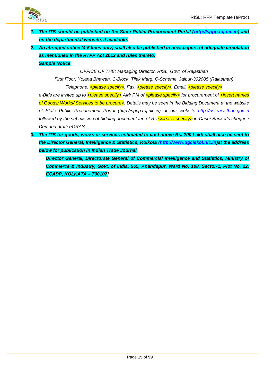

*1. The ITB should be published on the State Public Procurement Portal (http://sppp.raj.nic.in) and on the departmental website, if available.*

*2. An abridged notice (4-5 lines only) shall also be published in newspapers of adequate circulation as mentioned in the RTPP Act 2012 and rules thereto. Sample Notice*

*OFFICE OF THE: Managing Director, RISL, Govt. of Rajasthan*

*First Floor, Yojana Bhawan, C-Block, Tilak Marg, C-Scheme, Jaipur-302005 (Rajasthan) Telephone: <please specify>, Fax: <please specify>, Email: <please specify>*

*e-Bids are invited up to <please specify> AM/ PM of <please specify> for procurement of <insert names of Goods/ Works/ Services to be procure>. Details may be seen in the Bidding Document at the website of State Public Procurement Portal (http://sppp.raj.nic.in) or our website http://risl.rajasthan.gov.in followed by the submission of bidding document fee of Rs <please specify> <i>in* Cash/ *Banker's cheque* / *Demand draft/ eGRAS.*

*3. The ITB for goods, works or services estimated to cost above Rs. 200 Lakh shall also be sent to the Director General, Intelligence & Statistics, Kolkota (http://www.dgciskol.nic.in)at the address below for publication in Indian Trade Journal*

*Director General, Directorate General of Commercial Intelligence and Statistics, Ministry of Commerce & Industry, Govt. of India, 565, Anandapur, Ward No. 108, Sector-1, Plot No. 22, ECADP, KOLKATA – 700107]*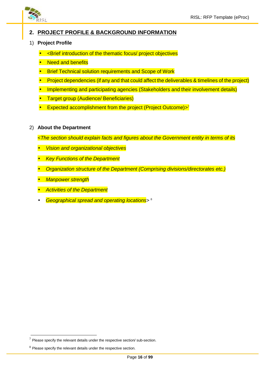

## **2. PROJECT PROFILE & BACKGROUND INFORMATION**

- 1) **Project Profile**
	- <Brief introduction of the thematic focus/ project objectives
	- Need and benefits
	- Brief Technical solution requirements and Scope of Work
	- Project dependencies (if any and that could affect the deliverables & timelines of the project)
	- Implementing and participating agencies (Stakeholders and their involvement details)
	- Target group (Audience/ Beneficiaries)
	- Expected accomplishment from the project (Project Outcome)><sup>7</sup>
- 2) **About the Department**
	- *<The section should explain facts and figures about the Government entity in terms of its*
	- *Vision and organizational objectives*
	- *Key Functions of the Department*
	- *Organization structure of the Department (Comprising divisions/directorates etc.)*
	- *Manpower strength*
	- *Activities of the Department*
	- *Geographical spread and operating locations>* 8

 $7$  Please specify the relevant details under the respective section/ sub-section.

 $8$  Please specify the relevant details under the respective section.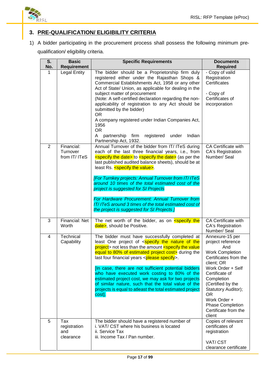

## **3. PRE-QUALIFICATION/ ELIGIBILITY CRITERIA**

1) A bidder participating in the procurement process shall possess the following minimum pre qualification/ eligibility criteria.

| S.<br>No.      | <b>Basic</b><br><b>Requirement</b>      | <b>Specific Requirements</b>                                                                                                                                                                                                                                                                                                                                                                                                                                                                                                                                                                                              | <b>Documents</b><br><b>Required</b>                                                                                                                                                                                                                                                               |
|----------------|-----------------------------------------|---------------------------------------------------------------------------------------------------------------------------------------------------------------------------------------------------------------------------------------------------------------------------------------------------------------------------------------------------------------------------------------------------------------------------------------------------------------------------------------------------------------------------------------------------------------------------------------------------------------------------|---------------------------------------------------------------------------------------------------------------------------------------------------------------------------------------------------------------------------------------------------------------------------------------------------|
| 1              | <b>Legal Entity</b>                     | The bidder should be a Proprietorship firm duly<br>registered either under the Rajasthan Shops &<br>Commercial Establishments Act, 1958 or any other<br>Act of State/ Union, as applicable for dealing in the<br>subject matter of procurement<br>(Note: A self-certified declaration regarding the non-<br>applicability of registration to any Act should be<br>submitted by the bidder)<br><b>OR</b><br>A company registered under Indian Companies Act,<br>1956<br><b>OR</b><br>partnership<br>firm<br>registered<br>under<br>Indian<br>A<br>Partnership Act, 1932.                                                   | - Copy of valid<br>Registration<br>Certificates<br>- Copy of<br>Certificates of<br>incorporation                                                                                                                                                                                                  |
| $\overline{2}$ | Financial:<br>Turnover<br>from IT/ ITeS | Annual Turnover of the bidder from IT/ ITeS during<br>each of the last three financial years, i.e., from<br>specify the date> to specify the date> (as per the<br>last published audited balance sheets), should be at<br>least Rs. <specify the="" value="">.<br/>[For Turnkey projects: Annual Turnover from IT/ITeS<br/>around 10 times of the total estimated cost of the<br/>project is suggested for SI Projects<br/>For Hardware Procurement: Annual Turnover from<br/>IT/ITeS around 3 times of the total estimated cost of<br/>the project is suggested for SI Projects ]</specify>                              | <b>CA Certificate with</b><br><b>CA's Registration</b><br>Number/ Seal                                                                                                                                                                                                                            |
| 3              | Financial: Net<br>Worth                 | The net worth of the bidder, as on $\leq$ specify the<br>date>, should be Positive.                                                                                                                                                                                                                                                                                                                                                                                                                                                                                                                                       | CA Certificate with<br><b>CA's Registration</b><br>Number/ Seal                                                                                                                                                                                                                                   |
| 4              | Technical<br>Capability                 | The bidder must have successfully completed at<br>least One project of <specify nature="" of="" the="" the<br="">project&gt; not less than the amount <specify the="" value<br="">equal to 80% of estimated project cost&gt; during the<br/>last four financial years <please specify="">.<br/>[In case, there are not sufficient potential bidders<br/>who have executed work costing to 80% of the<br/>estimated project cost, we may ask for two projects<br/>of similar nature, such that the total value of the<br/>projects is equal to atleast the total estimated project<br/>cost].</please></specify></specify> | Annexure-15 per<br>project reference<br>And<br><b>Work Completion</b><br>Certificates from the<br>client; OR<br>Work Order + Self<br>Certificate of<br>Completion<br>(Certified by the<br>Statutory Auditor);<br>OR.<br>Work Order +<br><b>Phase Completion</b><br>Certificate from the<br>client |
| 5              | Tax<br>registration<br>and<br>clearance | The bidder should have a registered number of<br>i. VAT/ CST where his business is located<br>ii. Service Tax<br>iii. Income Tax / Pan number.                                                                                                                                                                                                                                                                                                                                                                                                                                                                            | Copies of relevant<br>certificates of<br>registration<br>VAT/CST<br>clearance certificate                                                                                                                                                                                                         |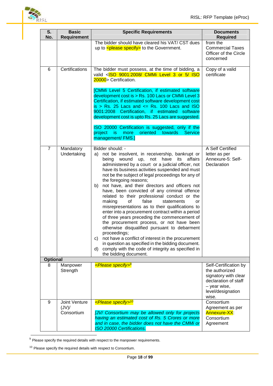

| S.<br>No.       | <b>Basic</b><br><b>Requirement</b>  | <b>Specific Requirements</b>                                                                                                                                                                                                                                                                                                                                                                                                                                                                                                                                                                                                                                                                                                                                                                                                                                                                                                                                                                       | <b>Documents</b><br><b>Required</b>                                                                                                   |  |  |
|-----------------|-------------------------------------|----------------------------------------------------------------------------------------------------------------------------------------------------------------------------------------------------------------------------------------------------------------------------------------------------------------------------------------------------------------------------------------------------------------------------------------------------------------------------------------------------------------------------------------------------------------------------------------------------------------------------------------------------------------------------------------------------------------------------------------------------------------------------------------------------------------------------------------------------------------------------------------------------------------------------------------------------------------------------------------------------|---------------------------------------------------------------------------------------------------------------------------------------|--|--|
|                 |                                     | The bidder should have cleared his VAT/ CST dues<br>from the<br>up to $\leq$ please specify > to the Government.<br><b>Commercial Taxes</b><br>Officer of the Circle<br>concerned                                                                                                                                                                                                                                                                                                                                                                                                                                                                                                                                                                                                                                                                                                                                                                                                                  |                                                                                                                                       |  |  |
| 6               | Certifications                      | The bidder must possess, at the time of bidding, a<br>valid <iso 3="" 5="" 9001:2008="" cmmi="" iso<br="" level="" or="">20000 &gt; Certification.</iso>                                                                                                                                                                                                                                                                                                                                                                                                                                                                                                                                                                                                                                                                                                                                                                                                                                           | Copy of a valid<br>certificate                                                                                                        |  |  |
|                 |                                     | [CMMi Level 5 Certification, if estimated software<br>development cost is > Rs. 100 Lacs or CMMi Level 3<br>Certification, if estimated software development cost<br>is $>$ Rs. 25 Lacs and $\leq$ Rs. 100 Lacs and ISO<br>9001:2008 Certification, if estimated software<br>development cost is upto Rs. 25 Lacs are suggested.                                                                                                                                                                                                                                                                                                                                                                                                                                                                                                                                                                                                                                                                   |                                                                                                                                       |  |  |
|                 |                                     | ISO 20000 Certification is suggested, only if the<br>oriented<br>towards<br><b>Service</b><br>project<br>is.<br>more<br>management/ FMS.]                                                                                                                                                                                                                                                                                                                                                                                                                                                                                                                                                                                                                                                                                                                                                                                                                                                          |                                                                                                                                       |  |  |
| $\overline{7}$  | Mandatory<br>Undertaking            | Bidder should: -<br>not be insolvent, in receivership, bankrupt or<br>a)<br>not have<br>being wound up,<br>its<br>affairs<br>administered by a court or a judicial officer, not<br>have its business activities suspended and must<br>not be the subject of legal proceedings for any of<br>the foregoing reasons;<br>not have, and their directors and officers not<br>b)<br>have, been convicted of any criminal offence<br>related to their professional conduct or the<br>making<br>false<br>statements<br>οf<br>or<br>misrepresentations as to their qualifications to<br>enter into a procurement contract within a period<br>of three years preceding the commencement of<br>the procurement process, or not have been<br>otherwise disqualified pursuant to debarment<br>proceedings;<br>not have a conflict of interest in the procurement<br>C)<br>in question as specified in the bidding document.<br>comply with the code of integrity as specified in<br>d)<br>the bidding document. | A Self Certified<br>letter as per<br>Annexure-5: Self-<br>Declaration                                                                 |  |  |
| <b>Optional</b> |                                     |                                                                                                                                                                                                                                                                                                                                                                                                                                                                                                                                                                                                                                                                                                                                                                                                                                                                                                                                                                                                    |                                                                                                                                       |  |  |
| 8               | Manpower<br>Strength                | <please specify=""><sup>9</sup></please>                                                                                                                                                                                                                                                                                                                                                                                                                                                                                                                                                                                                                                                                                                                                                                                                                                                                                                                                                           | Self-Certification by<br>the authorized<br>signatory with clear<br>declaration of staff<br>- year wise,<br>level/designation<br>wise. |  |  |
| 9               | Joint Venture<br>(VU)<br>Consortium | <please specify=""><sup>10</sup><br/>[JV/ Consortium may be allowed only for projects<br/>having an estimated cost of Rs. 5 Crores or more<br/>and in case, the bidder does not have the CMMi or<br/><b>ISO 20000 Certifications.</b></please>                                                                                                                                                                                                                                                                                                                                                                                                                                                                                                                                                                                                                                                                                                                                                     | Consortium<br>Agreement as per<br><b>Annexure-XX:</b><br>Consortium<br>Agreement                                                      |  |  |

 $9$  Please specify the required details with respect to the manpower requirements.

 $10$  Please specify the required details with respect to Consortium.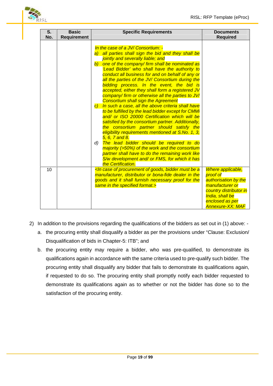

| S.<br>No. | <b>Basic</b><br><b>Requirement</b> | <b>Specific Requirements</b>                                                                                                                                                                                                                                                                                                                                                                                                                                                                                                                                                                                                                                                                                                                                                                                                                                                                                                                                                                                                                                                                                                                            | <b>Documents</b><br><b>Required</b>                                                                                                                                 |
|-----------|------------------------------------|---------------------------------------------------------------------------------------------------------------------------------------------------------------------------------------------------------------------------------------------------------------------------------------------------------------------------------------------------------------------------------------------------------------------------------------------------------------------------------------------------------------------------------------------------------------------------------------------------------------------------------------------------------------------------------------------------------------------------------------------------------------------------------------------------------------------------------------------------------------------------------------------------------------------------------------------------------------------------------------------------------------------------------------------------------------------------------------------------------------------------------------------------------|---------------------------------------------------------------------------------------------------------------------------------------------------------------------|
|           |                                    | In the case of a JV/ Consortium: -<br>a) all parties shall sign the bid and they shall be<br>jointly and severally liable; and<br>b) one of the company/firm shall be nominated as<br>'Lead Bidder' who shall have the authority to<br>conduct all business for and on behalf of any or<br>all the parties of the JV/ Consortium during the<br>bidding process. In the event, the bid is<br>accepted, either they shall form a registered JV<br>company/ firm or otherwise all the parties to JV/<br><b>Consortium shall sign the Agreement</b><br>In such a case, all the above criteria shall have<br>$\mathcal{C}$ )<br>to be fulfilled by the lead bidder except for CMMi<br>and/ or ISO 20000 Certification which will be<br>satisfied by the consortium partner. Additionally,<br>the consortium partner should satisfy the<br>eligibility requirements mentioned at S.No. 1, 3,<br>5, 6, 7 and 8.<br>The lead bidder should be required to do<br>$\left( d \right)$<br>majority (>50%) of the work and the consortium<br>partner shall have to do the remaining work like<br>S/w development and/ or FMS, for which it has<br>the Certification. |                                                                                                                                                                     |
| 10        |                                    | <in a<br="" be="" bidder="" case="" goods,="" must="" of="" procurement="">manufacturer, distributor or bona-fide dealer in the<br/>goods and it shall furnish necessary proof for the<br/>same in the specified format.&gt;</in>                                                                                                                                                                                                                                                                                                                                                                                                                                                                                                                                                                                                                                                                                                                                                                                                                                                                                                                       | Where applicable,<br>proof of<br>authorisation by the<br>manufacturer or<br>country distributor in<br>India, shall be<br>enclosed as per<br><b>Annexure-XX: MAF</b> |

- 2) In addition to the provisions regarding the qualifications of the bidders as set out in (1) above:
	- a. the procuring entity shall disqualify a bidder as per the provisions under "Clause: Exclusion/ Disqualification of bids in Chapter-5: ITB"; and
	- b. the procuring entity may require a bidder, who was pre-qualified, to demonstrate its qualifications again in accordance with the same criteria used to pre-qualify such bidder. The procuring entity shall disqualify any bidder that fails to demonstrate its qualifications again, if requested to do so. The procuring entity shall promptly notify each bidder requested to demonstrate its qualifications again as to whether or not the bidder has done so to the satisfaction of the procuring entity.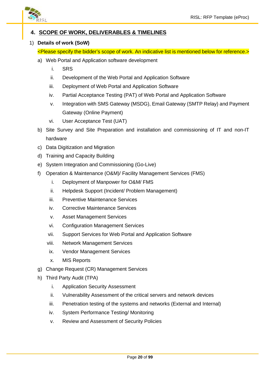

## **4. SCOPE OF WORK, DELIVERABLES & TIMELINES**

#### 1) **Details of work (SoW)**

- <Please specify the bidder's scope of work. An indicative list is mentioned below for reference.>
- a) Web Portal and Application software development
	- i. SRS
	- ii. Development of the Web Portal and Application Software
	- iii. Deployment of Web Portal and Application Software
	- iv. Partial Acceptance Testing (PAT) of Web Portal and Application Software
	- v. Integration with SMS Gateway (MSDG), Email Gateway (SMTP Relay) and Payment Gateway (Online Payment)
	- vi. User Acceptance Test (UAT)
- b) Site Survey and Site Preparation and installation and commissioning of IT and non-IT hardware
- c) Data Digitization and Migration
- d) Training and Capacity Building
- e) System Integration and Commissioning (Go-Live)
- f) Operation & Maintenance (O&M)/ Facility Management Services (FMS)
	- i. Deployment of Manpower for O&M/ FMS
	- ii. Helpdesk Support (Incident/ Problem Management)
	- iii. Preventive Maintenance Services
	- iv. Corrective Maintenance Services
	- v. Asset Management Services
	- vi. Configuration Management Services
	- vii. Support Services for Web Portal and Application Software
	- viii. Network Management Services
	- ix. Vendor Management Services
	- x. MIS Reports
- g) Change Request (CR) Management Services
- h) Third Party Audit (TPA)
	- i. Application Security Assessment
	- ii. Vulnerability Assessment of the critical servers and network devices
	- iii. Penetration testing of the systems and networks (External and Internal)
	- iv. System Performance Testing/ Monitoring
	- v. Review and Assessment of Security Policies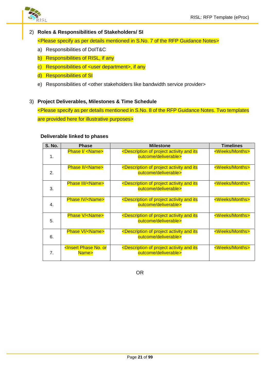

2) **Roles & Responsibilities of Stakeholders/ SI**

<Please specify as per details mentioned in S.No. 7 of the RFP Guidance Notes>

- a) Responsibilities of DoIT&C
- b) Responsibilities of RISL, if any
- c) Responsibilities of <user department>, if any
- d) Responsibilities of SI
- e) Responsibilities of <other stakeholders like bandwidth service provider>

#### 3) **Project Deliverables, Milestones & Time Schedule**

<Please specify as per details mentioned in S.No. 8 of the RFP Guidance Notes. Two templates are provided here for illustrative purposes>

#### **Deliverable linked to phases**

| <b>S. No.</b>    | <b>Phase</b>                                       | <b>Milestone</b>                                                                                 | <b>Timelines</b>          |
|------------------|----------------------------------------------------|--------------------------------------------------------------------------------------------------|---------------------------|
| 1.               | <b>Phase I/ <name></name></b>                      | <description activity="" and="" its<br="" of="" project="">outcome/deliverable&gt;</description> | <weeks months=""></weeks> |
| 2.               | <b>Phase II/<name></name></b>                      | <description activity="" and="" its<br="" of="" project="">outcome/deliverable&gt;</description> | <weeks months=""></weeks> |
| 3.               | <b>Phase III/<name></name></b>                     | <description activity="" and="" its<br="" of="" project="">outcome/deliverable&gt;</description> | <weeks months=""></weeks> |
| $\overline{4}$ . | <b>Phase IV/<name></name></b>                      | <description activity="" and="" its<br="" of="" project="">outcome/deliverable&gt;</description> | <weeks months=""></weeks> |
| 5.               | <b>Phase V/<name></name></b>                       | <description activity="" and="" its<br="" of="" project="">outcome/deliverable&gt;</description> | <weeks months=""></weeks> |
| 6.               | <b>Phase VI/<name></name></b>                      | <description activity="" and="" its<br="" of="" project="">outcome/deliverable&gt;</description> | <weeks months=""></weeks> |
| 7 <sub>1</sub>   | <insert no.="" or<br="" phase="">Name&gt;</insert> | <description activity="" and="" its<br="" of="" project="">outcome/deliverable&gt;</description> | <weeks months=""></weeks> |

OR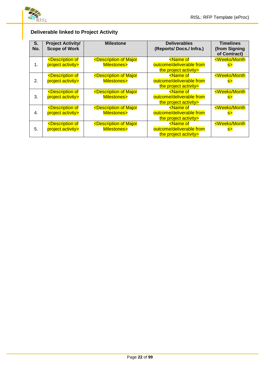

## **Deliverable linked to Project Activity**

| S.<br>No. | <b>Project Activity/</b><br><b>Scope of Work</b>         | <b>Milestone</b>                                            | <b>Deliverables</b><br>(Reports/ Docs./ Infra.)                             | <b>Timelines</b><br>(from Signing<br>of Contract) |
|-----------|----------------------------------------------------------|-------------------------------------------------------------|-----------------------------------------------------------------------------|---------------------------------------------------|
| 1.        | <description of<br="">project activity&gt;</description> | <description major<br="" of="">Milestones&gt;</description> | <name of<br="">outcome/deliverable from<br/>the project activity&gt;</name> | <weeks month<br="">S&gt;</weeks>                  |
| 2.        | <description of<br="">project activity&gt;</description> | <description major<br="" of="">Milestones&gt;</description> | <name of<br="">outcome/deliverable from<br/>the project activity&gt;</name> | <weeks month<br="">s&gt;</weeks>                  |
| 3.        | <description of<br="">project activity&gt;</description> | <description major<br="" of="">Milestones&gt;</description> | <name of<br="">outcome/deliverable from<br/>the project activity&gt;</name> | <weeks month<br="">s</weeks>                      |
| 4.        | <description of<br="">project activity&gt;</description> | <description major<br="" of="">Milestones&gt;</description> | <name of<br="">outcome/deliverable from<br/>the project activity&gt;</name> | <weeks month<br="">S&gt;</weeks>                  |
| 5.        | <description of<br="">project activity&gt;</description> | <description major<br="" of="">Milestones&gt;</description> | <name of<br="">outcome/deliverable from<br/>the project activity&gt;</name> | <weeks month<br=""><math>s</math>&gt;</weeks>     |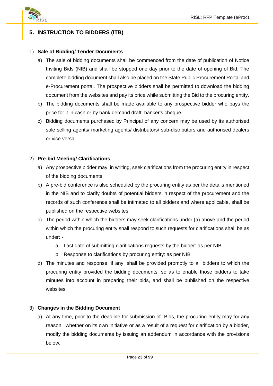

## **5. INSTRUCTION TO BIDDERS (ITB)**

#### 1) **Sale of Bidding/ Tender Documents**

- a) The sale of bidding documents shall be commenced from the date of publication of Notice Inviting Bids (NIB) and shall be stopped one day prior to the date of opening of Bid. The complete bidding document shall also be placed on the State Public Procurement Portal and e-Procurement portal. The prospective bidders shall be permitted to download the bidding document from the websites and pay its price while submitting the Bid to the procuring entity.
- b) The bidding documents shall be made available to any prospective bidder who pays the price for it in cash or by bank demand draft, banker's cheque.
- c) Bidding documents purchased by Principal of any concern may be used by its authorised sole selling agents/ marketing agents/ distributors/ sub-distributors and authorised dealers or vice versa.

#### 2) **Pre-bid Meeting/ Clarifications**

- a) Any prospective bidder may, in writing, seek clarifications from the procuring entity in respect of the bidding documents.
- b) A pre-bid conference is also scheduled by the procuring entity as per the details mentioned in the NIB and to clarify doubts of potential bidders in respect of the procurement and the records of such conference shall be intimated to all bidders and where applicable, shall be published on the respective websites.
- c) The period within which the bidders may seek clarifications under (a) above and the period within which the procuring entity shall respond to such requests for clarifications shall be as under:
	- a. Last date of submitting clarifications requests by the bidder: as per NIB
	- b. Response to clarifications by procuring entity: as per NIB
- d) The minutes and response, if any, shall be provided promptly to all bidders to which the procuring entity provided the bidding documents, so as to enable those bidders to take minutes into account in preparing their bids, and shall be published on the respective websites.

## 3) **Changes in the Bidding Document**

a) At any time, prior to the deadline for submission of Bids, the procuring entity may for any reason, whether on its own initiative or as a result of a request for clarification by a bidder, modify the bidding documents by issuing an addendum in accordance with the provisions below.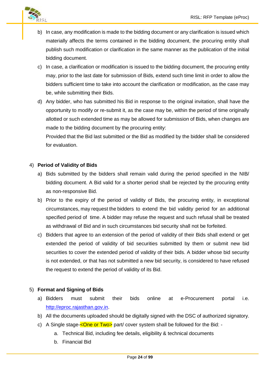

- b) In case, any modification is made to the bidding document or any clarification is issued which materially affects the terms contained in the bidding document, the procuring entity shall publish such modification or clarification in the same manner as the publication of the initial bidding document.
- c) In case, a clarification or modification is issued to the bidding document, the procuring entity may, prior to the last date for submission of Bids, extend such time limit in order to allow the bidders sufficient time to take into account the clarification or modification, as the case may be, while submitting their Bids.
- d) Any bidder, who has submitted his Bid in response to the original invitation, shall have the opportunity to modify or re-submit it, as the case may be, within the period of time originally allotted or such extended time as may be allowed for submission of Bids, when changes are made to the bidding document by the procuring entity:

Provided that the Bid last submitted or the Bid as modified by the bidder shall be considered for evaluation.

## 4) **Period of Validity of Bids**

- a) Bids submitted by the bidders shall remain valid during the period specified in the NIB/ bidding document. A Bid valid for a shorter period shall be rejected by the procuring entity as non-responsive Bid.
- b) Prior to the expiry of the period of validity of Bids, the procuring entity, in exceptional circumstances, may request the bidders to extend the bid validity period for an additional specified period of time. A bidder may refuse the request and such refusal shall be treated as withdrawal of Bid and in such circumstances bid security shall not be forfeited.
- c) Bidders that agree to an extension of the period of validity of their Bids shall extend or get extended the period of validity of bid securities submitted by them or submit new bid securities to cover the extended period of validity of their bids. A bidder whose bid security is not extended, or that has not submitted a new bid security, is considered to have refused the request to extend the period of validity of its Bid.

## 5) **Format and Signing of Bids**

- a) Bidders must submit their bids online at e-Procurement portal i.e. http://eproc.rajasthan.gov.in.
- b) All the documents uploaded should be digitally signed with the DSC of authorized signatory.
- c) A Single stage-<One or Two> part/ cover system shall be followed for the Bid:
	- a. Technical Bid, including fee details, eligibility & technical documents
	- b. Financial Bid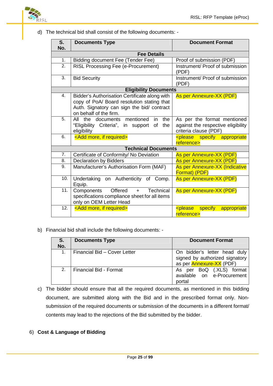

d) The technical bid shall consist of the following documents: -

| S.<br>No.                    | <b>Documents Type</b>                                                                                                                                               | <b>Document Format</b>                                                                     |  |  |
|------------------------------|---------------------------------------------------------------------------------------------------------------------------------------------------------------------|--------------------------------------------------------------------------------------------|--|--|
| <b>Fee Details</b>           |                                                                                                                                                                     |                                                                                            |  |  |
| 1.                           | Bidding document Fee (Tender Fee)                                                                                                                                   | Proof of submission (PDF)                                                                  |  |  |
| 2.                           | RISL Processing Fee (e-Procurement)                                                                                                                                 | Instrument/ Proof of submission<br>(PDF)                                                   |  |  |
| 3.                           | <b>Bid Security</b>                                                                                                                                                 | Instrument/ Proof of submission<br>(PDF)                                                   |  |  |
| <b>Eligibility Documents</b> |                                                                                                                                                                     |                                                                                            |  |  |
| 4.                           | Bidder's Authorisation Certificate along with<br>copy of PoA/ Board resolution stating that<br>Auth. Signatory can sign the bid/ contract<br>on behalf of the firm. | As per Annexure-XX (PDF)                                                                   |  |  |
| 5.                           | mentioned<br>the<br>All the documents<br>in.<br>"Eligibility Criteria", in support<br>of<br>the<br>eligibility                                                      | As per the format mentioned<br>against the respective eligibility<br>criteria clause (PDF) |  |  |
| 6.                           | <add if="" more,="" required=""></add>                                                                                                                              | <please appropriate<br="" specify="">reference&gt;</please>                                |  |  |
| <b>Technical Documents</b>   |                                                                                                                                                                     |                                                                                            |  |  |
| 7.                           | Certificate of Conformity/ No Deviation                                                                                                                             | As per Annexure-XX (PDF)                                                                   |  |  |
| 8.                           | <b>Declaration by Bidders</b>                                                                                                                                       | As per Annexure-XX (PDF)                                                                   |  |  |
| 9.                           | Manufacturer's Authorisation Form (MAF)                                                                                                                             | As per Annexure-XX (Indicative<br>Format) (PDF)                                            |  |  |
| 10.                          | on Authenticity of Comp.<br>Undertaking<br>Equip.                                                                                                                   | As per Annexure-XX (PDF)                                                                   |  |  |
| 11.                          | Offered<br>Technical<br>Components<br>$+$<br>specifications compliance sheet for all items<br>only on OEM Letter Head                                               | As per Annexure-XX (PDF)                                                                   |  |  |
| 12.                          | <add if="" more,="" required=""></add>                                                                                                                              | specify<br><please<br>appropriate<br/>reference&gt;</please<br>                            |  |  |

b) Financial bid shall include the following documents: -

| S.<br>No. | <b>Documents Type</b>         | <b>Document Format</b>                                                                            |
|-----------|-------------------------------|---------------------------------------------------------------------------------------------------|
| 1.        | Financial Bid - Cover Letter  | On bidder's letter head duly<br>signed by authorized signatory<br>as per <b>Annexure-XX</b> (PDF) |
| 2.        | <b>Financial Bid - Format</b> | As per BoQ (.XLS) format<br>available on e-Procurement<br>portal                                  |

c) The bidder should ensure that all the required documents, as mentioned in this bidding document, are submitted along with the Bid and in the prescribed format only. Non submission of the required documents or submission of the documents in a different format/ contents may lead to the rejections of the Bid submitted by the bidder.

## 6) **Cost & Language of Bidding**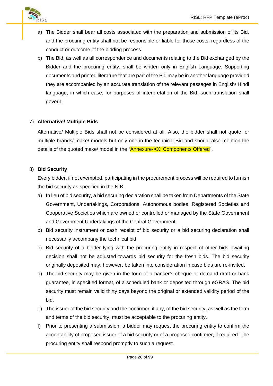

- a) The Bidder shall bear all costs associated with the preparation and submission of its Bid, and the procuring entity shall not be responsible or liable for those costs, regardless of the conduct or outcome of the bidding process.
- b) The Bid, as well as all correspondence and documents relating to the Bid exchanged by the Bidder and the procuring entity, shall be written only in English Language. Supporting documents and printed literature that are part of the Bid may be in another language provided they are accompanied by an accurate translation of the relevant passages in English/ Hindi language, in which case, for purposes of interpretation of the Bid, such translation shall govern.

## 7) **Alternative/ Multiple Bids**

Alternative/ Multiple Bids shall not be considered at all. Also, the bidder shall not quote for multiple brands/ make/ models but only one in the technical Bid and should also mention the details of the quoted make/ model in the "Annexure-XX: Components Offered".

## 8) **Bid Security**

Every bidder, if not exempted, participating in the procurement process will be required to furnish the bid security as specified in the NIB.

- a) In lieu of bid security, a bid securing declaration shall be taken from Departments of the State Government, Undertakings, Corporations, Autonomous bodies, Registered Societies and Cooperative Societies which are owned or controlled or managed by the State Government and Government Undertakings of the Central Government.
- b) Bid security instrument or cash receipt of bid security or a bid securing declaration shall necessarily accompany the technical bid.
- c) Bid security of a bidder lying with the procuring entity in respect of other bids awaiting decision shall not be adjusted towards bid security for the fresh bids. The bid security originally deposited may, however, be taken into consideration in case bids are re-invited.
- d) The bid security may be given in the form of a banker's cheque or demand draft or bank guarantee, in specified format, of a scheduled bank or deposited through eGRAS. The bid security must remain valid thirty days beyond the original or extended validity period of the bid.
- e) The issuer of the bid security and the confirmer, if any, of the bid security, as well as the form and terms of the bid security, must be acceptable to the procuring entity.
- f) Prior to presenting a submission, a bidder may request the procuring entity to confirm the acceptability of proposed issuer of a bid security or of a proposed confirmer, if required. The procuring entity shall respond promptly to such a request.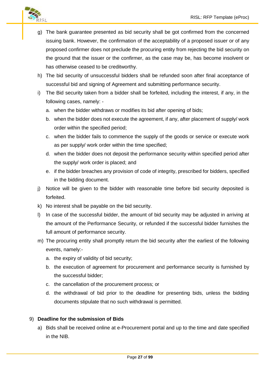

- g) The bank guarantee presented as bid security shall be got confirmed from the concerned issuing bank. However, the confirmation of the acceptability of a proposed issuer or of any proposed confirmer does not preclude the procuring entity from rejecting the bid security on the ground that the issuer or the confirmer, as the case may be, has become insolvent or has otherwise ceased to be creditworthy.
- h) The bid security of unsuccessful bidders shall be refunded soon after final acceptance of successful bid and signing of Agreement and submitting performance security.
- i) The Bid security taken from a bidder shall be forfeited, including the interest, if any, in the following cases, namely:
	- a. when the bidder withdraws or modifies its bid after opening of bids;
	- b. when the bidder does not execute the agreement, if any, after placement of supply/ work order within the specified period;
	- c. when the bidder fails to commence the supply of the goods or service or execute work as per supply/ work order within the time specified;
	- d. when the bidder does not deposit the performance security within specified period after the supply/ work order is placed; and
	- e. if the bidder breaches any provision of code of integrity, prescribed for bidders, specified in the bidding document.
- j) Notice will be given to the bidder with reasonable time before bid security deposited is forfeited.
- k) No interest shall be payable on the bid security.
- l) In case of the successful bidder, the amount of bid security may be adjusted in arriving at the amount of the Performance Security, or refunded if the successful bidder furnishes the full amount of performance security.
- m) The procuring entity shall promptly return the bid security after the earliest of the following events, namely:
	- a. the expiry of validity of bid security;
	- b. the execution of agreement for procurement and performance security is furnished by the successful bidder;
	- c. the cancellation of the procurement process; or
	- d. the withdrawal of bid prior to the deadline for presenting bids, unless the bidding documents stipulate that no such withdrawal is permitted.

## 9) **Deadline for the submission of Bids**

a) Bids shall be received online at e-Procurement portal and up to the time and date specified in the NIB.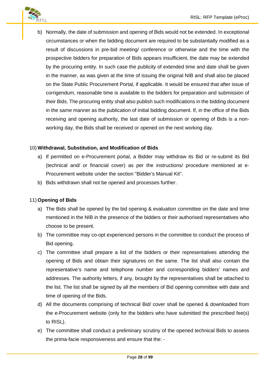

b) Normally, the date of submission and opening of Bids would not be extended. In exceptional circumstances or when the bidding document are required to be substantially modified as a result of discussions in pre-bid meeting/ conference or otherwise and the time with the prospective bidders for preparation of Bids appears insufficient, the date may be extended by the procuring entity. In such case the publicity of extended time and date shall be given in the manner, as was given at the time of issuing the original NIB and shall also be placed on the State Public Procurement Portal, if applicable. It would be ensured that after issue of corrigendum, reasonable time is available to the bidders for preparation and submission of their Bids. The procuring entity shall also publish such modifications in the bidding document in the same manner as the publication of initial bidding document. If, in the office of the Bids receiving and opening authority, the last date of submission or opening of Bids is a non working day, the Bids shall be received or opened on the next working day.

## 10) **Withdrawal, Substitution, and Modification of Bids**

- a) If permitted on e-Procurement portal, a Bidder may withdraw its Bid or re-submit its Bid (technical and/ or financial cover) as per the instructions/ procedure mentioned at e- Procurement website under the section "Bidder's Manual Kit".
- b) Bids withdrawn shall not be opened and processes further.

## 11) **Opening of Bids**

- a) The Bids shall be opened by the bid opening & evaluation committee on the date and time mentioned in the NIB in the presence of the bidders or their authorised representatives who choose to be present.
- b) The committee may co-opt experienced persons in the committee to conduct the process of Bid opening.
- c) The committee shall prepare a list of the bidders or their representatives attending the opening of Bids and obtain their signatures on the same. The list shall also contain the representative's name and telephone number and corresponding bidders' names and addresses. The authority letters, if any, brought by the representatives shall be attached to the list. The list shall be signed by all the members of Bid opening committee with date and time of opening of the Bids.
- d) All the documents comprising of technical Bid/ cover shall be opened & downloaded from the e-Procurement website (only for the bidders who have submitted the prescribed fee(s) to RISL).
- e) The committee shall conduct a preliminary scrutiny of the opened technical Bids to assess the prima-facie responsiveness and ensure that the: -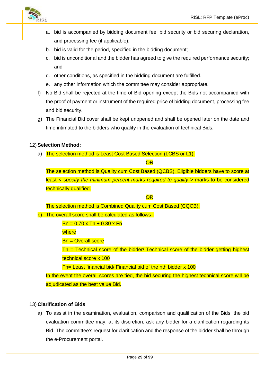

- a. bid is accompanied by bidding document fee, bid security or bid securing declaration, and processing fee (if applicable);
- b. bid is valid for the period, specified in the bidding document;
- c. bid is unconditional and the bidder has agreed to give the required performance security; and
- d. other conditions, as specified in the bidding document are fulfilled.
- e. any other information which the committee may consider appropriate.
- f) No Bid shall be rejected at the time of Bid opening except the Bids not accompanied with the proof of payment or instrument of the required price of bidding document, processing fee and bid security.
- g) The Financial Bid cover shall be kept unopened and shall be opened later on the date and time intimated to the bidders who qualify in the evaluation of technical Bids.

## 12) **Selection Method:**

a) The selection method is Least Cost Based Selection (LCBS or L1).

#### **OR**

The selection method is Quality cum Cost Based (QCBS). Eligible bidders have to score at least < *specify the minimum percent marks required to qualify >* marks to be considered technically qualified.

## **OR**

The selection method is Combined Quality cum Cost Based (CQCB).

b) The overall score shall be calculated as follows -

 $Bn = 0.70 \times Tn + 0.30 \times Fn$ 

where

Bn = Overall score

Tn = Technical score of the bidder/ Technical score of the bidder getting highest technical score x 100

Fn= Least financial bid/ Financial bid of the nth bidder x 100

In the event the overall scores are tied, the bid securing the highest technical score will be adjudicated as the best value Bid.

## 13) **Clarification of Bids**

a) To assist in the examination, evaluation, comparison and qualification of the Bids, the bid evaluation committee may, at its discretion, ask any bidder for a clarification regarding its Bid. The committee's request for clarification and the response of the bidder shall be through the e-Procurement portal.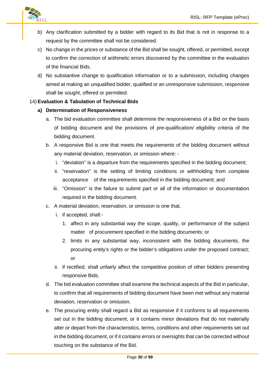

- b) Any clarification submitted by a bidder with regard to its Bid that is not in response to a request by the committee shall not be considered.
- c) No change in the prices or substance of the Bid shall be sought, offered, or permitted, except to confirm the correction of arithmetic errors discovered by the committee in the evaluation of the financial Bids.
- d) No substantive change to qualification information or to a submission, including changes aimed at making an unqualified bidder, qualified or an unresponsive submission, responsive shall be sought, offered or permitted.

## 14) **Evaluation & Tabulation of Technical Bids**

## **a) Determination of Responsiveness**

- a. The bid evaluation committee shall determine the responsiveness of a Bid on the basis of bidding document and the provisions of pre-qualification/ eligibility criteria of the bidding document.
- b. A responsive Bid is one that meets the requirements of the bidding document without any material deviation, reservation, or omission where:
	- i. "deviation" is a departure from the requirements specified in the bidding document;
	- ii. "reservation" is the setting of limiting conditions or withholding from complete acceptance of the requirements specified in the bidding document; and
	- iii. "Omission" is the failure to submit part or all of the information or documentation required in the bidding document.
- c. A material deviation, reservation, or omission is one that,
	- i. if accepted, shall:-
		- 1. affect in any substantial way the scope, quality, or performance of the subject matter of procurement specified in the bidding documents; or
		- 2. limits in any substantial way, inconsistent with the bidding documents, the procuring entity's rights or the bidder's obligations under the proposed contract; or
	- ii. if rectified, shall unfairly affect the competitive position of other bidders presenting responsive Bids.
- d. The bid evaluation committee shall examine the technical aspects of the Bid in particular, to confirm that all requirements of bidding document have been met without any material deviation, reservation or omission.
- e. The procuring entity shall regard a Bid as responsive if it conforms to all requirements set out in the bidding document, or it contains minor deviations that do not materially alter or depart from the characteristics, terms, conditions and other requirements set out in the bidding document, or if it contains errors or oversights that can be corrected without touching on the substance of the Bid.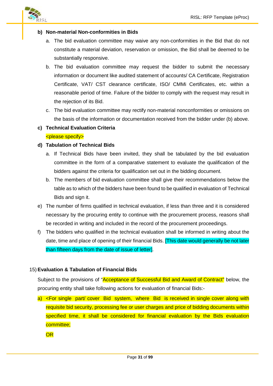

#### **b) Non-material Non-conformities in Bids**

- a. The bid evaluation committee may waive any non-conformities in the Bid that do not constitute a material deviation, reservation or omission, the Bid shall be deemed to be substantially responsive.
- b. The bid evaluation committee may request the bidder to submit the necessary information or document like audited statement of accounts/ CA Certificate, Registration Certificate, VAT/ CST clearance certificate, ISO/ CMMi Certificates, etc. within a reasonable period of time. Failure of the bidder to comply with the request may result in the rejection of its Bid.
- c. The bid evaluation committee may rectify non-material nonconformities or omissions on the basis of the information or documentation received from the bidder under (b) above.

## **c) Technical Evaluation Criteria**

#### <please specify>

## **d) Tabulation of Technical Bids**

- a. If Technical Bids have been invited, they shall be tabulated by the bid evaluation committee in the form of a comparative statement to evaluate the qualification of the bidders against the criteria for qualification set out in the bidding document.
- b. The members of bid evaluation committee shall give their recommendations below the table as to which of the bidders have been found to be qualified in evaluation of Technical Bids and sign it.
- e) The number of firms qualified in technical evaluation, if less than three and it is considered necessary by the procuring entity to continue with the procurement process, reasons shall be recorded in writing and included in the record of the procurement proceedings.
- f) The bidders who qualified in the technical evaluation shall be informed in writing about the date, time and place of opening of their financial Bids. **[This date would generally be not later** than fifteen days from the date of issue of letter].

## 15) **Evaluation & Tabulation of Financial Bids**

Subject to the provisions of "Acceptance of Successful Bid and Award of Contract" below, the procuring entity shall take following actions for evaluation of financial Bids:-

a) <For single part/ cover Bid system, where Bid is received in single cover along with requisite bid security, processing fee or user charges and price of bidding documents within specified time, it shall be considered for financial evaluation by the Bids evaluation committee;

**OR**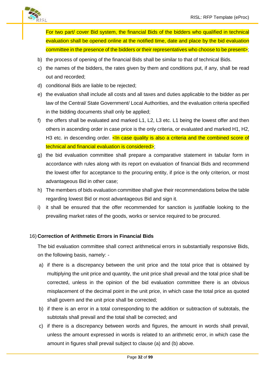

For two part/ cover Bid system, the financial Bids of the bidders who qualified in technical evaluation shall be opened online at the notified time, date and place by the bid evaluation committee in the presence of the bidders or their representatives who choose to be present>;

- b) the process of opening of the financial Bids shall be similar to that of technical Bids.
- c) the names of the bidders, the rates given by them and conditions put, if any, shall be read out and recorded;
- d) conditional Bids are liable to be rejected;
- e) the evaluation shall include all costs and all taxes and duties applicable to the bidder as per law of the Central/ State Government/ Local Authorities, and the evaluation criteria specified in the bidding documents shall only be applied;
- f) the offers shall be evaluated and marked L1, L2, L3 etc. L1 being the lowest offer and then others in ascending order in case price is the only criteria, or evaluated and marked H1, H2, H3 etc. in descending order.  $\leq$ In case quality is also a criteria and the combined score of technical and financial evaluation is considered>;
- g) the bid evaluation committee shall prepare a comparative statement in tabular form in accordance with rules along with its report on evaluation of financial Bids and recommend the lowest offer for acceptance to the procuring entity, if price is the only criterion, or most advantageous Bid in other case;
- h) The members of bids evaluation committee shall give their recommendations below the table regarding lowest Bid or most advantageous Bid and sign it.
- i) it shall be ensured that the offer recommended for sanction is justifiable looking to the prevailing market rates of the goods, works or service required to be procured.

#### 16) **Correction of Arithmetic Errors in Financial Bids**

The bid evaluation committee shall correct arithmetical errors in substantially responsive Bids, on the following basis, namely: -

- a) if there is a discrepancy between the unit price and the total price that is obtained by multiplying the unit price and quantity, the unit price shall prevail and the total price shall be corrected, unless in the opinion of the bid evaluation committee there is an obvious misplacement of the decimal point in the unit price, in which case the total price as quoted shall govern and the unit price shall be corrected;
- b) if there is an error in a total corresponding to the addition or subtraction of subtotals, the subtotals shall prevail and the total shall be corrected; and
- c) if there is a discrepancy between words and figures, the amount in words shall prevail, unless the amount expressed in words is related to an arithmetic error, in which case the amount in figures shall prevail subject to clause (a) and (b) above.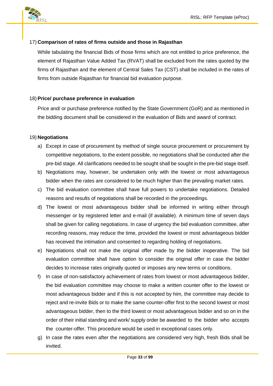

## 17) **Comparison of rates of firms outside and those in Rajasthan**

While tabulating the financial Bids of those firms which are not entitled to price preference, the element of Rajasthan Value Added Tax (RVAT) shall be excluded from the rates quoted by the firms of Rajasthan and the element of Central Sales Tax (CST) shall be included in the rates of firms from outside Rajasthan for financial bid evaluation purpose.

#### 18) **Price/ purchase preference in evaluation**

Price and/ or purchase preference notified by the State Government (GoR) and as mentioned in the bidding document shall be considered in the evaluation of Bids and award of contract.

#### 19) **Negotiations**

- a) Except in case of procurement by method of single source procurement or procurement by competitive negotiations, to the extent possible, no negotiations shall be conducted after the pre-bid stage. All clarifications needed to be sought shall be sought in the pre-bid stage itself.
- b) Negotiations may, however, be undertaken only with the lowest or most advantageous bidder when the rates are considered to be much higher than the prevailing market rates.
- c) The bid evaluation committee shall have full powers to undertake negotiations. Detailed reasons and results of negotiations shall be recorded in the proceedings.
- d) The lowest or most advantageous bidder shall be informed in writing either through messenger or by registered letter and e-mail (if available). A minimum time of seven days shall be given for calling negotiations. In case of urgency the bid evaluation committee, after recording reasons, may reduce the time, provided the lowest or most advantageous bidder has received the intimation and consented to regarding holding of negotiations.
- e) Negotiations shall not make the original offer made by the bidder inoperative. The bid evaluation committee shall have option to consider the original offer in case the bidder decides to increase rates originally quoted or imposes any new terms or conditions.
- f) In case of non-satisfactory achievement of rates from lowest or most advantageous bidder, the bid evaluation committee may choose to make a written counter offer to the lowest or most advantageous bidder and if this is not accepted by him, the committee may decide to reject and re-invite Bids or to make the same counter-offer first to the second lowest or most advantageous bidder, then to the third lowest or most advantageous bidder and so on in the order of their initial standing and work/ supply order be awarded to the bidder who accepts the counter-offer. This procedure would be used in exceptional cases only.
- g) In case the rates even after the negotiations are considered very high, fresh Bids shall be invited.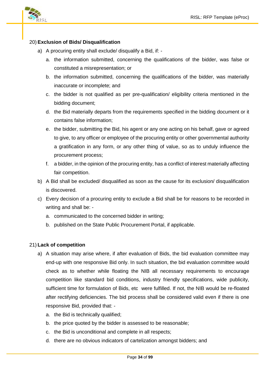

## 20) **Exclusion of Bids/ Disqualification**

- a) A procuring entity shall exclude/ disqualify a Bid, if:
	- a. the information submitted, concerning the qualifications of the bidder, was false or constituted a misrepresentation; or
	- b. the information submitted, concerning the qualifications of the bidder, was materially inaccurate or incomplete; and
	- c. the bidder is not qualified as per pre-qualification/ eligibility criteria mentioned in the bidding document;
	- d. the Bid materially departs from the requirements specified in the bidding document or it contains false information;
	- e. the bidder, submitting the Bid, his agent or any one acting on his behalf, gave or agreed to give, to any officer or employee of the procuring entity or other governmental authority a gratification in any form, or any other thing of value, so as to unduly influence the procurement process;
	- f. a bidder, in the opinion of the procuring entity, has a conflict of interest materially affecting fair competition.
- b) A Bid shall be excluded/ disqualified as soon as the cause for its exclusion/ disqualification is discovered.
- c) Every decision of a procuring entity to exclude a Bid shall be for reasons to be recorded in writing and shall be:
	- a. communicated to the concerned bidder in writing;
	- b. published on the State Public Procurement Portal, if applicable.

#### 21) **Lack of competition**

- a) A situation may arise where, if after evaluation of Bids, the bid evaluation committee may end-up with one responsive Bid only. In such situation, the bid evaluation committee would check as to whether while floating the NIB all necessary requirements to encourage competition like standard bid conditions, industry friendly specifications, wide publicity, sufficient time for formulation of Bids, etc were fulfilled. If not, the NIB would be re-floated after rectifying deficiencies. The bid process shall be considered valid even if there is one responsive Bid, provided that:
	- a. the Bid is technically qualified;
	- b. the price quoted by the bidder is assessed to be reasonable;
	- c. the Bid is unconditional and complete in all respects;
	- d. there are no obvious indicators of cartelization amongst bidders; and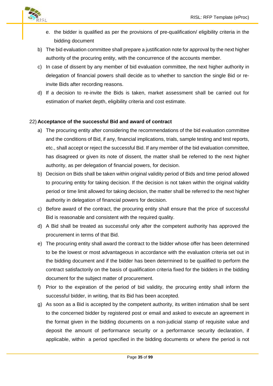

- e. the bidder is qualified as per the provisions of pre-qualification/ eligibility criteria in the bidding document
- b) The bid evaluation committee shall prepare a justification note for approval by the next higher authority of the procuring entity, with the concurrence of the accounts member.
- c) In case of dissent by any member of bid evaluation committee, the next higher authority in delegation of financial powers shall decide as to whether to sanction the single Bid or reinvite Bids after recording reasons.
- d) If a decision to re-invite the Bids is taken, market assessment shall be carried out for estimation of market depth, eligibility criteria and cost estimate.

## 22) **Acceptance of the successful Bid and award of contract**

- a) The procuring entity after considering the recommendations of the bid evaluation committee and the conditions of Bid, if any, financial implications, trials, sample testing and test reports, etc., shall accept or reject the successful Bid. If any member of the bid evaluation committee, has disagreed or given its note of dissent, the matter shall be referred to the next higher authority, as per delegation of financial powers, for decision.
- b) Decision on Bids shall be taken within original validity period of Bids and time period allowed to procuring entity for taking decision. If the decision is not taken within the original validity period or time limit allowed for taking decision, the matter shall be referred to the next higher authority in delegation of financial powers for decision.
- c) Before award of the contract, the procuring entity shall ensure that the price of successful Bid is reasonable and consistent with the required quality.
- d) A Bid shall be treated as successful only after the competent authority has approved the procurement in terms of that Bid.
- e) The procuring entity shall award the contract to the bidder whose offer has been determined to be the lowest or most advantageous in accordance with the evaluation criteria set out in the bidding document and if the bidder has been determined to be qualified to perform the contract satisfactorily on the basis of qualification criteria fixed for the bidders in the bidding document for the subject matter of procurement.
- f) Prior to the expiration of the period of bid validity, the procuring entity shall inform the successful bidder, in writing, that its Bid has been accepted.
- g) As soon as a Bid is accepted by the competent authority, its written intimation shall be sent to the concerned bidder by registered post or email and asked to execute an agreement in the format given in the bidding documents on a non-judicial stamp of requisite value and deposit the amount of performance security or a performance security declaration, if applicable, within a period specified in the bidding documents or where the period is not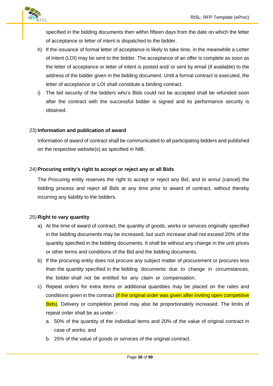

specified in the bidding documents then within fifteen days from the date on which the letter of acceptance or letter of intent is dispatched to the bidder.

- h) If the issuance of formal letter of acceptance is likely to take time, in the meanwhile a Letter of Intent (LOI) may be sent to the bidder. The acceptance of an offer is complete as soon as the letter of acceptance or letter of intent is posted and/ or sent by email (if available) to the address of the bidder given in the bidding document. Until a formal contract is executed, the letter of acceptance or LOI shall constitute a binding contract.
- i) The bid security of the bidders who's Bids could not be accepted shall be refunded soon after the contract with the successful bidder is signed and its performance security is obtained.

## 23) **Information and publication of award**

Information of award of contract shall be communicated to all participating bidders and published on the respective website(s) as specified in NIB.

## 24) **Procuring entity's right to accept or reject any or all Bids**

The Procuring entity reserves the right to accept or reject any Bid, and to annul (cancel) the bidding process and reject all Bids at any time prior to award of contract, without thereby incurring any liability to the bidders.

## 25) **Right to vary quantity**

- a) At the time of award of contract, the quantity of goods, works or services originally specified in the bidding documents may be increased, but such increase shall not exceed 20% of the quantity specified in the bidding documents. It shall be without any change in the unit prices or other terms and conditions of the Bid and the bidding documents.
- b) If the procuring entity does not procure any subject matter of procurement or procures less than the quantity specified in the bidding documents due to change in circumstances, the bidder shall not be entitled for any claim or compensation.
- c) Repeat orders for extra items or additional quantities may be placed on the rates and conditions given in the contract (if the original order was given after inviting open competitive Bids). Delivery or completion period may also be proportionately increased. The limits of repeat order shall be as under:
	- a. 50% of the quantity of the individual items and 20% of the value of original contract in case of works; and
	- b. 25% of the value of goods or services of the original contract.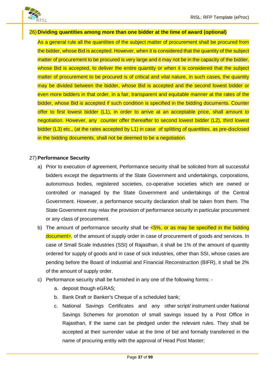

#### 26) **Dividing quantities among more than one bidder at the time of award (optional)**

As a general rule all the quantities of the subject matter of procurement shall be procured from the bidder, whose Bid is accepted. However, when it is considered that the quantity of the subject matter of procurement to be procured is very large and it may not be in the capacity of the bidder, whose Bid is accepted, to deliver the entire quantity or when it is considered that the subject matter of procurement to be procured is of critical and vital nature, in such cases, the quantity may be divided between the bidder, whose Bid is accepted and the second lowest bidder or even more bidders in that order, in a fair, transparent and equitable manner at the rates of the bidder, whose Bid is accepted if such condition is specified in the bidding documents. Counter offer to first lowest bidder (L1), in order to arrive at an acceptable price, shall amount to negotiation. However, any counter offer thereafter to second lowest bidder (L2), third lowest bidder (L3) etc., (at the rates accepted by L1) in case of splitting of quantities, as pre-disclosed in the bidding documents, shall not be deemed to be a negotiation.

#### 27) **Performance Security**

- a) Prior to execution of agreement, Performance security shall be solicited from all successful bidders except the departments of the State Government and undertakings, corporations, autonomous bodies, registered societies, co-operative societies which are owned or controlled or managed by the State Government and undertakings of the Central Government. However, a performance security declaration shall be taken from them. The State Government may relax the provision of performance security in particular procurement or any class of procurement.
- b) The amount of performance security shall be  $<$ 5%, or as may be specified in the bidding document>, of the amount of supply order in case of procurement of goods and services. In case of Small Scale Industries (SSI) of Rajasthan, it shall be 1% of the amount of quantity ordered for supply of goods and in case of sick industries, other than SSI, whose cases are pending before the Board of Industrial and Financial Reconstruction (BIFR), it shall be 2% of the amount of supply order.
- c) Performance security shall be furnished in any one of the following forms:
	- a. deposit though eGRAS;
	- b. Bank Draft or Banker's Cheque of a scheduled bank;
	- c. National Savings Certificates and any other script/ instrument under National Savings Schemes for promotion of small savings issued by a Post Office in Rajasthan, if the same can be pledged under the relevant rules. They shall be accepted at their surrender value at the time of bid and formally transferred in the name of procuring entity with the approval of Head Post Master;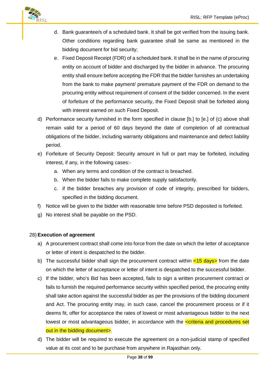

- d. Bank guarantee/s of a scheduled bank. It shall be got verified from the issuing bank. Other conditions regarding bank guarantee shall be same as mentioned in the bidding document for bid security;
- e. Fixed Deposit Receipt (FDR) of a scheduled bank. It shall be in the name of procuring entity on account of bidder and discharged by the bidder in advance. The procuring entity shall ensure before accepting the FDR that the bidder furnishes an undertaking from the bank to make payment/ premature payment of the FDR on demand to the procuring entity without requirement of consent of the bidder concerned. In the event of forfeiture of the performance security, the Fixed Deposit shall be forfeited along with interest earned on such Fixed Deposit.
- d) Performance security furnished in the form specified in clause [b.] to [e.] of (c) above shall remain valid for a period of 60 days beyond the date of completion of all contractual obligations of the bidder, including warranty obligations and maintenance and defect liability period.
- e) Forfeiture of Security Deposit: Security amount in full or part may be forfeited, including interest, if any, in the following cases:
	- a. When any terms and condition of the contract is breached.
	- b. When the bidder fails to make complete supply satisfactorily.
	- c. if the bidder breaches any provision of code of integrity, prescribed for bidders, specified in the bidding document.
- f) Notice will be given to the bidder with reasonable time before PSD deposited is forfeited.
- g) No interest shall be payable on the PSD.

# 28) **Execution of agreement**

- a) A procurement contract shall come into force from the date on which the letter of acceptance or letter of intent is despatched to the bidder.
- b) The successful bidder shall sign the procurement contract within  $\leq 15$  days from the date on which the letter of acceptance or letter of intent is despatched to the successful bidder.
- c) If the bidder, who's Bid has been accepted, fails to sign a written procurement contract or fails to furnish the required performance security within specified period, the procuring entity shall take action against the successful bidder as per the provisions of the bidding document and Act. The procuring entity may, in such case, cancel the procurement process or if it deems fit, offer for acceptance the rates of lowest or most advantageous bidder to the next lowest or most advantageous bidder, in accordance with the  $\leq$ criteria and procedures set out in the bidding document>.
- d) The bidder will be required to execute the agreement on a non-judicial stamp of specified value at its cost and to be purchase from anywhere in Rajasthan only.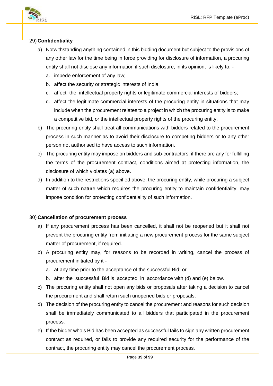

# 29) **Confidentiality**

- a) Notwithstanding anything contained in this bidding document but subject to the provisions of any other law for the time being in force providing for disclosure of information, a procuring entity shall not disclose any information if such disclosure, in its opinion, is likely to:
	- a. impede enforcement of any law;
	- b. affect the security or strategic interests of India;
	- c. affect the intellectual property rights or legitimate commercial interests of bidders;
	- d. affect the legitimate commercial interests of the procuring entity in situations that may include when the procurement relates to a project in which the procuring entity is to make a competitive bid, or the intellectual property rights of the procuring entity.
- b) The procuring entity shall treat all communications with bidders related to the procurement process in such manner as to avoid their disclosure to competing bidders or to any other person not authorised to have access to such information.
- c) The procuring entity may impose on bidders and sub-contractors, if there are any for fulfilling the terms of the procurement contract, conditions aimed at protecting information, the disclosure of which violates (a) above.
- d) In addition to the restrictions specified above, the procuring entity, while procuring a subject matter of such nature which requires the procuring entity to maintain confidentiality, may impose condition for protecting confidentiality of such information.

## 30) **Cancellation of procurement process**

- a) If any procurement process has been cancelled, it shall not be reopened but it shall not prevent the procuring entity from initiating a new procurement process for the same subject matter of procurement, if required.
- b) A procuring entity may, for reasons to be recorded in writing, cancel the process of procurement initiated by it
	- a. at any time prior to the acceptance of the successful Bid; or
	- b. after the successful Bid is accepted in accordance with (d) and (e) below.
- c) The procuring entity shall not open any bids or proposals after taking a decision to cancel the procurement and shall return such unopened bids or proposals.
- d) The decision of the procuring entity to cancel the procurement and reasons for such decision shall be immediately communicated to all bidders that participated in the procurement process.
- e) If the bidder who's Bid has been accepted as successful fails to sign any written procurement contract as required, or fails to provide any required security for the performance of the contract, the procuring entity may cancel the procurement process.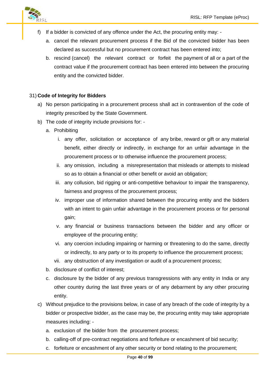

- f) If a bidder is convicted of any offence under the Act, the procuring entity may:
	- a. cancel the relevant procurement process if the Bid of the convicted bidder has been declared as successful but no procurement contract has been entered into;
	- b. rescind (cancel) the relevant contract or forfeit the payment of all or a part of the contract value if the procurement contract has been entered into between the procuring entity and the convicted bidder.

### 31) **Code of Integrity for Bidders**

- a) No person participating in a procurement process shall act in contravention of the code of integrity prescribed by the State Government.
- b) The code of integrity include provisions for:
	- a. Prohibiting
		- i. any offer, solicitation or acceptance of any bribe, reward or gift or any material benefit, either directly or indirectly, in exchange for an unfair advantage in the procurement process or to otherwise influence the procurement process;
		- ii. any omission, including a misrepresentation that misleads or attempts to mislead so as to obtain a financial or other benefit or avoid an obligation;
		- iii. any collusion, bid rigging or anti-competitive behaviour to impair the transparency, fairness and progress of the procurement process;
		- iv. improper use of information shared between the procuring entity and the bidders with an intent to gain unfair advantage in the procurement process or for personal gain;
		- v. any financial or business transactions between the bidder and any officer or employee of the procuring entity;
		- vi. any coercion including impairing or harming or threatening to do the same, directly or indirectly, to any party or to its property to influence the procurement process;
		- vii. any obstruction of any investigation or audit of a procurement process;
	- b. disclosure of conflict of interest;
	- c. disclosure by the bidder of any previous transgressions with any entity in India or any other country during the last three years or of any debarment by any other procuring entity.
- c) Without prejudice to the provisions below, in case of any breach of the code of integrity by a bidder or prospective bidder, as the case may be, the procuring entity may take appropriate measures including:
	- a. exclusion of the bidder from the procurement process;
	- b. calling-off of pre-contract negotiations and forfeiture or encashment of bid security;
	- c. forfeiture or encashment of any other security or bond relating to the procurement;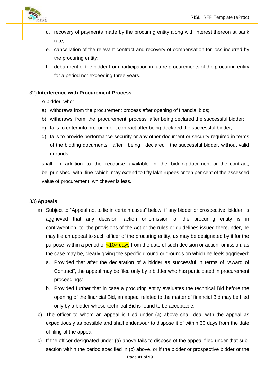

- d. recovery of payments made by the procuring entity along with interest thereon at bank rate;
- e. cancellation of the relevant contract and recovery of compensation for loss incurred by the procuring entity;
- f. debarment of the bidder from participation in future procurements of the procuring entity for a period not exceeding three years.

### 32) **Interference with Procurement Process**

A bidder, who: -

- a) withdraws from the procurement process after opening of financial bids;
- b) withdraws from the procurement process after being declared the successful bidder;
- c) fails to enter into procurement contract after being declared the successful bidder;
- d) fails to provide performance security or any other document or security required in terms of the bidding documents after being declared the successful bidder, without valid grounds,

shall, in addition to the recourse available in the bidding document or the contract, be punished with fine which may extend to fifty lakh rupees or ten per cent of the assessed value of procurement, whichever is less.

### 33) **Appeals**

- a) Subject to "Appeal not to lie in certain cases" below, if any bidder or prospective bidder is aggrieved that any decision, action or omission of the procuring entity is in contravention to the provisions of the Act or the rules or guidelines issued thereunder, he may file an appeal to such officer of the procuring entity, as may be designated by it for the purpose, within a period of  $\langle 10 \rangle$  days from the date of such decision or action, omission, as the case may be, clearly giving the specific ground or grounds on which he feels aggrieved:
	- a. Provided that after the declaration of a bidder as successful in terms of "Award of Contract", the appeal may be filed only by a bidder who has participated in procurement proceedings:
	- b. Provided further that in case a procuring entity evaluates the technical Bid before the opening of the financial Bid, an appeal related to the matter of financial Bid may be filed only by a bidder whose technical Bid is found to be acceptable.
- b) The officer to whom an appeal is filed under (a) above shall deal with the appeal as expeditiously as possible and shall endeavour to dispose it of within 30 days from the date of filing of the appeal.
- c) If the officer designated under (a) above fails to dispose of the appeal filed under that sub section within the period specified in (c) above, or if the bidder or prospective bidder or the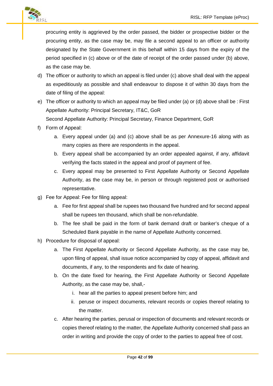

procuring entity is aggrieved by the order passed, the bidder or prospective bidder or the procuring entity, as the case may be, may file a second appeal to an officer or authority designated by the State Government in this behalf within 15 days from the expiry of the period specified in (c) above or of the date of receipt of the order passed under (b) above, as the case may be.

- d) The officer or authority to which an appeal is filed under (c) above shall deal with the appeal as expeditiously as possible and shall endeavour to dispose it of within 30 days from the date of filing of the appeal:
- e) The officer or authority to which an appeal may be filed under (a) or (d) above shall be : First Appellate Authority: Principal Secretary, IT&C, GoR

Second Appellate Authority: Principal Secretary, Finance Department, GoR

- f) Form of Appeal:
	- a. Every appeal under (a) and (c) above shall be as per Annexure-16 along with as many copies as there are respondents in the appeal.
	- b. Every appeal shall be accompanied by an order appealed against, if any, affidavit verifying the facts stated in the appeal and proof of payment of fee.
	- c. Every appeal may be presented to First Appellate Authority or Second Appellate Authority, as the case may be, in person or through registered post or authorised representative.
- g) Fee for Appeal: Fee for filing appeal:
	- a. Fee for first appeal shall be rupees two thousand five hundred and for second appeal shall be rupees ten thousand, which shall be non-refundable.
	- b. The fee shall be paid in the form of bank demand draft or banker's cheque of a Scheduled Bank payable in the name of Appellate Authority concerned.
- h) Procedure for disposal of appeal:
	- a. The First Appellate Authority or Second Appellate Authority, as the case may be, upon filing of appeal, shall issue notice accompanied by copy of appeal, affidavit and documents, if any, to the respondents and fix date of hearing.
	- b. On the date fixed for hearing, the First Appellate Authority or Second Appellate Authority, as the case may be, shall,
		- i. hear all the parties to appeal present before him; and
		- ii. peruse or inspect documents, relevant records or copies thereof relating to the matter.
	- c. After hearing the parties, perusal or inspection of documents and relevant records or copies thereof relating to the matter, the Appellate Authority concerned shall pass an order in writing and provide the copy of order to the parties to appeal free of cost.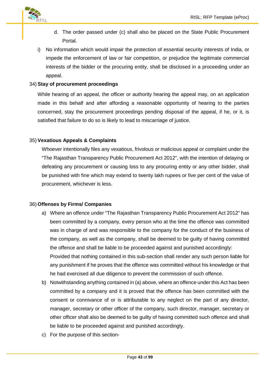

- d. The order passed under (c) shall also be placed on the State Public Procurement Portal.
- i) No information which would impair the protection of essential security interests of India, or impede the enforcement of law or fair competition, or prejudice the legitimate commercial interests of the bidder or the procuring entity, shall be disclosed in a proceeding under an appeal.

## 34) **Stay of procurement proceedings**

While hearing of an appeal, the officer or authority hearing the appeal may, on an application made in this behalf and after affording a reasonable opportunity of hearing to the parties concerned, stay the procurement proceedings pending disposal of the appeal, if he, or it, is satisfied that failure to do so is likely to lead to miscarriage of justice.

## 35) **Vexatious Appeals & Complaints**

Whoever intentionally files any vexatious, frivolous or malicious appeal or complaint under the "The Rajasthan Transparency Public Procurement Act 2012", with the intention of delaying or defeating any procurement or causing loss to any procuring entity or any other bidder, shall be punished with fine which may extend to twenty lakh rupees or five per cent of the value of procurement, whichever is less.

## 36) **Offenses by Firms/ Companies**

- a) Where an offence under "The Rajasthan Transparency Public Procurement Act 2012" has been committed by a company, every person who at the time the offence was committed was in charge of and was responsible to the company for the conduct of the business of the company, as well as the company, shall be deemed to be guilty of having committed the offence and shall be liable to be proceeded against and punished accordingly: Provided that nothing contained in this sub-section shall render any such person liable for any punishment if he proves that the offence was committed without his knowledge or that he had exercised all due diligence to prevent the commission of such offence.
- b) Notwithstanding anything contained in (a) above, where an offence under this Act has been committed by a company and it is proved that the offence has been committed with the consent or connivance of or is attributable to any neglect on the part of any director, manager, secretary or other officer of the company, such director, manager, secretary or other officer shall also be deemed to be guilty of having committed such offence and shall be liable to be proceeded against and punished accordingly.
- c) For the purpose of this section-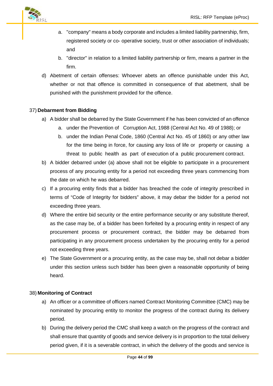

- a. "company" means a body corporate and includes a limited liability partnership, firm, registered society or co- operative society, trust or other association of individuals; and
- b. "director" in relation to a limited liability partnership or firm, means a partner in the firm.
- d) Abetment of certain offenses: Whoever abets an offence punishable under this Act, whether or not that offence is committed in consequence of that abetment, shall be punished with the punishment provided for the offence.

## 37) **Debarment from Bidding**

- a) A bidder shall be debarred by the State Government if he has been convicted of an offence
	- a. under the Prevention of Corruption Act, 1988 (Central Act No. 49 of 1988); or
	- b. under the Indian Penal Code, 1860 (Central Act No. 45 of 1860) or any other law for the time being in force, for causing any loss of life or property or causing a threat to public health as part of execution of a public procurement contract.
- b) A bidder debarred under (a) above shall not be eligible to participate in a procurement process of any procuring entity for a period not exceeding three years commencing from the date on which he was debarred.
- c) If a procuring entity finds that a bidder has breached the code of integrity prescribed in terms of "Code of Integrity for bidders" above, it may debar the bidder for a period not exceeding three years.
- d) Where the entire bid security or the entire performance security or any substitute thereof, as the case may be, of a bidder has been forfeited by a procuring entity in respect of any procurement process or procurement contract, the bidder may be debarred from participating in any procurement process undertaken by the procuring entity for a period not exceeding three years.
- e) The State Government or a procuring entity, as the case may be, shall not debar a bidder under this section unless such bidder has been given a reasonable opportunity of being heard.

## 38) **Monitoring of Contract**

- a) An officer or a committee of officers named Contract Monitoring Committee (CMC) may be nominated by procuring entity to monitor the progress of the contract during its delivery period.
- b) During the delivery period the CMC shall keep a watch on the progress of the contract and shall ensure that quantity of goods and service delivery is in proportion to the total delivery period given, if it is a severable contract, in which the delivery of the goods and service is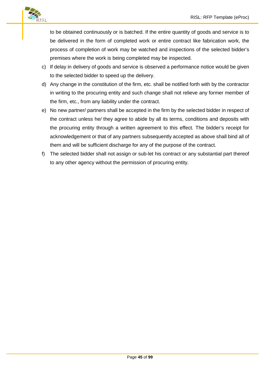

to be obtained continuously or is batched. If the entire quantity of goods and service is to be delivered in the form of completed work or entire contract like fabrication work, the process of completion of work may be watched and inspections of the selected bidder's premises where the work is being completed may be inspected.

- c) If delay in delivery of goods and service is observed a performance notice would be given to the selected bidder to speed up the delivery.
- d) Any change in the constitution of the firm, etc. shall be notified forth with by the contractor in writing to the procuring entity and such change shall not relieve any former member of the firm, etc., from any liability under the contract.
- e) No new partner/ partners shall be accepted in the firm by the selected bidder in respect of the contract unless he/ they agree to abide by all its terms, conditions and deposits with the procuring entity through a written agreement to this effect. The bidder's receipt for acknowledgement or that of any partners subsequently accepted as above shall bind all of them and will be sufficient discharge for any of the purpose of the contract.
- f) The selected bidder shall not assign or sub-let his contract or any substantial part thereof to any other agency without the permission of procuring entity.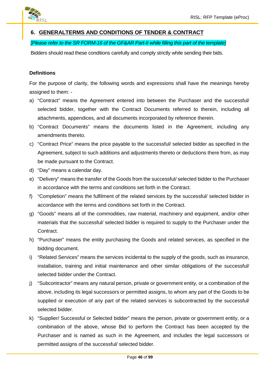

# **6. GENERALTERMS AND CONDITIONS OF TENDER & CONTRACT**

## *[Please refer to the SR FORM-16 of the GF&AR Part-II while filling this part of the template]*

Bidders should read these conditions carefully and comply strictly while sending their bids.

### **Definitions**

For the purpose of clarity, the following words and expressions shall have the meanings hereby assigned to them: -

- a) "Contract" means the Agreement entered into between the Purchaser and the successful/ selected bidder, together with the Contract Documents referred to therein, including all attachments, appendices, and all documents incorporated by reference therein.
- b) "Contract Documents" means the documents listed in the Agreement, including any amendments thereto.
- c) "Contract Price" means the price payable to the successful/ selected bidder as specified in the Agreement, subject to such additions and adjustments thereto or deductions there from, as may be made pursuant to the Contract.
- d) "Day" means a calendar day.
- e) "Delivery" means the transfer of the Goods from the successful/ selected bidder to the Purchaser in accordance with the terms and conditions set forth in the Contract.
- f) "Completion" means the fulfilment of the related services by the successful/ selected bidder in accordance with the terms and conditions set forth in the Contract.
- g) "Goods" means all of the commodities, raw material, machinery and equipment, and/or other materials that the successful/ selected bidder is required to supply to the Purchaser under the Contract.
- h) "Purchaser" means the entity purchasing the Goods and related services, as specified in the bidding document.
- i) "Related Services" means the services incidental to the supply of the goods, such as insurance, installation, training and initial maintenance and other similar obligations of the successful/ selected bidder under the Contract.
- j) "Subcontractor" means any natural person, private or government entity, or a combination of the above, including its legal successors or permitted assigns, to whom any part of the Goods to be supplied or execution of any part of the related services is subcontracted by the successful/ selected bidder.
- k) "Supplier/ Successful or Selected bidder" means the person, private or government entity, or a combination of the above, whose Bid to perform the Contract has been accepted by the Purchaser and is named as such in the Agreement, and includes the legal successors or permitted assigns of the successful/ selected bidder.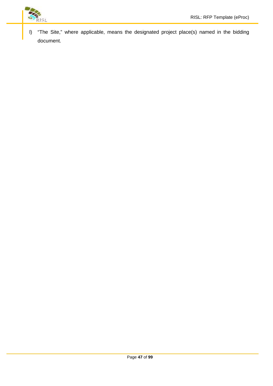

l) "The Site," where applicable, means the designated project place(s) named in the bidding document.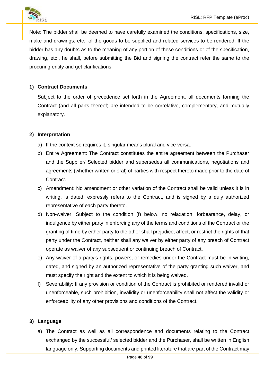

Note: The bidder shall be deemed to have carefully examined the conditions, specifications, size, make and drawings, etc., of the goods to be supplied and related services to be rendered. If the bidder has any doubts as to the meaning of any portion of these conditions or of the specification, drawing, etc., he shall, before submitting the Bid and signing the contract refer the same to the procuring entity and get clarifications.

## **1) Contract Documents**

Subject to the order of precedence set forth in the Agreement, all documents forming the Contract (and all parts thereof) are intended to be correlative, complementary, and mutually explanatory.

## **2) Interpretation**

- a) If the context so requires it, singular means plural and vice versa.
- b) Entire Agreement: The Contract constitutes the entire agreement between the Purchaser and the Supplier/ Selected bidder and supersedes all communications, negotiations and agreements (whether written or oral) of parties with respect thereto made prior to the date of Contract.
- c) Amendment: No amendment or other variation of the Contract shall be valid unless it is in writing, is dated, expressly refers to the Contract, and is signed by a duly authorized representative of each party thereto.
- d) Non-waiver: Subject to the condition (f) below, no relaxation, forbearance, delay, or indulgence by either party in enforcing any of the terms and conditions of the Contract or the granting of time by either party to the other shall prejudice, affect, or restrict the rights of that party under the Contract, neither shall any waiver by either party of any breach of Contract operate as waiver of any subsequent or continuing breach of Contract.
- e) Any waiver of a party's rights, powers, or remedies under the Contract must be in writing, dated, and signed by an authorized representative of the party granting such waiver, and must specify the right and the extent to which it is being waived.
- f) Severability: If any provision or condition of the Contract is prohibited or rendered invalid or unenforceable, such prohibition, invalidity or unenforceability shall not affect the validity or enforceability of any other provisions and conditions of the Contract.

# **3) Language**

a) The Contract as well as all correspondence and documents relating to the Contract exchanged by the successful/ selected bidder and the Purchaser, shall be written in English language only. Supporting documents and printed literature that are part of the Contract may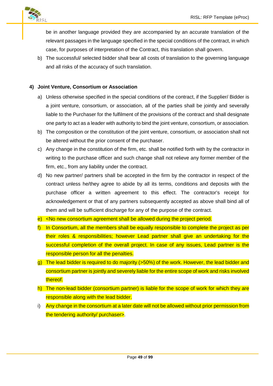

be in another language provided they are accompanied by an accurate translation of the relevant passages in the language specified in the special conditions of the contract, in which case, for purposes of interpretation of the Contract, this translation shall govern.

b) The successful/ selected bidder shall bear all costs of translation to the governing language and all risks of the accuracy of such translation.

## **4) Joint Venture, Consortium or Association**

- a) Unless otherwise specified in the special conditions of the contract, if the Supplier/ Bidder is a joint venture, consortium, or association, all of the parties shall be jointly and severally liable to the Purchaser for the fulfilment of the provisions of the contract and shall designate one party to act as a leader with authority to bind the joint venture, consortium, or association.
- b) The composition or the constitution of the joint venture, consortium, or association shall not be altered without the prior consent of the purchaser.
- c) Any change in the constitution of the firm, etc. shall be notified forth with by the contractor in writing to the purchase officer and such change shall not relieve any former member of the firm, etc., from any liability under the contract.
- d) No new partner/ partners shall be accepted in the firm by the contractor in respect of the contract unless he/they agree to abide by all its terms, conditions and deposits with the purchase officer a written agreement to this effect. The contractor's receipt for acknowledgement or that of any partners subsequently accepted as above shall bind all of them and will be sufficient discharge for any of the purpose of the contract.
- e) <No new consortium agreement shall be allowed during the project period.
- f) In Consortium, all the members shall be equally responsible to complete the project as per their roles & responsibilities; however Lead partner shall give an undertaking for the successful completion of the overall project. In case of any issues, Lead partner is the responsible person for all the penalties.
- g) The lead bidder is required to do majority (>50%) of the work. However, the lead bidder and consortium partner is jointly and severely liable for the entire scope of work and risks involved thereof.
- h) The non-lead bidder (consortium partner) is liable for the scope of work for which they are responsible along with the lead bidder.
- i) Any change in the consortium at a later date will not be allowed without prior permission from the tendering authority/ purchaser>.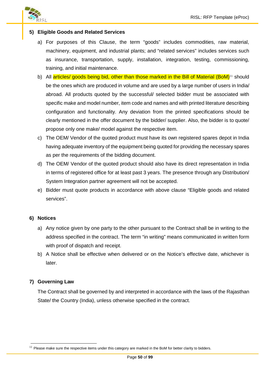

## **5) Eligible Goods and Related Services**

- a) For purposes of this Clause, the term "goods" includes commodities, raw material, machinery, equipment, and industrial plants; and "related services" includes services such as insurance, transportation, supply, installation, integration, testing, commissioning, training, and initial maintenance.
- b) All articles/ goods being bid, other than those marked in the Bill of Material (BoM)<sup>11</sup> should be the ones which are produced in volume and are used by a large number of users in India/ abroad. All products quoted by the successful/ selected bidder must be associated with specific make and model number, item code and names and with printed literature describing configuration and functionality. Any deviation from the printed specifications should be clearly mentioned in the offer document by the bidder/ supplier. Also, the bidder is to quote/ propose only one make/ model against the respective item.
- c) The OEM/ Vendor of the quoted product must have its own registered spares depot in India having adequate inventory of the equipment being quoted for providing the necessary spares as per the requirements of the bidding document.
- d) The OEM/ Vendor of the quoted product should also have its direct representation in India in terms of registered office for at least past 3 years. The presence through any Distribution/ System Integration partner agreement will not be accepted.
- e) Bidder must quote products in accordance with above clause "Eligible goods and related services".

### **6) Notices**

- a) Any notice given by one party to the other pursuant to the Contract shall be in writing to the address specified in the contract. The term "in writing" means communicated in written form with proof of dispatch and receipt.
- b) A Notice shall be effective when delivered or on the Notice's effective date, whichever is later.

### **7) Governing Law**

The Contract shall be governed by and interpreted in accordance with the laws of the Rajasthan State/ the Country (India), unless otherwise specified in the contract.

 $11$  Please make sure the respective items under this category are marked in the BoM for better clarity to bidders.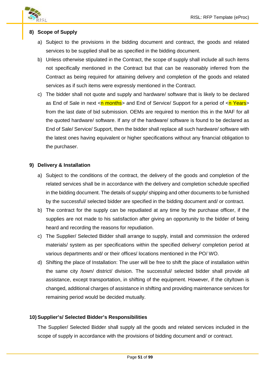

## **8) Scope of Supply**

- a) Subject to the provisions in the bidding document and contract, the goods and related services to be supplied shall be as specified in the bidding document.
- b) Unless otherwise stipulated in the Contract, the scope of supply shall include all such items not specifically mentioned in the Contract but that can be reasonably inferred from the Contract as being required for attaining delivery and completion of the goods and related services as if such items were expressly mentioned in the Contract.
- c) The bidder shall not quote and supply and hardware/ software that is likely to be declared as End of Sale in next  $\langle n \text{ months} \rangle$  and End of Service/ Support for a period of  $\langle n \text{ Years} \rangle$ from the last date of bid submission. OEMs are required to mention this in the MAF for all the quoted hardware/ software. If any of the hardware/ software is found to be declared as End of Sale/ Service/ Support, then the bidder shall replace all such hardware/ software with the latest ones having equivalent or higher specifications without any financial obligation to the purchaser.

## **9) Delivery & Installation**

- a) Subject to the conditions of the contract, the delivery of the goods and completion of the related services shall be in accordance with the delivery and completion schedule specified in the bidding document. The details of supply/ shipping and other documents to be furnished by the successful/ selected bidder are specified in the bidding document and/ or contract.
- b) The contract for the supply can be repudiated at any time by the purchase officer, if the supplies are not made to his satisfaction after giving an opportunity to the bidder of being heard and recording the reasons for repudiation.
- c) The Supplier/ Selected Bidder shall arrange to supply, install and commission the ordered materials/ system as per specifications within the specified delivery/ completion period at various departments and/ or their offices/ locations mentioned in the PO/ WO.
- d) Shifting the place of Installation: The user will be free to shift the place of installation within the same city /town/ district/ division. The successful/ selected bidder shall provide all assistance, except transportation, in shifting of the equipment. However, if the city/town is changed, additional charges of assistance in shifting and providing maintenance services for remaining period would be decided mutually.

# **10) Supplier's/ Selected Bidder's Responsibilities**

The Supplier/ Selected Bidder shall supply all the goods and related services included in the scope of supply in accordance with the provisions of bidding document and/ or contract.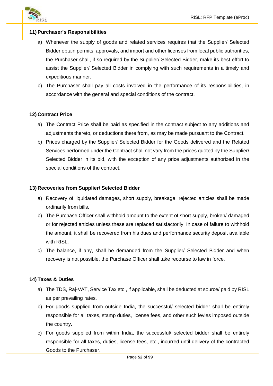

## **11) Purchaser's Responsibilities**

- a) Whenever the supply of goods and related services requires that the Supplier/ Selected Bidder obtain permits, approvals, and import and other licenses from local public authorities, the Purchaser shall, if so required by the Supplier/ Selected Bidder, make its best effort to assist the Supplier/ Selected Bidder in complying with such requirements in a timely and expeditious manner.
- b) The Purchaser shall pay all costs involved in the performance of its responsibilities, in accordance with the general and special conditions of the contract.

## **12) Contract Price**

- a) The Contract Price shall be paid as specified in the contract subject to any additions and adjustments thereto, or deductions there from, as may be made pursuant to the Contract.
- b) Prices charged by the Supplier/ Selected Bidder for the Goods delivered and the Related Services performed under the Contract shall not vary from the prices quoted by the Supplier/ Selected Bidder in its bid, with the exception of any price adjustments authorized in the special conditions of the contract.

## **13) Recoveries from Supplier/ Selected Bidder**

- a) Recovery of liquidated damages, short supply, breakage, rejected articles shall be made ordinarily from bills.
- b) The Purchase Officer shall withhold amount to the extent of short supply, broken/ damaged or for rejected articles unless these are replaced satisfactorily. In case of failure to withhold the amount, it shall be recovered from his dues and performance security deposit available with RISL.
- c) The balance, if any, shall be demanded from the Supplier/ Selected Bidder and when recovery is not possible, the Purchase Officer shall take recourse to law in force.

## **14) Taxes & Duties**

- a) The TDS, Raj-VAT, Service Tax etc., if applicable, shall be deducted at source/ paid by RISL as per prevailing rates.
- b) For goods supplied from outside India, the successful/ selected bidder shall be entirely responsible for all taxes, stamp duties, license fees, and other such levies imposed outside the country.
- c) For goods supplied from within India, the successful/ selected bidder shall be entirely responsible for all taxes, duties, license fees, etc., incurred until delivery of the contracted Goods to the Purchaser.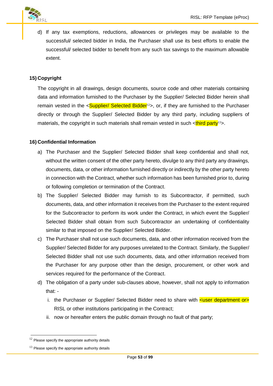

d) If any tax exemptions, reductions, allowances or privileges may be available to the successful/ selected bidder in India, the Purchaser shall use its best efforts to enable the successful/ selected bidder to benefit from any such tax savings to the maximum allowable extent.

### **15) Copyright**

The copyright in all drawings, design documents, source code and other materials containing data and information furnished to the Purchaser by the Supplier/ Selected Bidder herein shall remain vested in the  $\leq$ Supplier/ Selected Bidder<sup>12</sup>>, or, if they are furnished to the Purchaser directly or through the Supplier/ Selected Bidder by any third party, including suppliers of materials, the copyright in such materials shall remain vested in such  $\langle$ third party<sup>13</sup>>.

### **16) Confidential Information**

- a) The Purchaser and the Supplier/ Selected Bidder shall keep confidential and shall not, without the written consent of the other party hereto, divulge to any third party any drawings, documents, data, or other information furnished directly or indirectly by the other party hereto in connection with the Contract, whether such information has been furnished prior to, during or following completion or termination of the Contract.
- b) The Supplier/ Selected Bidder may furnish to its Subcontractor, if permitted, such documents, data, and other information it receives from the Purchaser to the extent required for the Subcontractor to perform its work under the Contract, in which event the Supplier/ Selected Bidder shall obtain from such Subcontractor an undertaking of confidentiality similar to that imposed on the Supplier/ Selected Bidder.
- c) The Purchaser shall not use such documents, data, and other information received from the Supplier/ Selected Bidder for any purposes unrelated to the Contract. Similarly, the Supplier/ Selected Bidder shall not use such documents, data, and other information received from the Purchaser for any purpose other than the design, procurement, or other work and services required for the performance of the Contract.
- d) The obligation of a party under sub-clauses above, however, shall not apply to information that:
	- i. the Purchaser or Supplier/ Selected Bidder need to share with  $\leq$ user department or RISL or other institutions participating in the Contract;
	- ii. now or hereafter enters the public domain through no fault of that party;

 $12$  Please specify the appropriate authority details

 $13$  Please specify the appropriate authority details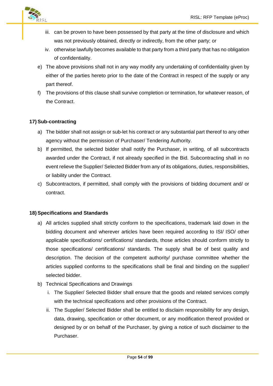

- iii. can be proven to have been possessed by that party at the time of disclosure and which was not previously obtained, directly or indirectly, from the other party; or
- iv. otherwise lawfully becomes available to that party from a third party that has no obligation of confidentiality.
- e) The above provisions shall not in any way modify any undertaking of confidentiality given by either of the parties hereto prior to the date of the Contract in respect of the supply or any part thereof.
- f) The provisions of this clause shall survive completion or termination, for whatever reason, of the Contract.

# **17) Sub-contracting**

- a) The bidder shall not assign or sub-let his contract or any substantial part thereof to any other agency without the permission of Purchaser/ Tendering Authority.
- b) If permitted, the selected bidder shall notify the Purchaser, in writing, of all subcontracts awarded under the Contract, if not already specified in the Bid. Subcontracting shall in no event relieve the Supplier/ Selected Bidder from any of its obligations, duties, responsibilities, or liability under the Contract.
- c) Subcontractors, if permitted, shall comply with the provisions of bidding document and/ or contract.

# **18) Specifications and Standards**

- a) All articles supplied shall strictly conform to the specifications, trademark laid down in the bidding document and wherever articles have been required according to ISI/ ISO/ other applicable specifications/ certifications/ standards, those articles should conform strictly to those specifications/ certifications/ standards. The supply shall be of best quality and description. The decision of the competent authority/ purchase committee whether the articles supplied conforms to the specifications shall be final and binding on the supplier/ selected bidder.
- b) Technical Specifications and Drawings
	- i. The Supplier/ Selected Bidder shall ensure that the goods and related services comply with the technical specifications and other provisions of the Contract.
	- ii. The Supplier/ Selected Bidder shall be entitled to disclaim responsibility for any design, data, drawing, specification or other document, or any modification thereof provided or designed by or on behalf of the Purchaser, by giving a notice of such disclaimer to the Purchaser.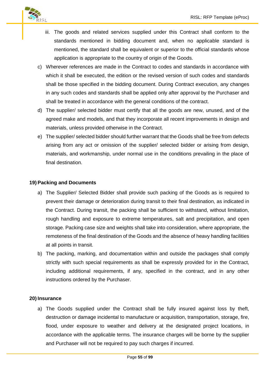

- iii. The goods and related services supplied under this Contract shall conform to the standards mentioned in bidding document and, when no applicable standard is mentioned, the standard shall be equivalent or superior to the official standards whose application is appropriate to the country of origin of the Goods.
- c) Wherever references are made in the Contract to codes and standards in accordance with which it shall be executed, the edition or the revised version of such codes and standards shall be those specified in the bidding document. During Contract execution, any changes in any such codes and standards shall be applied only after approval by the Purchaser and shall be treated in accordance with the general conditions of the contract.
- d) The supplier/ selected bidder must certify that all the goods are new, unused, and of the agreed make and models, and that they incorporate all recent improvements in design and materials, unless provided otherwise in the Contract.
- e) The supplier/ selected bidder should further warrant that the Goods shall be free from defects arising from any act or omission of the supplier/ selected bidder or arising from design, materials, and workmanship, under normal use in the conditions prevailing in the place of final destination.

## **19) Packing and Documents**

- a) The Supplier/ Selected Bidder shall provide such packing of the Goods as is required to prevent their damage or deterioration during transit to their final destination, as indicated in the Contract. During transit, the packing shall be sufficient to withstand, without limitation, rough handling and exposure to extreme temperatures, salt and precipitation, and open storage. Packing case size and weights shall take into consideration, where appropriate, the remoteness of the final destination of the Goods and the absence of heavy handling facilities at all points in transit.
- b) The packing, marking, and documentation within and outside the packages shall comply strictly with such special requirements as shall be expressly provided for in the Contract, including additional requirements, if any, specified in the contract, and in any other instructions ordered by the Purchaser.

### **20) Insurance**

a) The Goods supplied under the Contract shall be fully insured against loss by theft, destruction or damage incidental to manufacture or acquisition, transportation, storage, fire, flood, under exposure to weather and delivery at the designated project locations, in accordance with the applicable terms. The insurance charges will be borne by the supplier and Purchaser will not be required to pay such charges if incurred.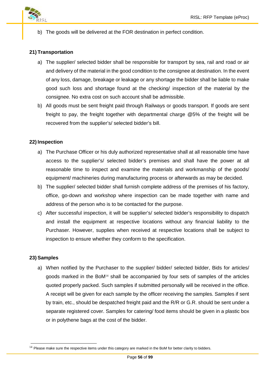

b) The goods will be delivered at the FOR destination in perfect condition.

### **21) Transportation**

- a) The supplier/ selected bidder shall be responsible for transport by sea, rail and road or air and delivery of the material in the good condition to the consignee at destination. In the event of any loss, damage, breakage or leakage or any shortage the bidder shall be liable to make good such loss and shortage found at the checking/ inspection of the material by the consignee. No extra cost on such account shall be admissible.
- b) All goods must be sent freight paid through Railways or goods transport. If goods are sent freight to pay, the freight together with departmental charge @5% of the freight will be recovered from the supplier's/ selected bidder's bill.

### **22) Inspection**

- a) The Purchase Officer or his duly authorized representative shall at all reasonable time have access to the supplier's/ selected bidder's premises and shall have the power at all reasonable time to inspect and examine the materials and workmanship of the goods/ equipment/ machineries during manufacturing process or afterwards as may be decided.
- b) The supplier/ selected bidder shall furnish complete address of the premises of his factory, office, go-down and workshop where inspection can be made together with name and address of the person who is to be contacted for the purpose.
- c) After successful inspection, it will be supplier's/ selected bidder's responsibility to dispatch and install the equipment at respective locations without any financial liability to the Purchaser. However, supplies when received at respective locations shall be subject to inspection to ensure whether they conform to the specification.

### **23) Samples**

a) When notified by the Purchaser to the supplier/ bidder/ selected bidder, Bids for articles/ goods marked in the BoM $14$  shall be accompanied by four sets of samples of the articles quoted properly packed. Such samples if submitted personally will be received in the office. A receipt will be given for each sample by the officer receiving the samples. Samples if sent by train, etc., should be despatched freight paid and the R/R or G.R. should be sent under a separate registered cover. Samples for catering/ food items should be given in a plastic box or in polythene bags at the cost of the bidder.

 $14$  Please make sure the respective items under this category are marked in the BoM for better clarity to bidders.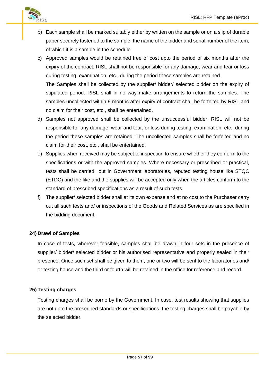

- b) Each sample shall be marked suitably either by written on the sample or on a slip of durable paper securely fastened to the sample, the name of the bidder and serial number of the item, of which it is a sample in the schedule.
- c) Approved samples would be retained free of cost upto the period of six months after the expiry of the contract. RISL shall not be responsible for any damage, wear and tear or loss during testing, examination, etc., during the period these samples are retained. The Samples shall be collected by the supplier/ bidder/ selected bidder on the expiry of stipulated period. RISL shall in no way make arrangements to return the samples. The samples uncollected within 9 months after expiry of contract shall be forfeited by RISL and no claim for their cost, etc., shall be entertained.
- d) Samples not approved shall be collected by the unsuccessful bidder. RISL will not be responsible for any damage, wear and tear, or loss during testing, examination, etc., during the period these samples are retained. The uncollected samples shall be forfeited and no claim for their cost, etc., shall be entertained.
- e) Supplies when received may be subject to inspection to ensure whether they conform to the specifications or with the approved samples. Where necessary or prescribed or practical, tests shall be carried out in Government laboratories, reputed testing house like STQC (ETDC) and the like and the supplies will be accepted only when the articles conform to the standard of prescribed specifications as a result of such tests.
- f) The supplier/ selected bidder shall at its own expense and at no cost to the Purchaser carry out all such tests and/ or inspections of the Goods and Related Services as are specified in the bidding document.

## **24) Drawl of Samples**

In case of tests, wherever feasible, samples shall be drawn in four sets in the presence of supplier/ bidder/ selected bidder or his authorised representative and properly sealed in their presence. Once such set shall be given to them, one or two will be sent to the laboratories and/ or testing house and the third or fourth will be retained in the office for reference and record.

## **25) Testing charges**

Testing charges shall be borne by the Government. In case, test results showing that supplies are not upto the prescribed standards or specifications, the testing charges shall be payable by the selected bidder.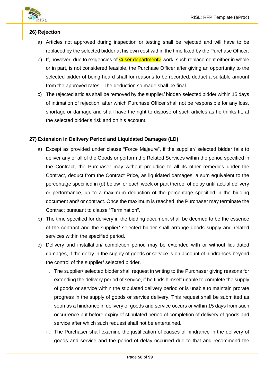

# **26) Rejection**

- a) Articles not approved during inspection or testing shall be rejected and will have to be replaced by the selected bidder at his own cost within the time fixed by the Purchase Officer.
- b) If, however, due to exigencies of  $\leq$ user department $\geq$  work, such replacement either in whole or in part, is not considered feasible, the Purchase Officer after giving an opportunity to the selected bidder of being heard shall for reasons to be recorded, deduct a suitable amount from the approved rates. The deduction so made shall be final.
- c) The rejected articles shall be removed by the supplier/ bidder/ selected bidder within 15 days of intimation of rejection, after which Purchase Officer shall not be responsible for any loss, shortage or damage and shall have the right to dispose of such articles as he thinks fit, at the selected bidder's risk and on his account.

# **27) Extension in Delivery Period and Liquidated Damages (LD)**

- a) Except as provided under clause "Force Majeure", if the supplier/ selected bidder fails to deliver any or all of the Goods or perform the Related Services within the period specified in the Contract, the Purchaser may without prejudice to all its other remedies under the Contract, deduct from the Contract Price, as liquidated damages, a sum equivalent to the percentage specified in (d) below for each week or part thereof of delay until actual delivery or performance, up to a maximum deduction of the percentage specified in the bidding document and/ or contract. Once the maximum is reached, the Purchaser may terminate the Contract pursuant to clause "Termination".
- b) The time specified for delivery in the bidding document shall be deemed to be the essence of the contract and the supplier/ selected bidder shall arrange goods supply and related services within the specified period.
- c) Delivery and installation/ completion period may be extended with or without liquidated damages, if the delay in the supply of goods or service is on account of hindrances beyond the control of the supplier/ selected bidder.
	- i. The supplier/ selected bidder shall request in writing to the Purchaser giving reasons for extending the delivery period of service, if he finds himself unable to complete the supply of goods or service within the stipulated delivery period or is unable to maintain prorate progress in the supply of goods or service delivery. This request shall be submitted as soon as a hindrance in delivery of goods and service occurs or within 15 days from such occurrence but before expiry of stipulated period of completion of delivery of goods and service after which such request shall not be entertained.
	- ii. The Purchaser shall examine the justification of causes of hindrance in the delivery of goods and service and the period of delay occurred due to that and recommend the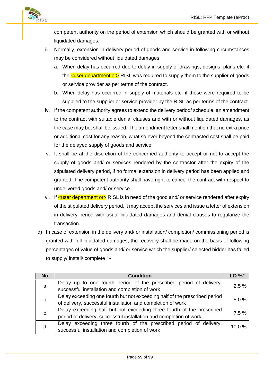

competent authority on the period of extension which should be granted with or without liquidated damages.

- iii. Normally, extension in delivery period of goods and service in following circumstances may be considered without liquidated damages:
	- a. When delay has occurred due to delay in supply of drawings, designs, plans etc. if the  $\leq$ user department or  $\geq$  RISL was required to supply them to the supplier of goods or service provider as per terms of the contract.
	- b. When delay has occurred in supply of materials etc. if these were required to be supplied to the supplier or service provider by the RISL as per terms of the contract.
- iv. If the competent authority agrees to extend the delivery period/ schedule, an amendment to the contract with suitable denial clauses and with or without liquidated damages, as the case may be, shall be issued. The amendment letter shall mention that no extra price or additional cost for any reason, what so ever beyond the contracted cost shall be paid for the delayed supply of goods and service.
- v. It shall be at the discretion of the concerned authority to accept or not to accept the supply of goods and/ or services rendered by the contractor after the expiry of the stipulated delivery period, if no formal extension in delivery period has been applied and granted. The competent authority shall have right to cancel the contract with respect to undelivered goods and/ or service.
- vi. If  $\leq$ user department or RISL is in need of the good and/ or service rendered after expiry of the stipulated delivery period, it may accept the services and issue a letter of extension in delivery period with usual liquidated damages and denial clauses to regularize the transaction.
- d) In case of extension in the delivery and/ or installation/ completion/ commissioning period is granted with full liquidated damages, the recovery shall be made on the basis of following percentages of value of goods and/ or service which the supplier/ selected bidder has failed to supply/ install/ complete : -

| No. | <b>Condition</b>                                                                                                                            | LD $\%^*$ |  |
|-----|---------------------------------------------------------------------------------------------------------------------------------------------|-----------|--|
| а.  | Delay up to one fourth period of the prescribed period of delivery,<br>successful installation and completion of work                       |           |  |
| b.  | Delay exceeding one fourth but not exceeding half of the prescribed period<br>of delivery, successful installation and completion of work   |           |  |
| C.  | Delay exceeding half but not exceeding three fourth of the prescribed<br>period of delivery, successful installation and completion of work |           |  |
| d.  | Delay exceeding three fourth of the prescribed period of delivery,<br>10.0 %<br>successful installation and completion of work              |           |  |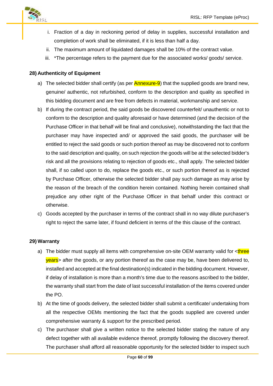

- i. Fraction of a day in reckoning period of delay in supplies, successful installation and completion of work shall be eliminated, if it is less than half a day.
- ii. The maximum amount of liquidated damages shall be 10% of the contract value.
- iii. \*The percentage refers to the payment due for the associated works/ goods/ service.

## **28) Authenticity of Equipment**

- a) The selected bidder shall certify (as per  $\Delta n$ nexure-9) that the supplied goods are brand new, genuine/ authentic, not refurbished, conform to the description and quality as specified in this bidding document and are free from defects in material, workmanship and service.
- b) If during the contract period, the said goods be discovered counterfeit/ unauthentic or not to conform to the description and quality aforesaid or have determined (and the decision of the Purchase Officer in that behalf will be final and conclusive), notwithstanding the fact that the purchaser may have inspected and/ or approved the said goods, the purchaser will be entitled to reject the said goods or such portion thereof as may be discovered not to conform to the said description and quality, on such rejection the goods will be at the selected bidder's risk and all the provisions relating to rejection of goods etc., shall apply. The selected bidder shall, if so called upon to do, replace the goods etc., or such portion thereof as is rejected by Purchase Officer, otherwise the selected bidder shall pay such damage as may arise by the reason of the breach of the condition herein contained. Nothing herein contained shall prejudice any other right of the Purchase Officer in that behalf under this contract or otherwise.
- c) Goods accepted by the purchaser in terms of the contract shall in no way dilute purchaser's right to reject the same later, if found deficient in terms of the this clause of the contract.

## **29) Warranty**

- a) The bidder must supply all items with comprehensive on-site OEM warranty valid for  $\lt^{\text{three}}$ years> after the goods, or any portion thereof as the case may be, have been delivered to, installed and accepted at the final destination(s) indicated in the bidding document. However, if delay of installation is more than a month's time due to the reasons ascribed to the bidder, the warranty shall start from the date of last successful installation of the items covered under the PO.
- b) At the time of goods delivery, the selected bidder shall submit a certificate/ undertaking from all the respective OEMs mentioning the fact that the goods supplied are covered under comprehensive warranty & support for the prescribed period.
- c) The purchaser shall give a written notice to the selected bidder stating the nature of any defect together with all available evidence thereof, promptly following the discovery thereof. The purchaser shall afford all reasonable opportunity for the selected bidder to inspect such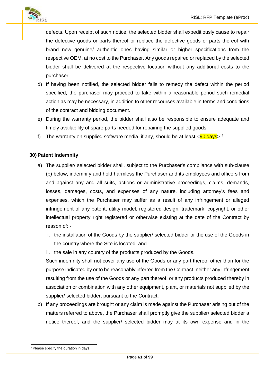

defects. Upon receipt of such notice, the selected bidder shall expeditiously cause to repair the defective goods or parts thereof or replace the defective goods or parts thereof with brand new genuine/ authentic ones having similar or higher specifications from the respective OEM, at no cost to the Purchaser. Any goods repaired or replaced by the selected bidder shall be delivered at the respective location without any additional costs to the purchaser.

- d) If having been notified, the selected bidder fails to remedy the defect within the period specified, the purchaser may proceed to take within a reasonable period such remedial action as may be necessary, in addition to other recourses available in terms and conditions of the contract and bidding document.
- e) During the warranty period, the bidder shall also be responsible to ensure adequate and timely availability of spare parts needed for repairing the supplied goods.
- f) The warranty on supplied software media, if any, should be at least <<mark>90 days</mark>><sup>15</sup>.

## **30) Patent Indemnity**

- a) The supplier/ selected bidder shall, subject to the Purchaser's compliance with sub-clause (b) below, indemnify and hold harmless the Purchaser and its employees and officers from and against any and all suits, actions or administrative proceedings, claims, demands, losses, damages, costs, and expenses of any nature, including attorney's fees and expenses, which the Purchaser may suffer as a result of any infringement or alleged infringement of any patent, utility model, registered design, trademark, copyright, or other intellectual property right registered or otherwise existing at the date of the Contract by reason of:
	- i. the installation of the Goods by the supplier/ selected bidder or the use of the Goods in the country where the Site is located; and
	- ii. the sale in any country of the products produced by the Goods.

Such indemnity shall not cover any use of the Goods or any part thereof other than for the purpose indicated by or to be reasonably inferred from the Contract, neither any infringement resulting from the use of the Goods or any part thereof, or any products produced thereby in association or combination with any other equipment, plant, or materials not supplied by the supplier/ selected bidder, pursuant to the Contract.

b) If any proceedings are brought or any claim is made against the Purchaser arising out of the matters referred to above, the Purchaser shall promptly give the supplier/ selected bidder a notice thereof, and the supplier/ selected bidder may at its own expense and in the

<sup>&</sup>lt;sup>15</sup> Please specify the duration in days.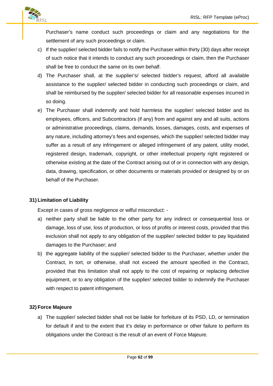

Purchaser's name conduct such proceedings or claim and any negotiations for the settlement of any such proceedings or claim.

- c) If the supplier/ selected bidder fails to notify the Purchaser within thirty (30) days after receipt of such notice that it intends to conduct any such proceedings or claim, then the Purchaser shall be free to conduct the same on its own behalf.
- d) The Purchaser shall, at the supplier's/ selected bidder's request, afford all available assistance to the supplier/ selected bidder in conducting such proceedings or claim, and shall be reimbursed by the supplier/ selected bidder for all reasonable expenses incurred in so doing.
- e) The Purchaser shall indemnify and hold harmless the supplier/ selected bidder and its employees, officers, and Subcontractors (if any) from and against any and all suits, actions or administrative proceedings, claims, demands, losses, damages, costs, and expenses of any nature, including attorney's fees and expenses, which the supplier/ selected bidder may suffer as a result of any infringement or alleged infringement of any patent, utility model, registered design, trademark, copyright, or other intellectual property right registered or otherwise existing at the date of the Contract arising out of or in connection with any design, data, drawing, specification, or other documents or materials provided or designed by or on behalf of the Purchaser.

## **31) Limitation of Liability**

Except in cases of gross negligence or wilful misconduct: -

- a) neither party shall be liable to the other party for any indirect or consequential loss or damage, loss of use, loss of production, or loss of profits or interest costs, provided that this exclusion shall not apply to any obligation of the supplier/ selected bidder to pay liquidated damages to the Purchaser; and
- b) the aggregate liability of the supplier/ selected bidder to the Purchaser, whether under the Contract, in tort, or otherwise, shall not exceed the amount specified in the Contract, provided that this limitation shall not apply to the cost of repairing or replacing defective equipment, or to any obligation of the supplier/ selected bidder to indemnify the Purchaser with respect to patent infringement.

# **32) Force Majeure**

a) The supplier/ selected bidder shall not be liable for forfeiture of its PSD, LD, or termination for default if and to the extent that it's delay in performance or other failure to perform its obligations under the Contract is the result of an event of Force Majeure.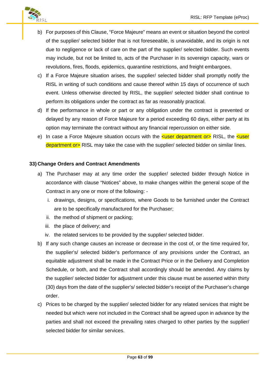

- b) For purposes of this Clause, "Force Majeure" means an event or situation beyond the control of the supplier/ selected bidder that is not foreseeable, is unavoidable, and its origin is not due to negligence or lack of care on the part of the supplier/ selected bidder. Such events may include, but not be limited to, acts of the Purchaser in its sovereign capacity, wars or revolutions, fires, floods, epidemics, quarantine restrictions, and freight embargoes.
- c) If a Force Majeure situation arises, the supplier/ selected bidder shall promptly notify the RISL in writing of such conditions and cause thereof within 15 days of occurrence of such event. Unless otherwise directed by RISL, the supplier/ selected bidder shall continue to perform its obligations under the contract as far as reasonably practical.
- d) If the performance in whole or part or any obligation under the contract is prevented or delayed by any reason of Force Majeure for a period exceeding 60 days, either party at its option may terminate the contract without any financial repercussion on either side.
- e) In case a Force Majeure situation occurs with the **sume department or** RISL, the sumer department or RISL may take the case with the supplier/ selected bidder on similar lines.

### **33) Change Orders and Contract Amendments**

- a) The Purchaser may at any time order the supplier/ selected bidder through Notice in accordance with clause "Notices" above, to make changes within the general scope of the Contract in any one or more of the following:
	- i. drawings, designs, or specifications, where Goods to be furnished under the Contract are to be specifically manufactured for the Purchaser;
	- ii. the method of shipment or packing;
	- iii. the place of delivery; and
	- iv. the related services to be provided by the supplier/ selected bidder.
- b) If any such change causes an increase or decrease in the cost of, or the time required for, the supplier's/ selected bidder's performance of any provisions under the Contract, an equitable adjustment shall be made in the Contract Price or in the Delivery and Completion Schedule, or both, and the Contract shall accordingly should be amended. Any claims by the supplier/ selected bidder for adjustment under this clause must be asserted within thirty (30) days from the date of the supplier's/ selected bidder's receipt of the Purchaser's change order.
- c) Prices to be charged by the supplier/ selected bidder for any related services that might be needed but which were not included in the Contract shall be agreed upon in advance by the parties and shall not exceed the prevailing rates charged to other parties by the supplier/ selected bidder for similar services.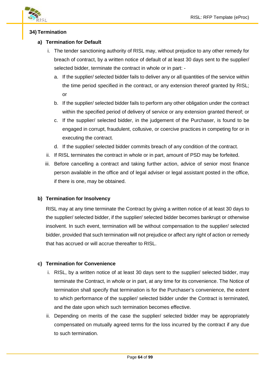



## **34) Termination**

## **a) Termination for Default**

- i. The tender sanctioning authority of RISL may, without prejudice to any other remedy for breach of contract, by a written notice of default of at least 30 days sent to the supplier/ selected bidder, terminate the contract in whole or in part:
	- a. If the supplier/ selected bidder fails to deliver any or all quantities of the service within the time period specified in the contract, or any extension thereof granted by RISL; or
	- b. If the supplier/ selected bidder fails to perform any other obligation under the contract within the specified period of delivery of service or any extension granted thereof; or
	- c. If the supplier/ selected bidder, in the judgement of the Purchaser, is found to be engaged in corrupt, fraudulent, collusive, or coercive practices in competing for or in executing the contract.
	- d. If the supplier/ selected bidder commits breach of any condition of the contract.
- ii. If RISL terminates the contract in whole or in part, amount of PSD may be forfeited.
- iii. Before cancelling a contract and taking further action, advice of senior most finance person available in the office and of legal adviser or legal assistant posted in the office, if there is one, may be obtained.

## **b) Termination for Insolvency**

RISL may at any time terminate the Contract by giving a written notice of at least 30 days to the supplier/ selected bidder, if the supplier/ selected bidder becomes bankrupt or otherwise insolvent. In such event, termination will be without compensation to the supplier/ selected bidder, provided that such termination will not prejudice or affect any right of action or remedy that has accrued or will accrue thereafter to RISL.

## **c) Termination for Convenience**

- i. RISL, by a written notice of at least 30 days sent to the supplier/ selected bidder, may terminate the Contract, in whole or in part, at any time for its convenience. The Notice of termination shall specify that termination is for the Purchaser's convenience, the extent to which performance of the supplier/ selected bidder under the Contract is terminated, and the date upon which such termination becomes effective.
- ii. Depending on merits of the case the supplier/ selected bidder may be appropriately compensated on mutually agreed terms for the loss incurred by the contract if any due to such termination.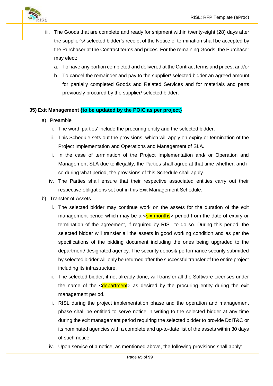

- iii. The Goods that are complete and ready for shipment within twenty-eight (28) days after the supplier's/ selected bidder's receipt of the Notice of termination shall be accepted by the Purchaser at the Contract terms and prices. For the remaining Goods, the Purchaser may elect:
	- a. To have any portion completed and delivered at the Contract terms and prices; and/or
	- b. To cancel the remainder and pay to the supplier/ selected bidder an agreed amount for partially completed Goods and Related Services and for materials and parts previously procured by the supplier/ selected bidder.

## **35) Exit Management {to be updated by the POIC as per project}**

- a) Preamble
	- i. The word 'parties' include the procuring entity and the selected bidder.
	- ii. This Schedule sets out the provisions, which will apply on expiry or termination of the Project Implementation and Operations and Management of SLA.
	- iii. In the case of termination of the Project Implementation and/ or Operation and Management SLA due to illegality, the Parties shall agree at that time whether, and if so during what period, the provisions of this Schedule shall apply.
	- iv. The Parties shall ensure that their respective associated entities carry out their respective obligations set out in this Exit Management Schedule.
- b) Transfer of Assets
	- i. The selected bidder may continue work on the assets for the duration of the exit management period which may be a  $\leq$  six months period from the date of expiry or termination of the agreement, if required by RISL to do so. During this period, the selected bidder will transfer all the assets in good working condition and as per the specifications of the bidding document including the ones being upgraded to the department/ designated agency. The security deposit/ performance security submitted by selected bidder will only be returned after the successful transfer of the entire project including its infrastructure.
	- ii. The selected bidder, if not already done, will transfer all the Software Licenses under the name of the <department> as desired by the procuring entity during the exit management period.
	- iii. RISL during the project implementation phase and the operation and management phase shall be entitled to serve notice in writing to the selected bidder at any time during the exit management period requiring the selected bidder to provide DoIT&C or its nominated agencies with a complete and up-to-date list of the assets within 30 days of such notice.
	- iv. Upon service of a notice, as mentioned above, the following provisions shall apply: -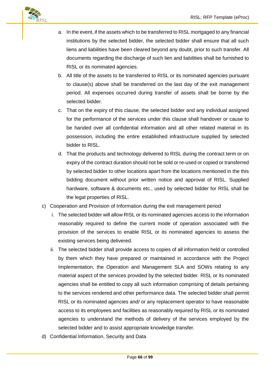

- a. In the event, if the assets which to be transferred to RISL mortgaged to any financial institutions by the selected bidder, the selected bidder shall ensure that all such liens and liabilities have been cleared beyond any doubt, prior to such transfer. All documents regarding the discharge of such lien and liabilities shall be furnished to RISL or its nominated agencies.
- b. All title of the assets to be transferred to RISL or its nominated agencies pursuant to clause(s) above shall be transferred on the last day of the exit management period. All expenses occurred during transfer of assets shall be borne by the selected bidder.
- c. That on the expiry of this clause, the selected bidder and any individual assigned for the performance of the services under this clause shall handover or cause to be handed over all confidential information and all other related material in its possession, including the entire established infrastructure supplied by selected bidder to RISL.
- d. That the products and technology delivered to RISL during the contract term or on expiry of the contract duration should not be sold or re-used or copied or transferred by selected bidder to other locations apart from the locations mentioned in the this bidding document without prior written notice and approval of RISL. Supplied hardware, software & documents etc., used by selected bidder for RISL shall be the legal properties of RISL.
- c) Cooperation and Provision of Information during the exit management period
	- i. The selected bidder will allow RISL or its nominated agencies access to the information reasonably required to define the current mode of operation associated with the provision of the services to enable RISL or its nominated agencies to assess the existing services being delivered.
	- ii. The selected bidder shall provide access to copies of all information held or controlled by them which they have prepared or maintained in accordance with the Project Implementation, the Operation and Management SLA and SOWs relating to any material aspect of the services provided by the selected bidder. RISL or its nominated agencies shall be entitled to copy all such information comprising of details pertaining to the services rendered and other performance data. The selected bidder shall permit RISL or its nominated agencies and/ or any replacement operator to have reasonable access to its employees and facilities as reasonably required by RISL or its nominated agencies to understand the methods of delivery of the services employed by the selected bidder and to assist appropriate knowledge transfer.
- d) Confidential Information, Security and Data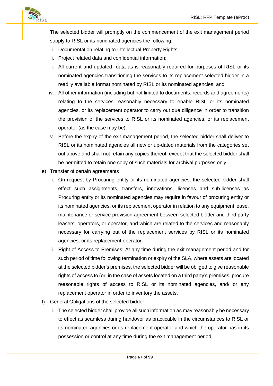

The selected bidder will promptly on the commencement of the exit management period supply to RISL or its nominated agencies the following:

- i. Documentation relating to Intellectual Property Rights;
- ii. Project related data and confidential information;
- iii. All current and updated data as is reasonably required for purposes of RISL or its nominated agencies transitioning the services to its replacement selected bidder in a readily available format nominated by RISL or its nominated agencies; and
- iv. All other information (including but not limited to documents, records and agreements) relating to the services reasonably necessary to enable RISL or its nominated agencies, or its replacement operator to carry out due diligence in order to transition the provision of the services to RISL or its nominated agencies, or its replacement operator (as the case may be).
- v. Before the expiry of the exit management period, the selected bidder shall deliver to RISL or its nominated agencies all new or up-dated materials from the categories set out above and shall not retain any copies thereof, except that the selected bidder shall be permitted to retain one copy of such materials for archival purposes only.
- e) Transfer of certain agreements
	- i. On request by Procuring entity or its nominated agencies, the selected bidder shall effect such assignments, transfers, innovations, licenses and sub-licenses as Procuring entity or its nominated agencies may require in favour of procuring entity or its nominated agencies, or its replacement operator in relation to any equipment lease, maintenance or service provision agreement between selected bidder and third party leasers, operators, or operator, and which are related to the services and reasonably necessary for carrying out of the replacement services by RISL or its nominated agencies, or its replacement operator.
	- ii. Right of Access to Premises: At any time during the exit management period and for such period of time following termination or expiry of the SLA, where assets are located at the selected bidder's premises, the selected bidder will be obliged to give reasonable rights of access to (or, in the case of assets located on a third party's premises, procure reasonable rights of access to RISL or its nominated agencies, and/ or any replacement operator in order to inventory the assets.
- f) General Obligations of the selected bidder
	- i. The selected bidder shall provide all such information as may reasonably be necessary to effect as seamless during handover as practicable in the circumstances to RISL or its nominated agencies or its replacement operator and which the operator has in its possession or control at any time during the exit management period.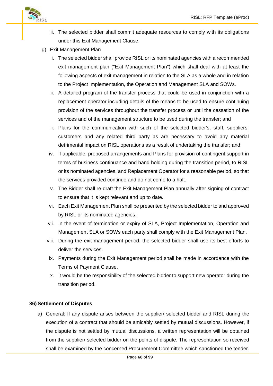

- ii. The selected bidder shall commit adequate resources to comply with its obligations under this Exit Management Clause.
- g) Exit Management Plan
	- i. The selected bidder shall provide RISL or its nominated agencies with a recommended exit management plan ("Exit Management Plan") which shall deal with at least the following aspects of exit management in relation to the SLA as a whole and in relation to the Project Implementation, the Operation and Management SLA and SOWs.
	- ii. A detailed program of the transfer process that could be used in conjunction with a replacement operator including details of the means to be used to ensure continuing provision of the services throughout the transfer process or until the cessation of the services and of the management structure to be used during the transfer; and
	- iii. Plans for the communication with such of the selected bidder's, staff, suppliers, customers and any related third party as are necessary to avoid any material detrimental impact on RISL operations as a result of undertaking the transfer; and
	- iv. If applicable, proposed arrangements and Plans for provision of contingent support in terms of business continuance and hand holding during the transition period, to RISL or its nominated agencies, and Replacement Operator for a reasonable period, so that the services provided continue and do not come to a halt.
	- v. The Bidder shall re-draft the Exit Management Plan annually after signing of contract to ensure that it is kept relevant and up to date.
	- vi. Each Exit Management Plan shall be presented by the selected bidder to and approved by RISL or its nominated agencies.
	- vii. In the event of termination or expiry of SLA, Project Implementation, Operation and Management SLA or SOWs each party shall comply with the Exit Management Plan.
	- viii. During the exit management period, the selected bidder shall use its best efforts to deliver the services.
	- ix. Payments during the Exit Management period shall be made in accordance with the Terms of Payment Clause.
	- x. It would be the responsibility of the selected bidder to support new operator during the transition period.

## **36) Settlement of Disputes**

a) General: If any dispute arises between the supplier/ selected bidder and RISL during the execution of a contract that should be amicably settled by mutual discussions. However, if the dispute is not settled by mutual discussions, a written representation will be obtained from the supplier/ selected bidder on the points of dispute. The representation so received shall be examined by the concerned Procurement Committee which sanctioned the tender.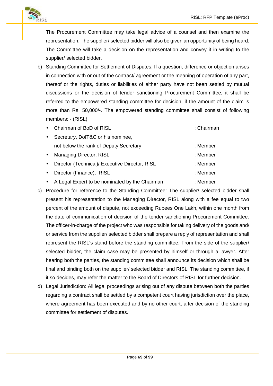

The Procurement Committee may take legal advice of a counsel and then examine the representation. The supplier/ selected bidder will also be given an opportunity of being heard. The Committee will take a decision on the representation and convey it in writing to the supplier/ selected bidder.

- b) Standing Committee for Settlement of Disputes: If a question, difference or objection arises in connection with or out of the contract/ agreement or the meaning of operation of any part, thereof or the rights, duties or liabilities of either party have not been settled by mutual discussions or the decision of tender sanctioning Procurement Committee, it shall be referred to the empowered standing committee for decision, if the amount of the claim is more than Rs. 50,000/-. The empowered standing committee shall consist of following members: - (RISL)
	- Chairman of BoD of RISL **in the Chairman** : Chairman
	- Secretary, DoIT&C or his nominee, not below the rank of Deputy Secretary **interest and the Secretary** : Member Managing Director, RISL in the contract of the Member of the Member • Director (Technical)/ Executive Director, RISL : Member Director (Finance), RISL : Member
	- A Legal Expert to be nominated by the Chairman : Member
- c) Procedure for reference to the Standing Committee: The supplier/ selected bidder shall present his representation to the Managing Director, RISL along with a fee equal to two percent of the amount of dispute, not exceeding Rupees One Lakh, within one month from the date of communication of decision of the tender sanctioning Procurement Committee. The officer-in-charge of the project who was responsible for taking delivery of the goods and/ or service from the supplier/ selected bidder shall prepare a reply of representation and shall represent the RISL's stand before the standing committee. From the side of the supplier/ selected bidder, the claim case may be presented by himself or through a lawyer. After hearing both the parties, the standing committee shall announce its decision which shall be final and binding both on the supplier/ selected bidder and RISL. The standing committee, if it so decides, may refer the matter to the Board of Directors of RISL for further decision.
- d) Legal Jurisdiction: All legal proceedings arising out of any dispute between both the parties regarding a contract shall be settled by a competent court having jurisdiction over the place, where agreement has been executed and by no other court, after decision of the standing committee for settlement of disputes.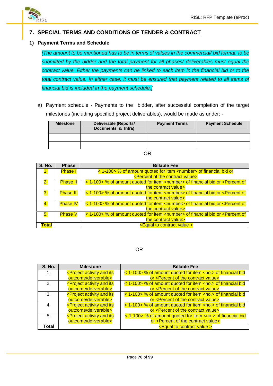

# **7. SPECIAL TERMS AND CONDITIONS OF TENDER & CONTRACT**

## **1) Payment Terms and Schedule**

*[The amount to be mentioned has to be in terms of values in the commercial/ bid format, to be submitted by the bidder and the total payment for all phases/ deliverables must equal the contract value. Either the payments can be linked to each item in the financial bid or to the total contract value. In either case, it must be ensured that payment related to all items of financial bid is included in the payment schedule.]*

a) Payment schedule - Payments to the bidder, after successful completion of the target milestones (including specified project deliverables), would be made as under: -

| <b>Milestone</b> | Deliverable (Reports/<br>Documents & Infra) | <b>Payment Terms</b> | <b>Payment Schedule</b> |
|------------------|---------------------------------------------|----------------------|-------------------------|
|                  |                                             |                      |                         |
|                  |                                             |                      |                         |

#### OR

| <b>S. No.</b> | <b>Phase</b>     | <b>Billable Fee</b>                                                                                         |  |
|---------------|------------------|-------------------------------------------------------------------------------------------------------------|--|
| <u>1.</u>     | <b>Phase I</b>   | < 1-100> % of amount quoted for item <number> of financial bid or</number>                                  |  |
|               |                  | <percent contract="" of="" the="" value=""></percent>                                                       |  |
| 2.            | <b>Phase II</b>  | < 1-100> % of amount quoted for item <number> of financial bid or <percent of<="" th=""></percent></number> |  |
|               |                  | the contract value>                                                                                         |  |
| 3.            | <b>Phase III</b> | < 1-100> % of amount quoted for item <number> of financial bid or <percent of<="" th=""></percent></number> |  |
|               |                  | the contract value>                                                                                         |  |
| 4.            | <b>Phase IV</b>  | < 1-100> % of amount quoted for item <number> of financial bid or <percent of<="" th=""></percent></number> |  |
|               |                  | the contract value>                                                                                         |  |
| 5.            | <b>Phase V</b>   | < 1-100> % of amount quoted for item <number> of financial bid or <percent of<="" th=""></percent></number> |  |
|               |                  | the contract value>                                                                                         |  |
| Total         |                  | <equal contract="" to="" value=""></equal>                                                                  |  |

### OR

| <b>S. No.</b> | <b>Milestone</b>                                                                                                                     | <b>Billable Fee</b>                                               |
|---------------|--------------------------------------------------------------------------------------------------------------------------------------|-------------------------------------------------------------------|
| 1.            | <project activity="" and="" its<="" th=""><th>&lt; 1-100&gt; % of amount quoted for item <no.> of financial bid</no.></th></project> | < 1-100> % of amount quoted for item <no.> of financial bid</no.> |
|               | outcome/deliverable>                                                                                                                 | or <percent contract="" of="" the="" value=""></percent>          |
| 2.            | <project activity="" and="" its<="" th=""><th>&lt; 1-100&gt; % of amount quoted for item <no.> of financial bid</no.></th></project> | < 1-100> % of amount quoted for item <no.> of financial bid</no.> |
|               | outcome/deliverable>                                                                                                                 | or <percent contract="" of="" the="" value=""></percent>          |
| 3.            | <project activity="" and="" its<="" th=""><th>&lt; 1-100&gt; % of amount quoted for item <no.> of financial bid</no.></th></project> | < 1-100> % of amount quoted for item <no.> of financial bid</no.> |
|               | outcome/deliverable>                                                                                                                 | or <percent contract="" of="" the="" value=""></percent>          |
| 4.            | <project activity="" and="" its<="" th=""><th>&lt; 1-100&gt; % of amount quoted for item <no.> of financial bid</no.></th></project> | < 1-100> % of amount quoted for item <no.> of financial bid</no.> |
|               | outcome/deliverable>                                                                                                                 | or <percent contract="" of="" the="" value=""></percent>          |
| 5.            | <project activity="" and="" its<="" th=""><th>&lt; 1-100&gt; % of amount quoted for item <no.> of financial bid</no.></th></project> | < 1-100> % of amount quoted for item <no.> of financial bid</no.> |
|               | outcome/deliverable>                                                                                                                 | or <percent contract="" of="" the="" value=""></percent>          |
| Total         |                                                                                                                                      | <equal contract="" to="" value=""></equal>                        |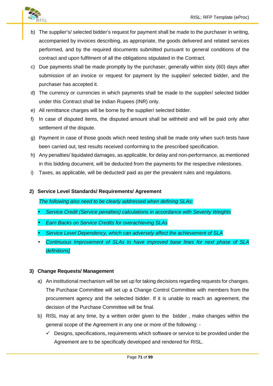

- b) The supplier's/ selected bidder's request for payment shall be made to the purchaser in writing, accompanied by invoices describing, as appropriate, the goods delivered and related services performed, and by the required documents submitted pursuant to general conditions of the contract and upon fulfilment of all the obligations stipulated in the Contract.
- c) Due payments shall be made promptly by the purchaser, generally within sixty (60) days after submission of an invoice or request for payment by the supplier/ selected bidder, and the purchaser has accepted it.
- d) The currency or currencies in which payments shall be made to the supplier/ selected bidder under this Contract shall be Indian Rupees (INR) only.
- e) All remittance charges will be borne by the supplier/ selected bidder.
- f) In case of disputed items, the disputed amount shall be withheld and will be paid only after settlement of the dispute.
- g) Payment in case of those goods which need testing shall be made only when such tests have been carried out, test results received conforming to the prescribed specification.
- h) Any penalties/ liquidated damages, as applicable, for delay and non-performance, as mentioned in this bidding document, will be deducted from the payments for the respective milestones.
- i) Taxes, as applicable, will be deducted/ paid as per the prevalent rules and regulations.
- **2) Service Level Standards/ Requirements/ Agreement**

*The following also need to be clearly addressed when defining SLAs:*

- *Service Credit (Service penalties) calculations in accordance with Severity Weights*
- *Earn Backs on Service Credits for overachieving SLAs*
- *Service Level Dependency, which can adversely affect the achievement of SLA*
- *Continuous Improvement of SLAs to have improved base lines for next phase of SLA definitions]*

# **3) Change Requests/ Management**

- a) An institutional mechanism will be set up for taking decisions regarding requests for changes. The Purchase Committee will set up a Change Control Committee with members from the procurement agency and the selected bidder. If it is unable to reach an agreement, the decision of the Purchase Committee will be final.
- b) RISL may at any time, by a written order given to the bidder , make changes within the general scope of the Agreement in any one or more of the following: -
	- $\checkmark$  Designs, specifications, requirements which software or service to be provided under the Agreement are to be specifically developed and rendered for RISL.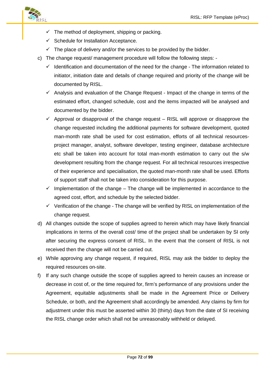

- $\checkmark$  The method of deployment, shipping or packing.
- $\checkmark$  Schedule for Installation Acceptance.
- $\checkmark$  The place of delivery and/or the services to be provided by the bidder.
- c) The change request/ management procedure will follow the following steps:
	- $\checkmark$  Identification and documentation of the need for the change The information related to initiator, initiation date and details of change required and priority of the change will be documented by RISL.
	- $\checkmark$  Analysis and evaluation of the Change Request Impact of the change in terms of the estimated effort, changed schedule, cost and the items impacted will be analysed and documented by the bidder.
	- $\checkmark$  Approval or disapproval of the change request RISL will approve or disapprove the change requested including the additional payments for software development, quoted man-month rate shall be used for cost estimation, efforts of all technical resources project manager, analyst, software developer, testing engineer, database architecture etc shall be taken into account for total man-month estimation to carry out the s/w development resulting from the change request. For all technical resources irrespective of their experience and specialisation, the quoted man-month rate shall be used. Efforts of support staff shall not be taken into consideration for this purpose.
	- $\checkmark$  Implementation of the change The change will be implemented in accordance to the agreed cost, effort, and schedule by the selected bidder.
	- $\checkmark$  Verification of the change The change will be verified by RISL on implementation of the change request.
- d) All changes outside the scope of supplies agreed to herein which may have likely financial implications in terms of the overall cost/ time of the project shall be undertaken by SI only after securing the express consent of RISL. In the event that the consent of RISL is not received then the change will not be carried out.
- e) While approving any change request, if required, RISL may ask the bidder to deploy the required resources on-site.
- f) If any such change outside the scope of supplies agreed to herein causes an increase or decrease in cost of, or the time required for, firm's performance of any provisions under the Agreement, equitable adjustments shall be made in the Agreement Price or Delivery Schedule, or both, and the Agreement shall accordingly be amended. Any claims by firm for adjustment under this must be asserted within 30 (thirty) days from the date of SI receiving the RISL change order which shall not be unreasonably withheld or delayed.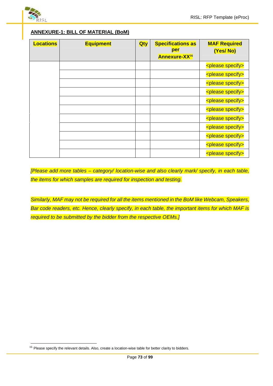

# **ANNEXURE-1: BILL OF MATERIAL (BoM)**

| <b>Locations</b> | <b>Equipment</b> | <b>Qty</b> | <b>Specifications as</b><br>per<br><b>Annexure-XX16</b> | <b>MAF Required</b><br>(Yes/No) |
|------------------|------------------|------------|---------------------------------------------------------|---------------------------------|
|                  |                  |            |                                                         | <please specify=""></please>    |
|                  |                  |            |                                                         | <please specify=""></please>    |
|                  |                  |            |                                                         | <please specify=""></please>    |
|                  |                  |            |                                                         | <please specify=""></please>    |
|                  |                  |            |                                                         | <please specify=""></please>    |
|                  |                  |            |                                                         | <please specify=""></please>    |
|                  |                  |            |                                                         | <please specify=""></please>    |
|                  |                  |            |                                                         | <please specify=""></please>    |
|                  |                  |            |                                                         | <please specify=""></please>    |
|                  |                  |            |                                                         | <please specify=""></please>    |
|                  |                  |            |                                                         | <please specify=""></please>    |

*[Please add more tables – category/ location-wise and also clearly mark/ specify, in each table, the items for which samples are required for inspection and testing.*

*Similarly, MAF may not be required for all the items mentioned in the BoM like Webcam, Speakers, Bar code readers, etc. Hence, clearly specify, in each table, the important items for which MAF is required to be submitted by the bidder from the respective OEMs.]*

 $16$  Please specify the relevant details. Also, create a location-wise table for better clarity to bidders.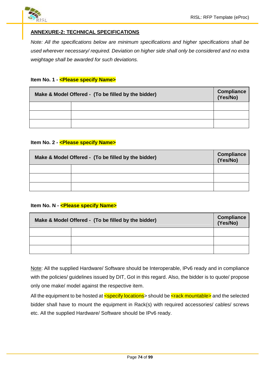

## **ANNEXURE-2: TECHNICAL SPECIFICATIONS**

*Note: All the specifications below are minimum specifications and higher specifications shall be used wherever necessary/ required. Deviation on higher side shall only be considered and no extra weightage shall be awarded for such deviations.*

### **Item No. 1 - <Please specify Name>**

| Make & Model Offered - (To be filled by the bidder) | <b>Compliance</b><br>(Yes/No) |  |
|-----------------------------------------------------|-------------------------------|--|
|                                                     |                               |  |
|                                                     |                               |  |
|                                                     |                               |  |

### **Item No. 2 - <Please specify Name>**

| Make & Model Offered - (To be filled by the bidder) | Compliance<br>(Yes/No) |  |
|-----------------------------------------------------|------------------------|--|
|                                                     |                        |  |
|                                                     |                        |  |
|                                                     |                        |  |

## **Item No. N - <Please specify Name>**

| Make & Model Offered - (To be filled by the bidder) | <b>Compliance</b><br>(Yes/No) |  |
|-----------------------------------------------------|-------------------------------|--|
|                                                     |                               |  |
|                                                     |                               |  |
|                                                     |                               |  |

Note: All the supplied Hardware/ Software should be Interoperable, IPv6 ready and in compliance with the policies/ guidelines issued by DIT, GoI in this regard. Also, the bidder is to quote/ propose only one make/ model against the respective item.

All the equipment to be hosted at  $\leq$  specify locations > should be  $\leq$  rack mountable > and the selected bidder shall have to mount the equipment in Rack(s) with required accessories/ cables/ screws etc. All the supplied Hardware/ Software should be IPv6 ready.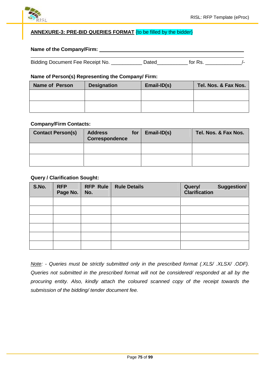

# **ANNEXURE-3: PRE-BID QUERIES FORMAT** {to be filled by the bidder}

### **Name of the Company/Firm:**

|  | Bidding Document Fee Receipt No. |  | for Rs |  |
|--|----------------------------------|--|--------|--|
|--|----------------------------------|--|--------|--|

### **Name of Person(s) Representing the Company/ Firm:**

| <b>Name of Person</b> | <b>Designation</b> | $Email-ID(s)$ | Tel. Nos. & Fax Nos. |
|-----------------------|--------------------|---------------|----------------------|
|                       |                    |               |                      |
|                       |                    |               |                      |
|                       |                    |               |                      |

### **Company/Firm Contacts:**

| <b>Contact Person(s)</b> | <b>Address</b><br>Correspondence | for | Email-ID(s) | Tel. Nos. & Fax Nos. |
|--------------------------|----------------------------------|-----|-------------|----------------------|
|                          |                                  |     |             |                      |
|                          |                                  |     |             |                      |

#### **Query / Clarification Sought:**

| S.No. | <b>RFP</b><br>Page No. | <b>RFP Rule</b><br>No. | <b>Rule Details</b> | Query/<br><b>Clarification</b> | Suggestion/ |
|-------|------------------------|------------------------|---------------------|--------------------------------|-------------|
|       |                        |                        |                     |                                |             |
|       |                        |                        |                     |                                |             |
|       |                        |                        |                     |                                |             |
|       |                        |                        |                     |                                |             |
|       |                        |                        |                     |                                |             |
|       |                        |                        |                     |                                |             |

*Note: - Queries must be strictly submitted only in the prescribed format (.XLS/ .XLSX/ .ODF). Queries not submitted in the prescribed format will not be considered/ responded at all by the procuring entity. Also, kindly attach the coloured scanned copy of the receipt towards the submission of the bidding/ tender document fee.*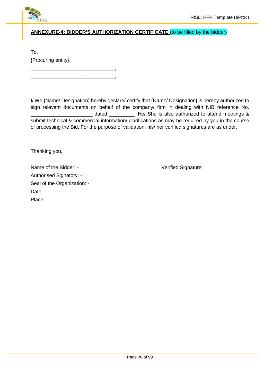

# **ANNEXURE-4: BIDDER'S AUTHORIZATION CERTIFICATE** {to be filled by the bidder}

To, {Procuring entity},

\_\_\_\_\_\_\_\_\_\_\_\_\_\_\_\_\_\_\_\_\_\_\_\_\_\_\_\_\_\_, \_\_\_\_\_\_\_\_\_\_\_\_\_\_\_\_\_\_\_\_\_\_\_\_\_\_\_\_\_\_,

I/ We {Name/ Designation} hereby declare/ certify that {Name/ Designation} is hereby authorized to sign relevant documents on behalf of the company/ firm in dealing with NIB reference No. dated The Assection authorized to attend meetings & submit technical & commercial information/ clarifications as may be required by you in the course of processing the Bid. For the purpose of validation, his/ her verified signatures are as under.

Thanking you,

Name of the Bidder: - Verified Signature: Authorised Signatory: - Seal of the Organization: - Date: \_\_\_\_\_\_\_\_\_\_\_\_\_\_ Place: **Place: Place: Place: Place:**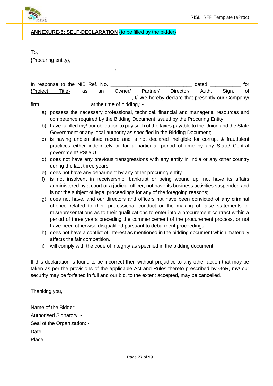

**ANNEXURE-5: SELF-DECLARATION** {to be filled by the bidder}

To,

{Procuring entity},

\_\_\_\_\_\_\_\_\_\_\_\_\_\_\_\_\_\_\_\_\_\_\_\_\_\_\_\_\_\_,

| In response to the NIB Ref. No.    |         |    |    |        |                                                  |           | dated |       | for |
|------------------------------------|---------|----|----|--------|--------------------------------------------------|-----------|-------|-------|-----|
| {Project                           | Title}, | as | an | Owner/ | Partner/                                         | Director/ | Auth. | Sian. | 0t  |
|                                    |         |    |    |        | I/ We hereby declare that presently our Company/ |           |       |       |     |
| firm<br>at the time of bidding,: - |         |    |    |        |                                                  |           |       |       |     |

- a) possess the necessary professional, technical, financial and managerial resources and competence required by the Bidding Document issued by the Procuring Entity;
- b) have fulfilled my/ our obligation to pay such of the taxes payable to the Union and the State Government or any local authority as specified in the Bidding Document;
- c) is having unblemished record and is not declared ineligible for corrupt & fraudulent practices either indefinitely or for a particular period of time by any State/ Central government/ PSU/ UT.
- d) does not have any previous transgressions with any entity in India or any other country during the last three years
- e) does not have any debarment by any other procuring entity
- f) is not insolvent in receivership, bankrupt or being wound up, not have its affairs administered by a court or a judicial officer, not have its business activities suspended and is not the subject of legal proceedings for any of the foregoing reasons;
- g) does not have, and our directors and officers not have been convicted of any criminal offence related to their professional conduct or the making of false statements or misrepresentations as to their qualifications to enter into a procurement contract within a period of three years preceding the commencement of the procurement process, or not have been otherwise disqualified pursuant to debarment proceedings;
- h) does not have a conflict of interest as mentioned in the bidding document which materially affects the fair competition.
- i) will comply with the code of integrity as specified in the bidding document.

If this declaration is found to be incorrect then without prejudice to any other action that may be taken as per the provisions of the applicable Act and Rules thereto prescribed by GoR, my/ our security may be forfeited in full and our bid, to the extent accepted, may be cancelled.

Thanking you,

| Name of the Bidder: -       |
|-----------------------------|
| Authorised Signatory: -     |
| Seal of the Organization: - |
| Date:                       |
| Place:                      |
|                             |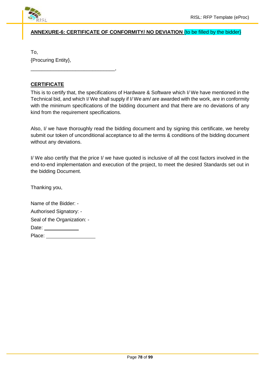

# **ANNEXURE-6: CERTIFICATE OF CONFORMITY/ NO DEVIATION** {to be filled by the bidder}

To, {Procuring Entity},

# **CERTIFICATE**

\_\_\_\_\_\_\_\_\_\_\_\_\_\_\_\_\_\_\_\_\_\_\_\_\_\_\_\_\_\_,

This is to certify that, the specifications of Hardware & Software which I/ We have mentioned in the Technical bid, and which I/ We shall supply if I/ We am/ are awarded with the work, are in conformity with the minimum specifications of the bidding document and that there are no deviations of any kind from the requirement specifications.

Also, I/ we have thoroughly read the bidding document and by signing this certificate, we hereby submit our token of unconditional acceptance to all the terms & conditions of the bidding document without any deviations.

I/ We also certify that the price I/ we have quoted is inclusive of all the cost factors involved in the end-to-end implementation and execution of the project, to meet the desired Standards set out in the bidding Document.

Thanking you,

| Name of the Bidder: -          |  |
|--------------------------------|--|
| <b>Authorised Signatory: -</b> |  |
| Seal of the Organization: -    |  |
| Date:                          |  |
| Place:                         |  |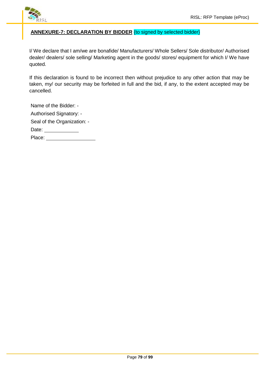

# **ANNEXURE-7: DECLARATION BY BIDDER** {to signed by selected bidder}

I/ We declare that I am/we are bonafide/ Manufacturers/ Whole Sellers/ Sole distributor/ Authorised dealer/ dealers/ sole selling/ Marketing agent in the goods/ stores/ equipment for which I/ We have quoted.

If this declaration is found to be incorrect then without prejudice to any other action that may be taken, my/ our security may be forfeited in full and the bid, if any, to the extent accepted may be cancelled.

| Name of the Bidder: -       |  |
|-----------------------------|--|
| Authorised Signatory: -     |  |
| Seal of the Organization: - |  |
| Date:                       |  |
| Place:                      |  |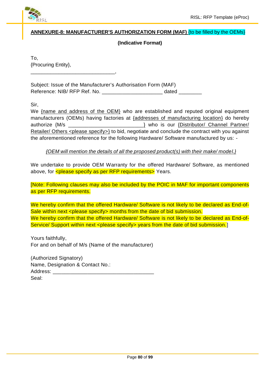

## **ANNEXURE-8: MANUFACTURER'S AUTHORIZATION FORM (MAF)** {to be filled by the OEMs}

## **(Indicative Format)**

To, {Procuring Entity}, \_\_\_\_\_\_\_\_\_\_\_\_\_\_\_\_\_\_\_\_\_\_\_\_\_\_\_\_\_\_,

Subject: Issue of the Manufacturer's Authorisation Form (MAF) Reference: NIB/ RFP Ref. No. \_\_\_\_\_\_\_\_\_\_\_\_\_\_\_\_\_\_\_\_\_\_\_\_\_\_ dated \_\_\_\_\_\_\_\_\_\_

Sir,

We {name and address of the OEM} who are established and reputed original equipment manufacturers (OEMs) having factories at {addresses of manufacturing location} do hereby authorize {M/s \_\_\_\_\_\_\_\_\_\_\_\_\_\_\_\_\_\_\_\_\_\_\_\_\_\_} who is our {Distributor/ Channel Partner/ Retailer/ Others <please specify>} to bid, negotiate and conclude the contract with you against the aforementioned reference for the following Hardware/ Software manufactured by us: -

*{OEM will mention the details of all the proposed product(s) with their make/ model.}*

We undertake to provide OEM Warranty for the offered Hardware/ Software, as mentioned above, for *<please specify as per RFP requirements>* Years.

[Note: Following clauses may also be included by the POIC in MAF for important components as per RFP requirements.

We hereby confirm that the offered Hardware/ Software is not likely to be declared as End-of-Sale within next <please specify> months from the date of bid submission. We hereby confirm that the offered Hardware/ Software is not likely to be declared as End-of-Service/ Support within next <please specify> years from the date of bid submission.]

Yours faithfully, For and on behalf of M/s (Name of the manufacturer)

(Authorized Signatory) Name, Designation & Contact No.: Address: Seal: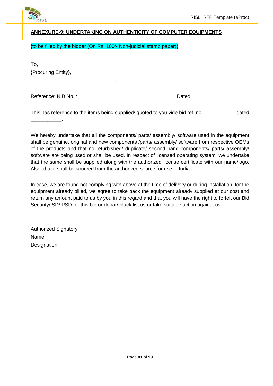

# **ANNEXURE-9: UNDERTAKING ON AUTHENTICITY OF COMPUTER EQUIPMENTS**

{to be filled by the bidder (On Rs. 100/- Non-judicial stamp paper)}

To, {Procuring Entity},

 $\overline{\phantom{a}}$  . The set of the set of the set of the set of the set of the set of the set of the set of the set of the set of the set of the set of the set of the set of the set of the set of the set of the set of the set o

\_\_\_\_\_\_\_\_\_\_\_\_\_\_\_\_\_\_\_\_\_\_\_\_\_\_\_\_\_\_,

Reference: NIB No. :\_\_\_\_\_\_\_\_\_\_\_\_\_\_\_\_\_\_\_\_\_\_\_\_\_\_\_\_\_\_\_\_\_\_\_ Dated:\_\_\_\_\_\_\_\_\_\_

This has reference to the items being supplied/ quoted to you vide bid ref. no. \_\_\_\_\_\_\_\_\_\_\_ dated

We hereby undertake that all the components/ parts/ assembly/ software used in the equipment shall be genuine, original and new components /parts/ assembly/ software from respective OEMs of the products and that no refurbished/ duplicate/ second hand components/ parts/ assembly/ software are being used or shall be used. In respect of licensed operating system, we undertake that the same shall be supplied along with the authorized license certificate with our name/logo. Also, that it shall be sourced from the authorized source for use in India.

In case, we are found not complying with above at the time of delivery or during installation, for the equipment already billed, we agree to take back the equipment already supplied at our cost and return any amount paid to us by you in this regard and that you will have the right to forfeit our Bid Security/ SD/ PSD for this bid or debar/ black list us or take suitable action against us.

Authorized Signatory Name: Designation: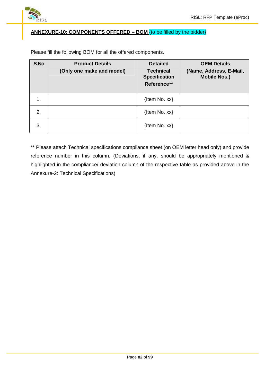

# **ANNEXURE-10: COMPONENTS OFFERED – BOM** {to be filled by the bidder}

Please fill the following BOM for all the offered components.

| S.No. | <b>Product Details</b><br>(Only one make and model) | <b>Detailed</b><br><b>Technical</b><br><b>Specification</b><br>Reference** | <b>OEM Details</b><br>(Name, Address, E-Mail,<br><b>Mobile Nos.)</b> |
|-------|-----------------------------------------------------|----------------------------------------------------------------------------|----------------------------------------------------------------------|
| 1.    |                                                     | $\{$ ltem No. xx $\}$                                                      |                                                                      |
| 2.    |                                                     | {Item No. xx}                                                              |                                                                      |
| 3.    |                                                     | $\{$ ltem No. xx $\}$                                                      |                                                                      |

\*\* Please attach Technical specifications compliance sheet (on OEM letter head only) and provide reference number in this column. (Deviations, if any, should be appropriately mentioned & highlighted in the compliance/ deviation column of the respective table as provided above in the Annexure-2: Technical Specifications)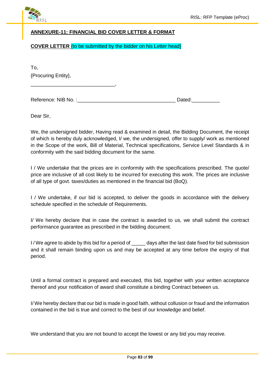

# **ANNEXURE-11: FINANCIAL BID COVER LETTER & FORMAT**

## **COVER LETTER** {to be submitted by the bidder on his Letter head}

To, {Procuring Entity},

\_\_\_\_\_\_\_\_\_\_\_\_\_\_\_\_\_\_\_\_\_\_\_\_\_\_\_\_\_\_,

Reference: NIB No. :\_\_\_\_\_\_\_\_\_\_\_\_\_\_\_\_\_\_\_\_\_\_\_\_\_\_\_\_\_\_\_\_\_\_\_ Dated:\_\_\_\_\_\_\_\_\_\_

Dear Sir,

We, the undersigned bidder, Having read & examined in detail, the Bidding Document, the receipt of which is hereby duly acknowledged, I/ we, the undersigned, offer to supply/ work as mentioned in the Scope of the work, Bill of Material, Technical specifications, Service Level Standards & in conformity with the said bidding document for the same.

I / We undertake that the prices are in conformity with the specifications prescribed. The quote/ price are inclusive of all cost likely to be incurred for executing this work. The prices are inclusive of all type of govt. taxes/duties as mentioned in the financial bid (BoQ).

I / We undertake, if our bid is accepted, to deliver the goods in accordance with the delivery schedule specified in the schedule of Requirements.

I/ We hereby declare that in case the contract is awarded to us, we shall submit the contract performance guarantee as prescribed in the bidding document.

I/We agree to abide by this bid for a period of \_\_\_\_\_ days after the last date fixed for bid submission and it shall remain binding upon us and may be accepted at any time before the expiry of that period.

Until a formal contract is prepared and executed, this bid, together with your written acceptance thereof and your notification of award shall constitute a binding Contract between us.

I/ We hereby declare that our bid is made in good faith, without collusion or fraud and the information contained in the bid is true and correct to the best of our knowledge and belief.

We understand that you are not bound to accept the lowest or any bid you may receive.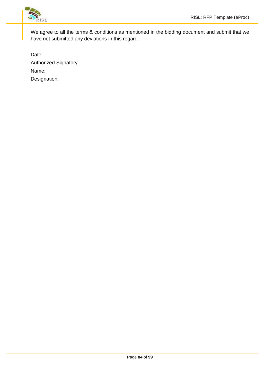

We agree to all the terms & conditions as mentioned in the bidding document and submit that we have not submitted any deviations in this regard.

Date: Authorized Signatory Name: Designation: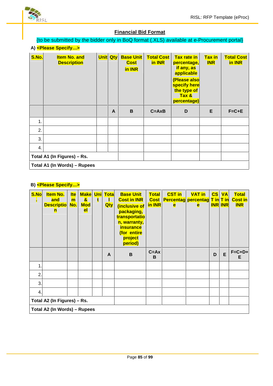

# **Financial Bid Format**

# {to be submitted by the bidder only in BoQ format (.XLS) available at e-Procurement portal} **A) <Please Specify…>**

| S.No.                        | <b>Item No. and</b><br><b>Description</b> |  | <b>Unit Qty</b> | <b>Base Unit</b><br><b>Cost</b><br>in INR | <b>Total Cost</b><br>in INR | Tax rate in<br>percentage,<br>if any, as<br>applicable<br>(Please also<br>specify here<br>the type of<br>Tax &<br>percentage) | <b>Tax in</b><br><b>INR</b> | <b>Total Cost</b><br>in INR |
|------------------------------|-------------------------------------------|--|-----------------|-------------------------------------------|-----------------------------|-------------------------------------------------------------------------------------------------------------------------------|-----------------------------|-----------------------------|
|                              |                                           |  | A               | B                                         | $C = A \times B$            | D                                                                                                                             | E                           | $F = C + E$                 |
| 1.                           |                                           |  |                 |                                           |                             |                                                                                                                               |                             |                             |
| 2.                           |                                           |  |                 |                                           |                             |                                                                                                                               |                             |                             |
| 3.                           |                                           |  |                 |                                           |                             |                                                                                                                               |                             |                             |
| 4.                           |                                           |  |                 |                                           |                             |                                                                                                                               |                             |                             |
| Total A1 (In Figures) - Rs.  |                                           |  |                 |                                           |                             |                                                                                                                               |                             |                             |
| Total A1 (In Words) - Rupees |                                           |  |                 |                                           |                             |                                                                                                                               |                             |                             |

# **B) <Please Specify…>**

| S.No<br>$\blacksquare$ | <b>Item No.</b><br>and<br><b>Descriptio</b><br>$\mathbf n$ | <b>Ite</b><br>m<br>No. | <b>Make</b><br>$\mathbf{a}$<br><b>Mod</b><br><b>el</b> | $\mathbf t$ | <b>Uni</b> Tota<br>L<br><b>Qty</b> | <b>Base Unit</b><br><b>Cost in INR</b><br>(inclusive of<br>packaging,<br>transportatio<br>n, warranty,<br><b>insurance</b><br>(for entire<br>project<br>period) | <b>Total</b><br><b>Cost</b><br>in INR | <b>CST in</b><br>e | <b>VAT in</b><br><b>Percentag percentag T in T in</b><br>e |   | <b>CS VA</b><br><b>INR INR</b> | <b>Total</b><br><b>Cost in</b><br><b>INR</b> |
|------------------------|------------------------------------------------------------|------------------------|--------------------------------------------------------|-------------|------------------------------------|-----------------------------------------------------------------------------------------------------------------------------------------------------------------|---------------------------------------|--------------------|------------------------------------------------------------|---|--------------------------------|----------------------------------------------|
|                        |                                                            |                        |                                                        |             | $\mathsf{A}$                       | B                                                                                                                                                               | $C = Ax$<br>B                         |                    |                                                            | D | E                              | $F = C + D +$<br>E                           |
| 1.                     |                                                            |                        |                                                        |             |                                    |                                                                                                                                                                 |                                       |                    |                                                            |   |                                |                                              |
| $\overline{2}$         |                                                            |                        |                                                        |             |                                    |                                                                                                                                                                 |                                       |                    |                                                            |   |                                |                                              |
| 3.                     |                                                            |                        |                                                        |             |                                    |                                                                                                                                                                 |                                       |                    |                                                            |   |                                |                                              |
| 4.                     |                                                            |                        |                                                        |             |                                    |                                                                                                                                                                 |                                       |                    |                                                            |   |                                |                                              |
|                        | Total A2 (In Figures) - Rs.                                |                        |                                                        |             |                                    |                                                                                                                                                                 |                                       |                    |                                                            |   |                                |                                              |
|                        | Total A2 (In Words) - Rupees                               |                        |                                                        |             |                                    |                                                                                                                                                                 |                                       |                    |                                                            |   |                                |                                              |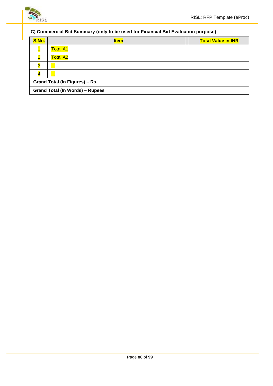

# **C) Commercial Bid Summary (only to be used for Financial Bid Evaluation purpose)**

| <b>S.No.</b>                           | <b>Item</b>     | <b>Total Value in INR</b> |  |  |  |  |
|----------------------------------------|-----------------|---------------------------|--|--|--|--|
|                                        | <b>Total A1</b> |                           |  |  |  |  |
| $\overline{2}$                         | <b>Total A2</b> |                           |  |  |  |  |
| $\overline{\mathbf{3}}$                | <b>ALC N</b>    |                           |  |  |  |  |
|                                        | <b>P.A.A.</b>   |                           |  |  |  |  |
| Grand Total (In Figures) - Rs.         |                 |                           |  |  |  |  |
| <b>Grand Total (In Words) - Rupees</b> |                 |                           |  |  |  |  |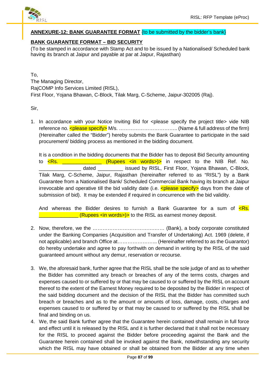

### **ANNEXURE-12: BANK GUARANTEE FORMAT** {to be submitted by the bidder's bank}

## **BANK GUARANTEE FORMAT – BID SECURITY**

(To be stamped in accordance with Stamp Act and to be issued by a Nationalised/ Scheduled bank having its branch at Jaipur and payable at par at Jaipur, Rajasthan)

To, The Managing Director, RajCOMP Info Services Limited (RISL), First Floor, Yojana Bhawan, C-Block, Tilak Marg, C-Scheme, Jaipur-302005 (Raj).

Sir,

1. In accordance with your Notice Inviting Bid for <please specify the project title> vide NIB reference no.  $\leq$  please specify> M/s.  $\ldots$   $\ldots$   $\ldots$   $\ldots$   $\ldots$   $\ldots$   $\ldots$  (Name & full address of the firm) (Hereinafter called the "Bidder") hereby submits the Bank Guarantee to participate in the said procurement/ bidding process as mentioned in the bidding document.

It is a condition in the bidding documents that the Bidder has to deposit Bid Security amounting to  $\overline{\text{R}}$ . \_\_\_\_\_\_\_\_\_\_\_\_\_\_\_\_\_\_\_(Rupees  $\text{C}$  /n words>)> in respect to the NIB Ref. No. dated **Example 2** issued by RISL, First Floor, Yojana Bhawan, C-Block, Tilak Marg, C-Scheme, Jaipur, Rajasthan (hereinafter referred to as "RISL") by a Bank Guarantee from a Nationalised Bank/ Scheduled Commercial Bank having its branch at Jaipur irrevocable and operative till the bid validity date (i.e.  $\leq$  please specify> days from the date of submission of bid). It may be extended if required in concurrence with the bid validity.

And whereas the Bidder desires to furnish a Bank Guarantee for a sum of  $\leq$ Rs.  $\blacksquare$  (Rupees  $\ltimes$ in words>)> to the RISL as earnest money deposit.

- 2. Now, therefore, we the ……………………………….…… (Bank), a body corporate constituted under the Banking Companies (Acquisition and Transfer of Undertaking) Act. 1969 (delete, if not applicable) and branch Office at…………………... (Hereinafter referred to as the Guarantor) do hereby undertake and agree to pay forthwith on demand in writing by the RISL of the said guaranteed amount without any demur, reservation or recourse.
- 3. We, the aforesaid bank, further agree that the RISL shall be the sole judge of and as to whether the Bidder has committed any breach or breaches of any of the terms costs, charges and expenses caused to or suffered by or that may be caused to or suffered by the RISL on account thereof to the extent of the Earnest Money required to be deposited by the Bidder in respect of the said bidding document and the decision of the RISL that the Bidder has committed such breach or breaches and as to the amount or amounts of loss, damage, costs, charges and expenses caused to or suffered by or that may be caused to or suffered by the RISL shall be final and binding on us.
- 4. We, the said Bank further agree that the Guarantee herein contained shall remain in full force and effect until it is released by the RISL and it is further declared that it shall not be necessary for the RISL to proceed against the Bidder before proceeding against the Bank and the Guarantee herein contained shall be invoked against the Bank, notwithstanding any security which the RISL may have obtained or shall be obtained from the Bidder at any time when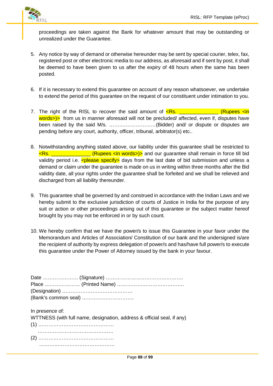proceedings are taken against the Bank for whatever amount that may be outstanding or unrealized under the Guarantee.

- 5. Any notice by way of demand or otherwise hereunder may be sent by special courier, telex, fax, registered post or other electronic media to our address, as aforesaid and if sent by post, it shall be deemed to have been given to us after the expiry of 48 hours when the same has been posted.
- 6. If it is necessary to extend this guarantee on account of any reason whatsoever, we undertake to extend the period of this guarantee on the request of our constituent under intimation to you.
- 7. The right of the RISL to recover the said amount of  $\leq$ Rs.  $\leq$  (Rupees  $\leq$ in words>)> from us in manner aforesaid will not be precluded/ affected, even if, disputes have been raised by the said M/s. ……….………………(Bidder) and/ or dispute or disputes are pending before any court, authority, officer, tribunal, arbitrator(s) etc..
- 8. Notwithstanding anything stated above, our liability under this guarantee shall be restricted to <Rs. \_\_\_\_\_\_\_\_\_\_\_\_\_\_ (Rupees <in words>)> and our guarantee shall remain in force till bid validity period i.e.  $\leq$  please specify> days from the last date of bid submission and unless a demand or claim under the guarantee is made on us in writing within three months after the Bid validity date, all your rights under the guarantee shall be forfeited and we shall be relieved and discharged from all liability thereunder.
- 9. This guarantee shall be governed by and construed in accordance with the Indian Laws and we hereby submit to the exclusive jurisdiction of courts of Justice in India for the purpose of any suit or action or other proceedings arising out of this guarantee or the subject matter hereof brought by you may not be enforced in or by such count.
- 10. We hereby confirm that we have the power/s to issue this Guarantee in your favor under the Memorandum and Articles of Association/ Constitution of our bank and the undersigned is/are the recipient of authority by express delegation of power/s and has/have full power/s to execute this guarantee under the Power of Attorney issued by the bank in your favour.

| In presence of:<br>WTTNESS (with full name, designation, address & official seal, if any) |
|-------------------------------------------------------------------------------------------|
|                                                                                           |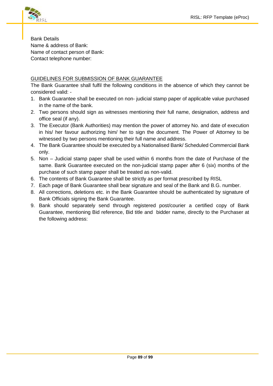

Bank Details Name & address of Bank: Name of contact person of Bank: Contact telephone number:

## GUIDELINES FOR SUBMISSION OF BANK GUARANTEE

The Bank Guarantee shall fulfil the following conditions in the absence of which they cannot be considered valid: -

- 1. Bank Guarantee shall be executed on non- judicial stamp paper of applicable value purchased in the name of the bank.
- 2. Two persons should sign as witnesses mentioning their full name, designation, address and office seal (if any).
- 3. The Executor (Bank Authorities) may mention the power of attorney No. and date of execution in his/ her favour authorizing him/ her to sign the document. The Power of Attorney to be witnessed by two persons mentioning their full name and address.
- 4. The Bank Guarantee should be executed by a Nationalised Bank/ Scheduled Commercial Bank only.
- 5. Non Judicial stamp paper shall be used within 6 months from the date of Purchase of the same. Bank Guarantee executed on the non-judicial stamp paper after 6 (six) months of the purchase of such stamp paper shall be treated as non-valid.
- 6. The contents of Bank Guarantee shall be strictly as per format prescribed by RISL
- 7. Each page of Bank Guarantee shall bear signature and seal of the Bank and B.G. number.
- 8. All corrections, deletions etc. in the Bank Guarantee should be authenticated by signature of Bank Officials signing the Bank Guarantee.
- 9. Bank should separately send through registered post/courier a certified copy of Bank Guarantee, mentioning Bid reference, Bid title and bidder name, directly to the Purchaser at the following address: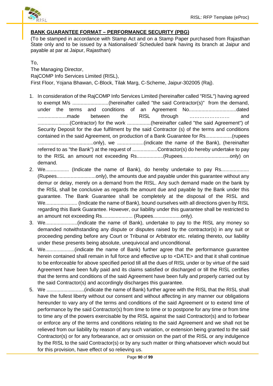

# **BANK GUARANTEE FORMAT – PERFORMANCE SECURITY (PBG)**

(To be stamped in accordance with Stamp Act and on a Stamp Paper purchased from Rajasthan State only and to be issued by a Nationalised/ Scheduled bank having its branch at Jaipur and payable at par at Jaipur, Rajasthan)

## To,

The Managing Director, RajCOMP Info Services Limited (RISL), First Floor, Yojana Bhawan, C-Block, Tilak Marg, C-Scheme, Jaipur-302005 (Raj).

- 1. In consideration of the RajCOMP Info Services Limited (hereinafter called "RISL") having agreed to exempt M/s ..........................(hereinafter called "the said Contractor(s)" from the demand, under the terms and conditions of an Agreement No..................................dated .....................made between the RISL through …………………… and .......................(Contractor) for the work .................(hereinafter called "the said Agreement") of Security Deposit for the due fulfilment by the said Contractor (s) of the terms and conditions contained in the said Agreement, on production of a Bank Guarantee for Rs...................(rupees ........................................only), we ...................(indicate the name of the Bank), (hereinafter referred to as "the Bank") at the request of ..................Contractor(s) do hereby undertake to pay to the RISL an amount not exceeding Rs...................(Rupees..................................only) on demand.
- 2. We.................. (Indicate the name of Bank), do hereby undertake to pay Rs..................... (Rupees............................only), the amounts due and payable under this guarantee without any demur or delay, merely on a demand from the RISL. Any such demand made on the bank by the RISL shall be conclusive as regards the amount due and payable by the Bank under this guarantee. The Bank Guarantee shall be completely at the disposal of the RISL and We....................... (Indicate the name of Bank), bound ourselves with all directions given by RISL regarding this Bank Guarantee. However, our liability under this guarantee shall be restricted to an amount not exceeding Rs...................... (Rupees....................only).
- 3. We.......................(indicate the name of Bank), undertake to pay to the RISL any money so demanded notwithstanding any dispute or disputes raised by the contractor(s) in any suit or proceeding pending before any Court or Tribunal or Arbitrator etc. relating thereto, our liability under these presents being absolute, unequivocal and unconditional.
- 4. We.....................(indicate the name of Bank) further agree that the performance guarantee herein contained shall remain in full force and effective up to <DATE> and that it shall continue to be enforceable for above specified period till all the dues of RISL under or by virtue of the said Agreement have been fully paid and its claims satisfied or discharged or till the RISL certifies that the terms and conditions of the said Agreement have been fully and properly carried out by the said Contractor(s) and accordingly discharges this guarantee.
- 5. We ...........................(indicate the name of Bank) further agree with the RISL that the RISL shall have the fullest liberty without our consent and without affecting in any manner our obligations hereunder to vary any of the terms and conditions of the said Agreement or to extend time of performance by the said Contractor(s) from time to time or to postpone for any time or from time to time any of the powers exercisable by the RISL against the said Contractor(s) and to forbear or enforce any of the terms and conditions relating to the said Agreement and we shall not be relieved from our liability by reason of any such variation, or extension being granted to the said Contractor(s) or for any forbearance, act or omission on the part of the RISL or any indulgence by the RISL to the said Contractor(s) or by any such matter or thing whatsoever which would but for this provision, have effect of so relieving us.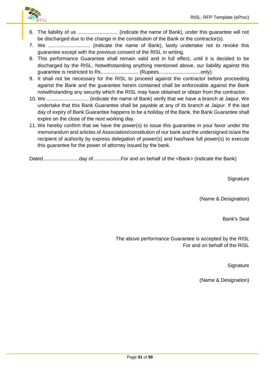

- 6. The liability of us ............................. (indicate the name of Bank), under this guarantee will not be discharged due to the change in the constitution of the Bank or the contractor(s).
- 7. We .............................. (indicate the name of Bank), lastly undertake not to revoke this guarantee except with the previous consent of the RISL in writing.
- 8. This performance Guarantee shall remain valid and in full effect, until it is decided to be discharged by the RISL. Notwithstanding anything mentioned above, our liability against this guarantee is restricted to Rs........................... (Rupees..............................only).
- 9. It shall not be necessary for the RISL to proceed against the contractor before proceeding against the Bank and the guarantee herein contained shall be enforceable against the Bank notwithstanding any security which the RISL may have obtained or obtain from the contractor.
- 10. We .............................. (indicate the name of Bank) verify that we have a branch at Jaipur. We undertake that this Bank Guarantee shall be payable at any of its branch at Jaipur. If the last day of expiry of Bank Guarantee happens to be a holiday of the Bank, the Bank Guarantee shall expire on the close of the next working day.
- 11. We hereby confirm that we have the power(s) to issue this guarantee in your favor under the memorandum and articles of Association/constitution of our bank and the undersigned is/are the recipient of authority by express delegation of power(s) and has/have full power(s) to execute this guarantee for the power of attorney issued by the bank.

Dated..........................day of....................For and on behalf of the <Bank> (indicate the Bank)

**Signature** 

(Name & Designation)

Bank's Seal

The above performance Guarantee is accepted by the RISL For and on behalf of the RISL

**Signature** 

(Name & Designation)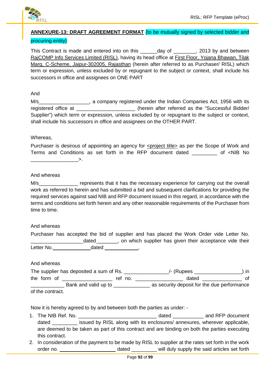

# **ANNEXURE-13: DRAFT AGREEMENT FORMAT** {to be mutually signed by selected bidder and

### procuring entity}

This Contract is made and entered into on this \_\_\_\_\_\_day of \_\_\_\_\_\_\_, 2013 by and between RajCOMP Info Services Limited (RISL), having its head office at First Floor, Yojana Bhawan, Tilak Marg, C-Scheme, Jaipur-302005, Rajasthan (herein after referred to as Purchaser/ RISL) which term or expression, unless excluded by or repugnant to the subject or context, shall include his successors in office and assignees on ONE PART

### And

M/s\_\_\_\_\_\_\_\_\_\_\_\_\_\_\_\_\_\_, a company registered under the Indian Companies Act, 1956 with its registered office at  $\qquad \qquad$  (herein after referred as the "Successful Bidder/ Supplier") which term or expression, unless excluded by or repugnant to the subject or context, shall include his successors in office and assignees on the OTHER PART.

### Whereas,

Purchaser is desirous of appointing an agency for <project title> as per the Scope of Work and Terms and Conditions as set forth in the RFP document dated \_\_\_\_\_\_\_\_\_ of <NIB No  $\longrightarrow$ 

### And whereas

M/s Tepresents that it has the necessary experience for carrying out the overall work as referred to herein and has submitted a bid and subsequent clarifications for providing the required services against said NIB and RFP document issued in this regard, in accordance with the terms and conditions set forth herein and any other reasonable requirements of the Purchaser from time to time.

### And whereas

| Purchaser has accepted the bid of supplier and has placed the Work Order vide Letter No. |  |       |  |                                                           |  |  |  |  |  |
|------------------------------------------------------------------------------------------|--|-------|--|-----------------------------------------------------------|--|--|--|--|--|
|                                                                                          |  | dated |  | , on which supplier has given their acceptance vide their |  |  |  |  |  |
| Letter No.                                                                               |  | dated |  |                                                           |  |  |  |  |  |

### And whereas

|                  | The supplier has deposited a sum of Rs. |         | /- (Rupees                                  | ın |
|------------------|-----------------------------------------|---------|---------------------------------------------|----|
| the form of      |                                         | ret no. | dated                                       | Οt |
|                  | Bank and valid up to                    |         | as security deposit for the due performance |    |
| of the contract. |                                         |         |                                             |    |

Now it is hereby agreed to by and between both the parties as under: -

- 1. The NIB Ref. No. \_\_\_\_\_\_\_\_\_\_\_\_\_\_\_\_\_\_\_\_\_\_\_\_\_\_\_\_ dated \_\_\_\_\_\_\_\_\_\_\_ and RFP document dated \_\_\_\_\_\_\_\_\_ issued by RISL along with its enclosures/ annexures, wherever applicable, are deemed to be taken as part of this contract and are binding on both the parties executing this contract.
- 2. In consideration of the payment to be made by RISL to supplier at the rates set forth in the work order no. \_\_\_\_\_\_\_\_\_\_\_\_\_\_\_\_\_\_\_\_\_\_\_\_\_\_\_\_\_\_\_\_ dated \_\_\_\_\_\_\_\_\_\_\_\_\_ will duly supply the said articles set forth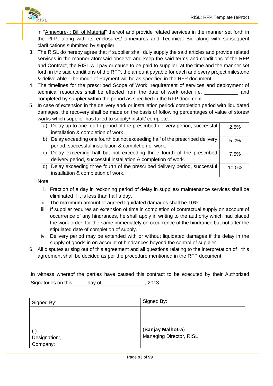

in "Annexure-I: Bill of Material" thereof and provide related services in the manner set forth in the RFP, along with its enclosures/ annexures and Technical Bid along with subsequent clarifications submitted by supplier.

- 3. The RISL do hereby agree that if supplier shall duly supply the said articles and provide related services in the manner aforesaid observe and keep the said terms and conditions of the RFP and Contract, the RISL will pay or cause to be paid to supplier, at the time and the manner set forth in the said conditions of the RFP, the amount payable for each and every project milestone & deliverable. The mode of Payment will be as specified in the RFP document.
- 4. The timelines for the prescribed Scope of Work, requirement of services and deployment of technical resources shall be effected from the date of work order i.e. \_\_\_\_\_\_\_\_\_\_\_\_ and completed by supplier within the period as specified in the RFP document.
- 5. In case of extension in the delivery and/ or installation period/ completion period with liquidated damages, the recovery shall be made on the basis of following percentages of value of stores/ works which supplier has failed to supply/ install/ complete: -

| a) | Delay up to one fourth period of the prescribed delivery period, successful     | 2.5%  |
|----|---------------------------------------------------------------------------------|-------|
|    | installation & completion of work                                               |       |
|    | b) Delay exceeding one fourth but not exceeding half of the prescribed delivery | 5.0%  |
|    | period, successful installation & completion of work.                           |       |
|    | c) Delay exceeding half but not exceeding three fourth of the prescribed        | 7.5%  |
|    | delivery period, successful installation & completion of work.                  |       |
| d) | Delay exceeding three fourth of the prescribed delivery period, successful      | 10.0% |
|    | installation & completion of work.                                              |       |

Note:

- i. Fraction of a day in reckoning period of delay in supplies/ maintenance services shall be eliminated if it is less than half a day.
- ii. The maximum amount of agreed liquidated damages shall be 10%.
- iii. If supplier requires an extension of time in completion of contractual supply on account of occurrence of any hindrances, he shall apply in writing to the authority which had placed the work order, for the same immediately on occurrence of the hindrance but not after the stipulated date of completion of supply.
- iv. Delivery period may be extended with or without liquidated damages if the delay in the supply of goods in on account of hindrances beyond the control of supplier.
- 6. All disputes arising out of this agreement and all questions relating to the interpretation of this agreement shall be decided as per the procedure mentioned in the RFP document.

|                       |        |  |       |  | In witness whereof the parties have caused this contract to be executed by their Authorized |  |
|-----------------------|--------|--|-------|--|---------------------------------------------------------------------------------------------|--|
| Signatories on this _ | dav of |  | 2013. |  |                                                                                             |  |

| Signed By:                | Signed By:                                   |
|---------------------------|----------------------------------------------|
| Designation:,<br>Company: | (Sanjay Malhotra)<br>Managing Director, RISL |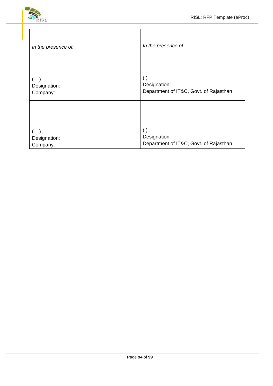



| In the presence of: | In the presence of:                    |
|---------------------|----------------------------------------|
|                     |                                        |
|                     |                                        |
|                     | $\left( \ \right)$                     |
| Designation:        | Designation:                           |
| Company:            | Department of IT&C, Govt. of Rajasthan |
|                     |                                        |
|                     |                                        |
|                     |                                        |
|                     | $\left( \ \right)$                     |
| Designation:        | Designation:                           |
| Company:            | Department of IT&C, Govt. of Rajasthan |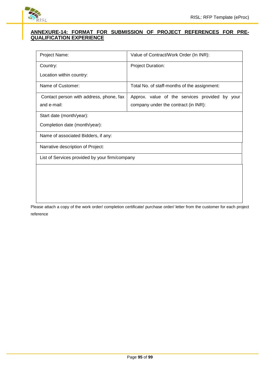

## **ANNEXURE-14: FORMAT FOR SUBMISSION OF PROJECT REFERENCES FOR PRE- QUALIFICATION EXPERIENCE**

| Project Name:                                  | Value of Contract/Work Order (In INR):         |
|------------------------------------------------|------------------------------------------------|
| Country:                                       | <b>Project Duration:</b>                       |
| Location within country:                       |                                                |
| Name of Customer:                              | Total No. of staff-months of the assignment:   |
| Contact person with address, phone, fax        | Approx. value of the services provided by your |
| and e-mail:                                    | company under the contract (in INR):           |
| Start date (month/year):                       |                                                |
| Completion date (month/year):                  |                                                |
| Name of associated Bidders, if any:            |                                                |
| Narrative description of Project:              |                                                |
| List of Services provided by your firm/company |                                                |
|                                                |                                                |
|                                                |                                                |
|                                                |                                                |
|                                                |                                                |

Please attach a copy of the work order/ completion certificate/ purchase order/ letter from the customer for each project reference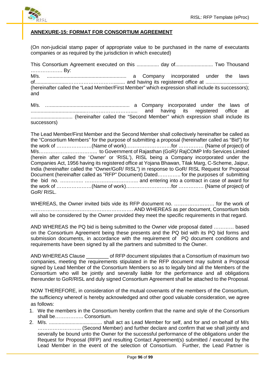

## **ANNEXURE-15: FORMAT FOR CONSORTIUM AGREEMENT**

(On non-judicial stamp paper of appropriate value to be purchased in the name of executants companies or as required by the jurisdiction in which executed)

This Consortium Agreement executed on this ................ day of........................... Two Thousand ………………. By: M/s. ......................................................... a Company incorporated under the laws of........................………………………........ and having its registered office at ............................... (hereinafter called the "Lead Member/First Member" which expression shall include its successors); and

M/s. …......................................................... a Company incorporated under the laws of .......................................………………………..... and having its registered office at .............................. (hereinafter called the "Second Member" which expression shall include its successors)

The Lead Member/First Member and the Second Member shall collectively hereinafter be called as the "Consortium Members" for the purpose of submitting a proposal (hereinafter called as "Bid") for the work of …………………(Name of work)………………………for …………… (Name of project) of M/s…………………………….. to Government of Rajasthan (GoR)/ RajCOMP Info Services Limited (herein after called the `Owner' or 'RISL'), RISL being a Company incorporated under the Companies Act, 1956 having its registered office at Yojana Bhawan, Tilak Marg, C-Scheme, Jaipur, India (hereinafter called the "Owner/GoR/ RISL") in response to GoR/ RISL Request for Proposal Document (hereinafter called as "RFP" Document) Dated………….. for the purposes of submitting the bid no. ………….. ………………………….. and entering into a contract in case of award for the work of …………………(Name of work)………………………for …………… (Name of project) of GoR/ RISL.

WHEREAS, the Owner invited bids vide its RFP document no. …………………… for the work of ……………………………………………………. AND WHEREAS as per document, Consortium bids will also be considered by the Owner provided they meet the specific requirements in that regard.

AND WHEREAS the PQ bid is being submitted to the Owner vide proposal dated ………… based on the Consortium Agreement being these presents and the PQ bid with its PQ bid forms and submission documents, in accordance with the requirement of PQ document conditions and requirements have been signed by all the partners and submitted to the Owner.

AND WHEREAS Clause \_\_\_\_\_\_\_\_ of RFP document stipulates that a Consortium of maximum two companies, meeting the requirements stipulated in the RFP document may submit a Proposal signed by Lead Member of the Consortium Members so as to legally bind all the Members of the Consortium who will be jointly and severally liable for the performance and all obligations thereunder to GoR/RISL and duly signed Consortium Agreement shall be attached to the Proposal.

NOW THEREFORE, in consideration of the mutual covenants of the members of the Consortium, the sufficiency whereof is hereby acknowledged and other good valuable consideration, we agree as follows:

- 1. We the members in the Consortium hereby confirm that the name and style of the Consortium shall be…………….. Consortium.
- 2. M/s. ...................................... shall act as Lead Member for self, and for and on behalf of M/s …………………….. (Second Member) and further declare and confirm that we shall jointly and severally be bound unto the Owner for the successful performance of the obligations under the Request for Proposal (RFP) and resulting Contact Agreement(s) submitted / executed by the Lead Member in the event of the selection of Consortium. Further, the Lead Partner is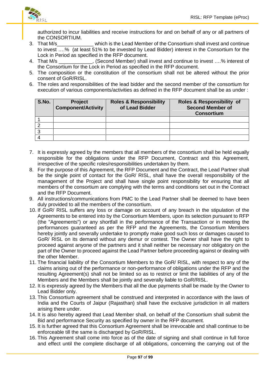

authorized to incur liabilities and receive instructions for and on behalf of any or all partners of the CONSORTIUM.

- 3. That M/s That M/s which is the Lead Member of the Consortium shall invest and continue to invest ….% (at least 51% to be invested by Lead Bidder) interest in the Consortium for the Lock in Period as specified in the RFP document.
- 4. That M/s **Example 2. Second Member) shall invest and continue to invest …. % interest of** the Consortium for the Lock in Period as specified in the RFP document.
- 5. The composition or the constitution of the consortium shall not be altered without the prior consent of GoR/RISL.
- 6. The roles and responsibilities of the lead bidder and the second member of the consortium for execution of various components/activities as defined in the RFP document shall be as under :

| S.No. | <b>Project</b><br><b>Component/Activity</b> | <b>Roles &amp; Responsibility</b><br>of Lead Bidder | <b>Roles &amp; Responsibility of</b><br><b>Second Member of</b><br><b>Consortium</b> |
|-------|---------------------------------------------|-----------------------------------------------------|--------------------------------------------------------------------------------------|
|       |                                             |                                                     |                                                                                      |
|       |                                             |                                                     |                                                                                      |
|       |                                             |                                                     |                                                                                      |
|       |                                             |                                                     |                                                                                      |

- 7. It is expressly agreed by the members that all members of the consortium shall be held equally responsible for the obligations under the RFP Document, Contract and this Agreement, irrespective of the specific roles/responsibilities undertaken by them.
- 8. For the purpose of this Agreement, the RFP Document and the Contract, the Lead Partner shall be the single point of contact for the GoR/ RISL, shall have the overall responsibility of the management of the Project and shall have single point responsibility for ensuring that all members of the consortium are complying with the terms and conditions set out in the Contract and the RFP Document.
- 9. All instructions/communications from PMC to the Lead Partner shall be deemed to have been duly provided to all the members of the consortium.
- 10. If GoR/ RISL suffers any loss or damage on account of any breach in the stipulation of the Agreements to be entered into by the Consortium Members, upon its selection pursuant to RFP (the "Agreements") or any shortfall in the performance of the Transaction or in meeting the performances guaranteed as per the RFP and the Agreements, the Consortium Members hereby jointly and severally undertake to promptly make good such loss or damages caused to GoR/ RISL on its demand without any demur or contest. The Owner shall have the right to proceed against anyone of the partners and it shall neither be necessary nor obligatory on the part of the Owner to proceed against the Lead Partner before proceeding against or dealing with the other Member.
- 11. The financial liability of the Consortium Members to the GoR/ RISL, with respect to any of the claims arising out of the performance or non-performance of obligations under the RFP and the resulting Agreement(s) shall not be limited so as to restrict or limit the liabilities of any of the Members and the Members shall be jointly and severally liable to GoR/RISL.
- 12. It is expressly agreed by the Members that all the due payments shall be made by the Owner to Lead Bidder only.
- 13. This Consortium agreement shall be construed and interpreted in accordance with the laws of India and the Courts of Jaipur (Rajasthan) shall have the exclusive jurisdiction in all matters arising there under.
- 14. It is also hereby agreed that Lead Member shall, on behalf of the Consortium shall submit the Bid and performance Security as specified by owner in the RFP document.
- 15. It is further agreed that this Consortium Agreement shall be irrevocable and shall continue to be enforceable till the same is discharged by GoR/RISL.
- 16. This Agreement shall come into force as of the date of signing and shall continue in full force and effect until the complete discharge of all obligations, concerning the carrying out of the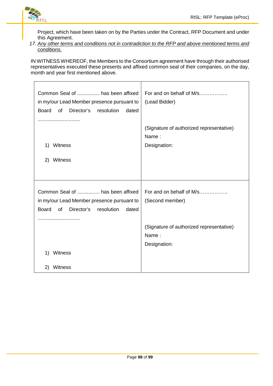

Project, which have been taken on by the Parties under the Contract, RFP Document and under this Agreement.

*17. Any other terms and conditions not in contradiction to the RFP and above mentioned terms and conditions.*

IN WITNESS WHEREOF, the Members to the Consortium agreement have through their authorised representatives executed these presents and affixed common seal of their companies, on the day, month and year first mentioned above.

| Common Seal of  has been affixed<br>in my/our Lead Member presence pursuant to<br>Board of Director's<br>resolution<br>dated                     | For and on behalf of M/s<br>(Lead Bidder)                         |
|--------------------------------------------------------------------------------------------------------------------------------------------------|-------------------------------------------------------------------|
| 1)<br>Witness                                                                                                                                    | (Signature of authorized representative)<br>Name:<br>Designation: |
| Witness<br>2)                                                                                                                                    |                                                                   |
| Common Seal of  has been affixed<br>in my/our Lead Member presence pursuant to<br>Director's<br><b>Board</b><br><b>of</b><br>resolution<br>dated | For and on behalf of M/s<br>(Second member)                       |
|                                                                                                                                                  | (Signature of authorized representative)<br>Name:<br>Designation: |
| 1)<br>Witness                                                                                                                                    |                                                                   |
| Witness<br>2)                                                                                                                                    |                                                                   |